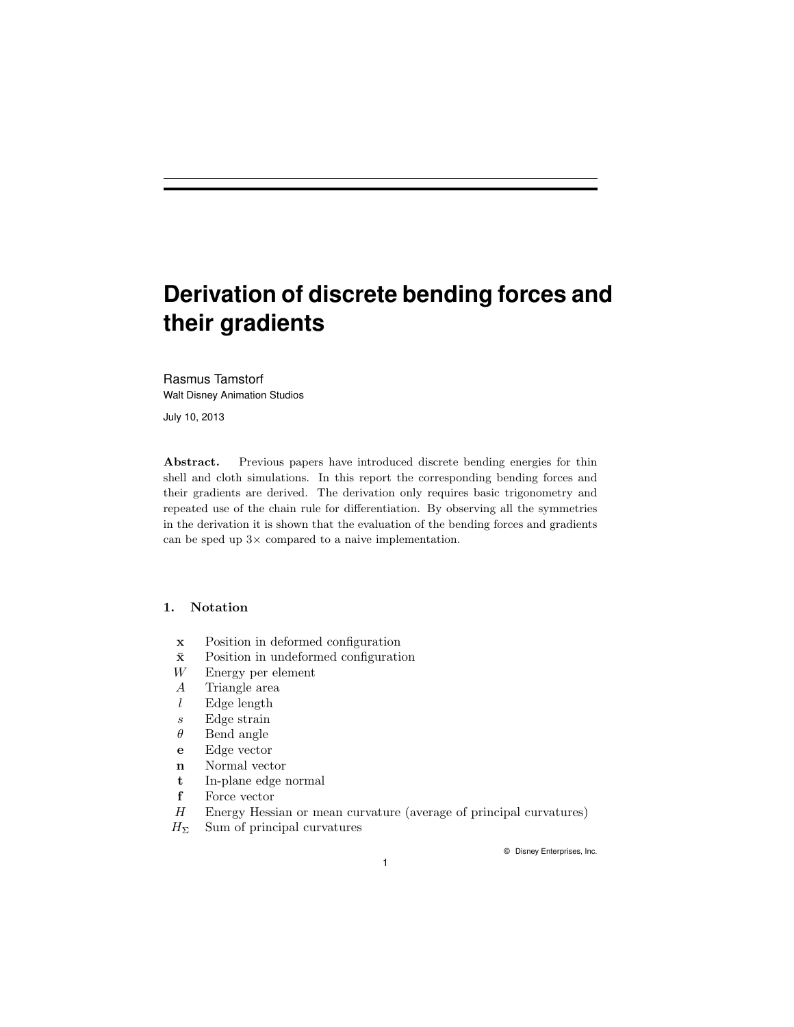# **Derivation of discrete bending forces and their gradients**

Rasmus Tamstorf Walt Disney Animation Studios

July 10, 2013

Abstract. Previous papers have introduced discrete bending energies for thin shell and cloth simulations. In this report the corresponding bending forces and their gradients are derived. The derivation only requires basic trigonometry and repeated use of the chain rule for differentiation. By observing all the symmetries in the derivation it is shown that the evaluation of the bending forces and gradients can be sped up  $3\times$  compared to a naive implementation.

## 1. Notation

- x Position in deformed configuration
- $\bar{x}$  Position in undeformed configuration
- W Energy per element
- A Triangle area
- $l$  Edge length
- s Edge strain
- $\theta$  Bend angle
- e Edge vector
- n Normal vector
- t In-plane edge normal
- f Force vector
- H Energy Hessian or mean curvature (average of principal curvatures)
- $H_{\Sigma}$  Sum of principal curvatures

© Disney Enterprises, Inc.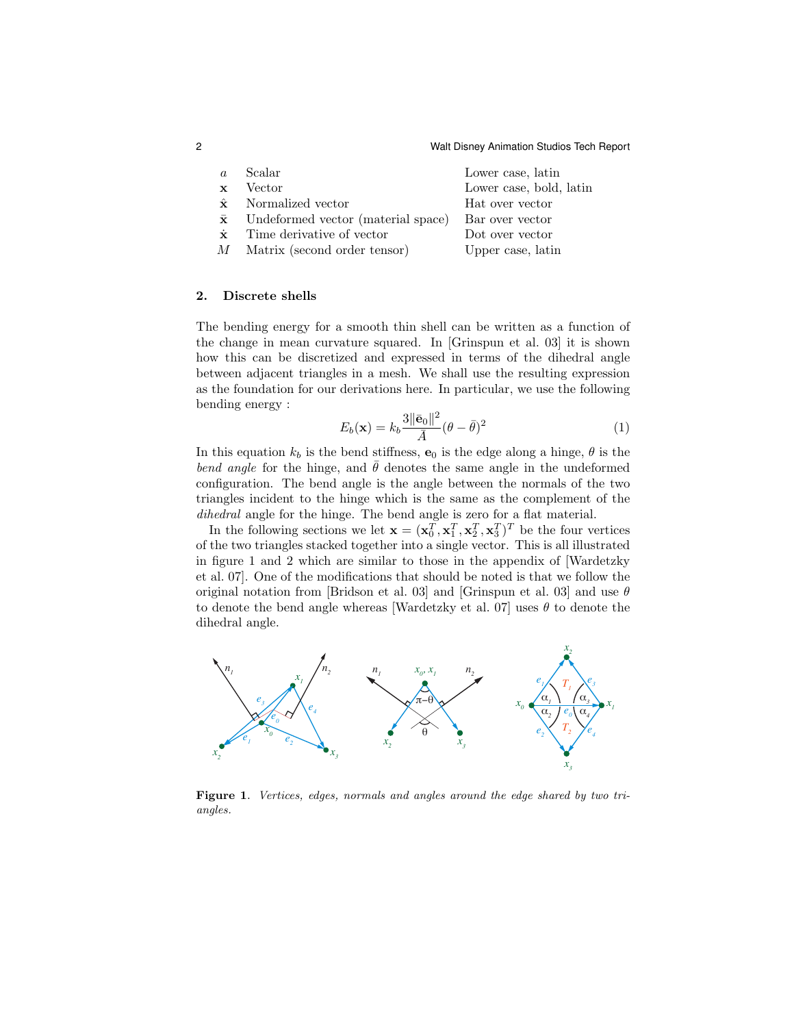| $\overline{a}$ | Scalar                                       | Lower case, latin       |
|----------------|----------------------------------------------|-------------------------|
| $\mathbf{x}$   | Vector                                       | Lower case, bold, latin |
|                | $\hat{\mathbf{x}}$ Normalized vector         | Hat over vector         |
|                | $\bar{x}$ Undeformed vector (material space) | Bar over vector         |
| $\dot{x}$      | Time derivative of vector                    | Dot over vector         |
|                | M Matrix (second order tensor)               | Upper case, latin       |
|                |                                              |                         |

#### 2. Discrete shells

The bending energy for a smooth thin shell can be written as a function of the change in mean curvature squared. In [Grinspun et al. 03] it is shown how this can be discretized and expressed in terms of the dihedral angle between adjacent triangles in a mesh. We shall use the resulting expression as the foundation for our derivations here. In particular, we use the following bending energy :

$$
E_b(\mathbf{x}) = k_b \frac{3 \|\bar{\mathbf{e}}_0\|^2}{\bar{A}} (\theta - \bar{\theta})^2
$$
 (1)

In this equation  $k_b$  is the bend stiffness,  $\mathbf{e}_0$  is the edge along a hinge,  $\theta$  is the bend angle for the hinge, and  $\bar{\theta}$  denotes the same angle in the undeformed configuration. The bend angle is the angle between the normals of the two triangles incident to the hinge which is the same as the complement of the dihedral angle for the hinge. The bend angle is zero for a flat material.

In the following sections we let  $\mathbf{x} = (\mathbf{x}_0^T, \mathbf{x}_1^T, \mathbf{x}_2^T, \mathbf{x}_3^T)^T$  be the four vertices of the two triangles stacked together into a single vector. This is all illustrated in figure 1 and 2 which are similar to those in the appendix of [Wardetzky et al. 07]. One of the modifications that should be noted is that we follow the original notation from [Bridson et al. 03] and [Grinspun et al. 03] and use  $\theta$ to denote the bend angle whereas [Wardetzky et al. 07] uses  $\theta$  to denote the dihedral angle.



Figure 1. Vertices, edges, normals and angles around the edge shared by two triangles.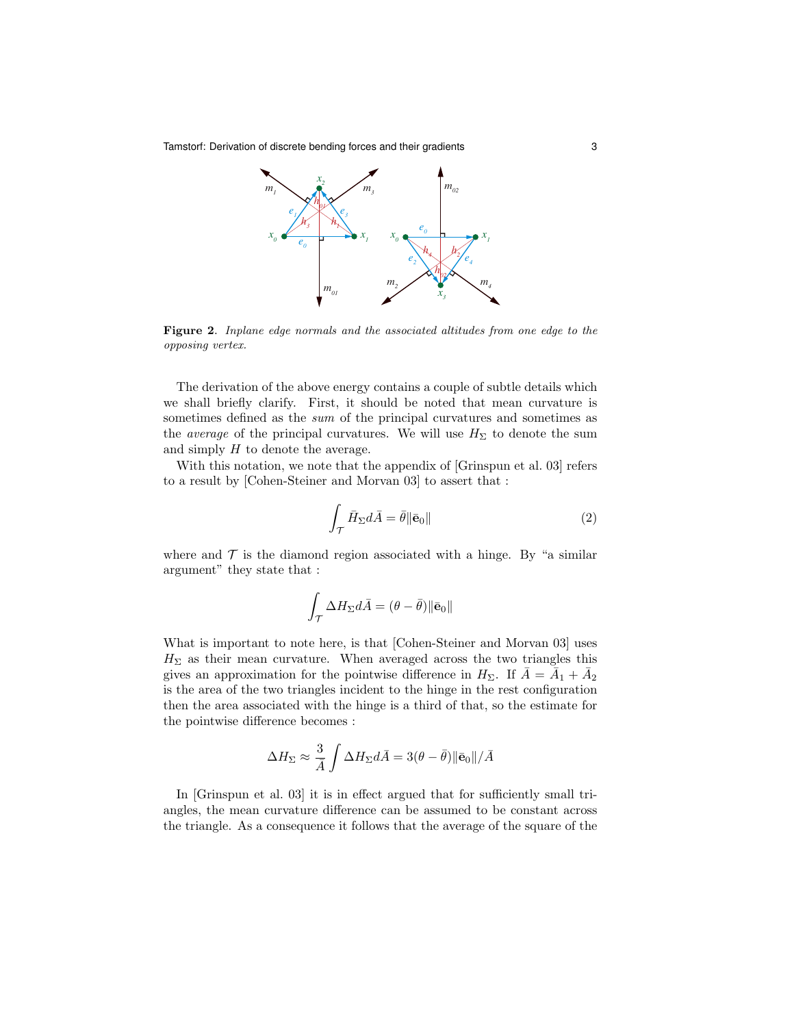Tamstorf: Derivation of discrete bending forces and their gradients 3



Figure 2. Inplane edge normals and the associated altitudes from one edge to the opposing vertex.

The derivation of the above energy contains a couple of subtle details which we shall briefly clarify. First, it should be noted that mean curvature is sometimes defined as the *sum* of the principal curvatures and sometimes as the *average* of the principal curvatures. We will use  $H_{\Sigma}$  to denote the sum and simply  $H$  to denote the average.

With this notation, we note that the appendix of [Grinspun et al. 03] refers to a result by [Cohen-Steiner and Morvan 03] to assert that :

$$
\int_{\mathcal{T}} \bar{H}_{\Sigma} d\bar{A} = \bar{\theta} \|\bar{\mathbf{e}}_0\| \tag{2}
$$

where and  $\mathcal T$  is the diamond region associated with a hinge. By "a similar argument" they state that :

$$
\int_{\mathcal{T}} \Delta H_\Sigma d\bar{A} = (\theta - \bar{\theta}) \|\bar{\mathbf{e}}_0\|
$$

What is important to note here, is that [Cohen-Steiner and Morvan 03] uses  $H_{\Sigma}$  as their mean curvature. When averaged across the two triangles this gives an approximation for the pointwise difference in  $H_{\Sigma}$ . If  $\bar{A} = \overline{A}_1 + \overline{A}_2$ is the area of the two triangles incident to the hinge in the rest configuration then the area associated with the hinge is a third of that, so the estimate for the pointwise difference becomes :

$$
\Delta H_{\Sigma} \approx \frac{3}{\bar{A}} \int \Delta H_{\Sigma} d\bar{A} = 3(\theta - \bar{\theta}) ||\bar{\mathbf{e}}_0|| / \bar{A}
$$

In [Grinspun et al. 03] it is in effect argued that for sufficiently small triangles, the mean curvature difference can be assumed to be constant across the triangle. As a consequence it follows that the average of the square of the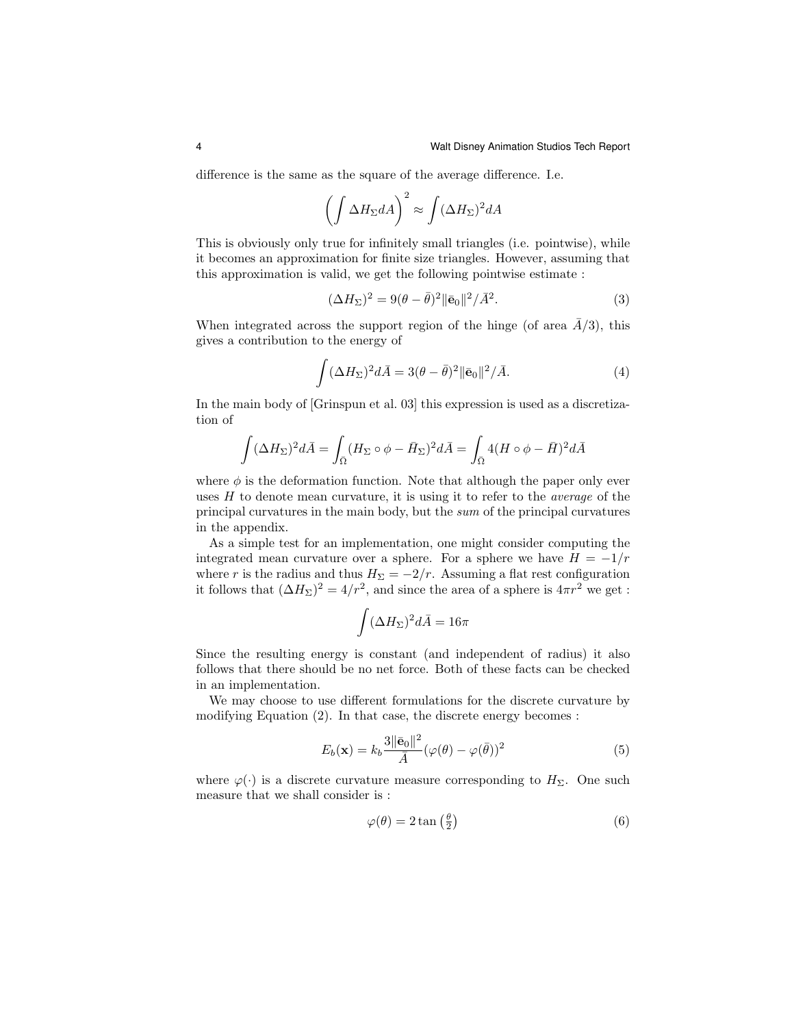difference is the same as the square of the average difference. I.e.

$$
\left(\int \Delta H_{\Sigma} dA\right)^2 \approx \int (\Delta H_{\Sigma})^2 dA
$$

This is obviously only true for infinitely small triangles (i.e. pointwise), while it becomes an approximation for finite size triangles. However, assuming that this approximation is valid, we get the following pointwise estimate :

$$
(\Delta H_{\Sigma})^2 = 9(\theta - \bar{\theta})^2 \|\bar{\mathbf{e}}_0\|^2 / \bar{A}^2.
$$
 (3)

When integrated across the support region of the hinge (of area  $\overline{A/3}$ ), this gives a contribution to the energy of

$$
\int (\Delta H_{\Sigma})^2 d\bar{A} = 3(\theta - \bar{\theta})^2 ||\bar{\mathbf{e}}_0||^2 / \bar{A}.
$$
 (4)

In the main body of [Grinspun et al. 03] this expression is used as a discretization of

$$
\int (\Delta H_{\Sigma})^2 d\bar{A} = \int_{\bar{\Omega}} (H_{\Sigma} \circ \phi - \bar{H}_{\Sigma})^2 d\bar{A} = \int_{\bar{\Omega}} 4(H \circ \phi - \bar{H})^2 d\bar{A}
$$

where  $\phi$  is the deformation function. Note that although the paper only ever uses  $H$  to denote mean curvature, it is using it to refer to the *average* of the principal curvatures in the main body, but the sum of the principal curvatures in the appendix.

As a simple test for an implementation, one might consider computing the integrated mean curvature over a sphere. For a sphere we have  $H = -1/r$ where r is the radius and thus  $H_{\Sigma} = -2/r$ . Assuming a flat rest configuration it follows that  $(\Delta H_{\Sigma})^2 = 4/r^2$ , and since the area of a sphere is  $4\pi r^2$  we get :

$$
\int (\Delta H_\Sigma)^2 d\bar{A} = 16\pi
$$

Since the resulting energy is constant (and independent of radius) it also follows that there should be no net force. Both of these facts can be checked in an implementation.

We may choose to use different formulations for the discrete curvature by modifying Equation (2). In that case, the discrete energy becomes :

$$
E_b(\mathbf{x}) = k_b \frac{3 \|\bar{\mathbf{e}}_0\|^2}{\bar{A}} (\varphi(\theta) - \varphi(\bar{\theta}))^2
$$
 (5)

where  $\varphi(\cdot)$  is a discrete curvature measure corresponding to  $H_{\Sigma}$ . One such measure that we shall consider is :

$$
\varphi(\theta) = 2 \tan\left(\frac{\theta}{2}\right) \tag{6}
$$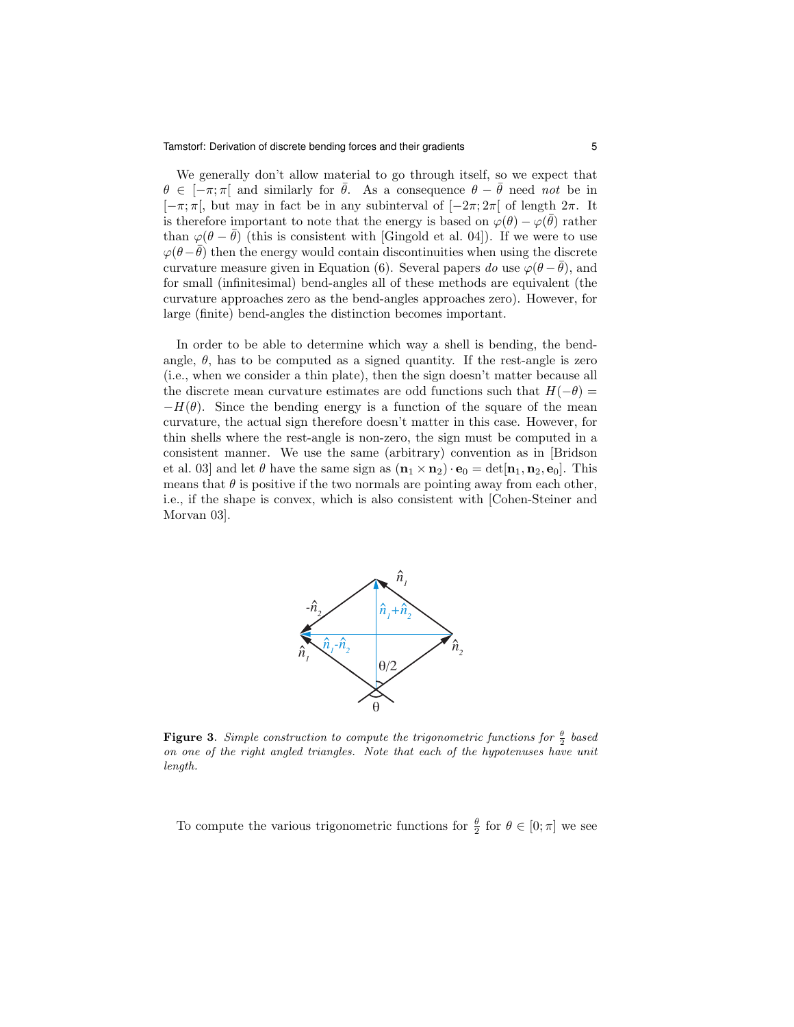We generally don't allow material to go through itself, so we expect that  $\theta \in [-\pi, \pi]$  and similarly for  $\bar{\theta}$ . As a consequence  $\theta - \bar{\theta}$  need not be in  $[-\pi; \pi]$ , but may in fact be in any subinterval of  $[-2\pi; 2\pi]$  of length  $2\pi$ . It is therefore important to note that the energy is based on  $\varphi(\theta) - \varphi(\bar{\theta})$  rather than  $\varphi(\theta - \bar{\theta})$  (this is consistent with [Gingold et al. 04]). If we were to use  $\varphi(\theta - \bar{\theta})$  then the energy would contain discontinuities when using the discrete curvature measure given in Equation (6). Several papers do use  $\varphi(\theta - \bar{\theta})$ , and for small (infinitesimal) bend-angles all of these methods are equivalent (the curvature approaches zero as the bend-angles approaches zero). However, for large (finite) bend-angles the distinction becomes important.

In order to be able to determine which way a shell is bending, the bendangle,  $\theta$ , has to be computed as a signed quantity. If the rest-angle is zero (i.e., when we consider a thin plate), then the sign doesn't matter because all the discrete mean curvature estimates are odd functions such that  $H(-\theta) =$  $-H(\theta)$ . Since the bending energy is a function of the square of the mean curvature, the actual sign therefore doesn't matter in this case. However, for thin shells where the rest-angle is non-zero, the sign must be computed in a consistent manner. We use the same (arbitrary) convention as in [Bridson et al. 03] and let  $\theta$  have the same sign as  $(\mathbf{n}_1 \times \mathbf{n}_2) \cdot \mathbf{e}_0 = \det[\mathbf{n}_1, \mathbf{n}_2, \mathbf{e}_0]$ . This means that  $\theta$  is positive if the two normals are pointing away from each other, i.e., if the shape is convex, which is also consistent with [Cohen-Steiner and Morvan 03].



**Figure 3.** Simple construction to compute the trigonometric functions for  $\frac{\theta}{2}$  based on one of the right angled triangles. Note that each of the hypotenuses have unit length.

To compute the various trigonometric functions for  $\frac{\theta}{2}$  for  $\theta \in [0; \pi]$  we see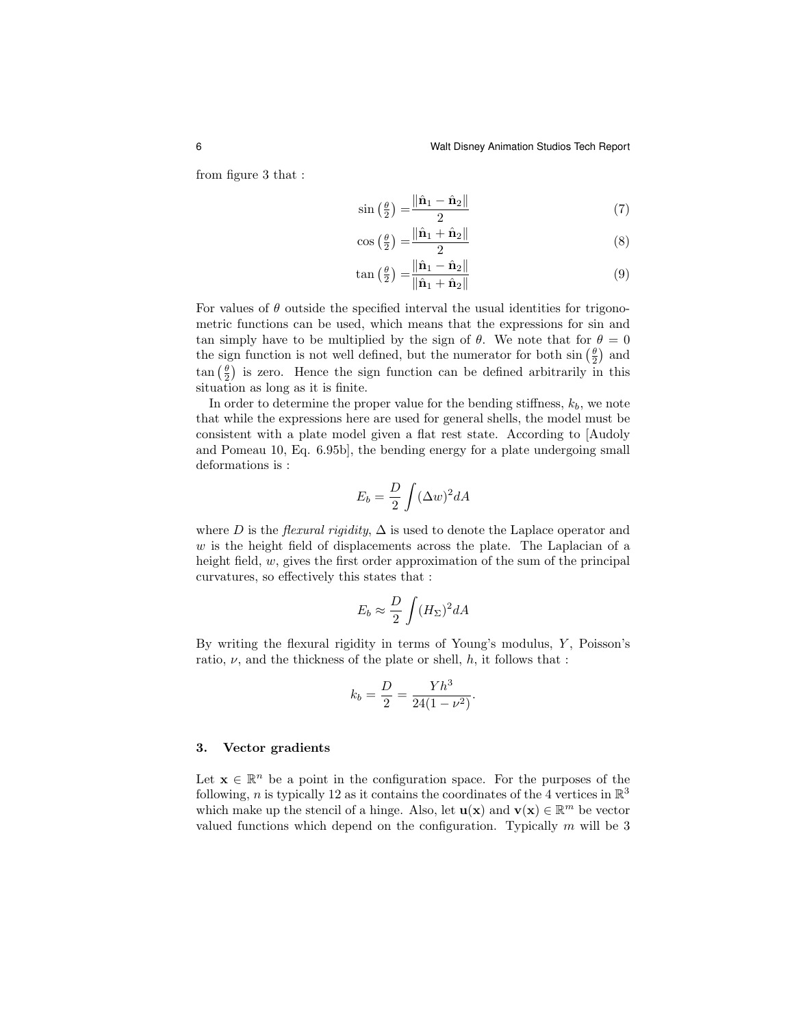from figure 3 that :

$$
\sin\left(\frac{\theta}{2}\right) = \frac{\|\hat{\mathbf{n}}_1 - \hat{\mathbf{n}}_2\|}{2} \tag{7}
$$

$$
\cos\left(\frac{\theta}{2}\right) = \frac{\|\hat{\mathbf{n}}_1 + \hat{\mathbf{n}}_2\|}{2} \tag{8}
$$

$$
\tan\left(\frac{\theta}{2}\right) = \frac{\|\hat{\mathbf{n}}_1 - \hat{\mathbf{n}}_2\|}{\|\hat{\mathbf{n}}_1 + \hat{\mathbf{n}}_2\|}\tag{9}
$$

For values of  $\theta$  outside the specified interval the usual identities for trigonometric functions can be used, which means that the expressions for sin and tan simply have to be multiplied by the sign of  $\theta$ . We note that for  $\theta = 0$ the sign function is not well defined, but the numerator for both  $\sin\left(\frac{\theta}{2}\right)$  and  $\tan\left(\frac{\theta}{2}\right)$  is zero. Hence the sign function can be defined arbitrarily in this situation as long as it is finite.

In order to determine the proper value for the bending stiffness,  $k_b$ , we note that while the expressions here are used for general shells, the model must be consistent with a plate model given a flat rest state. According to [Audoly and Pomeau 10, Eq. 6.95b], the bending energy for a plate undergoing small deformations is :

$$
E_b = \frac{D}{2} \int (\Delta w)^2 dA
$$

where D is the *flexural rigidity*,  $\Delta$  is used to denote the Laplace operator and  $w$  is the height field of displacements across the plate. The Laplacian of a height field, w, gives the first order approximation of the sum of the principal curvatures, so effectively this states that :

$$
E_b \approx \frac{D}{2} \int (H_\Sigma)^2 dA
$$

By writing the flexural rigidity in terms of Young's modulus,  $Y$ , Poisson's ratio,  $\nu$ , and the thickness of the plate or shell,  $h$ , it follows that :

$$
k_b = \frac{D}{2} = \frac{Yh^3}{24(1 - \nu^2)}.
$$

## 3. Vector gradients

Let  $\mathbf{x} \in \mathbb{R}^n$  be a point in the configuration space. For the purposes of the following, *n* is typically 12 as it contains the coordinates of the 4 vertices in  $\mathbb{R}^3$ which make up the stencil of a hinge. Also, let  $\mathbf{u}(\mathbf{x})$  and  $\mathbf{v}(\mathbf{x}) \in \mathbb{R}^m$  be vector valued functions which depend on the configuration. Typically  $m$  will be 3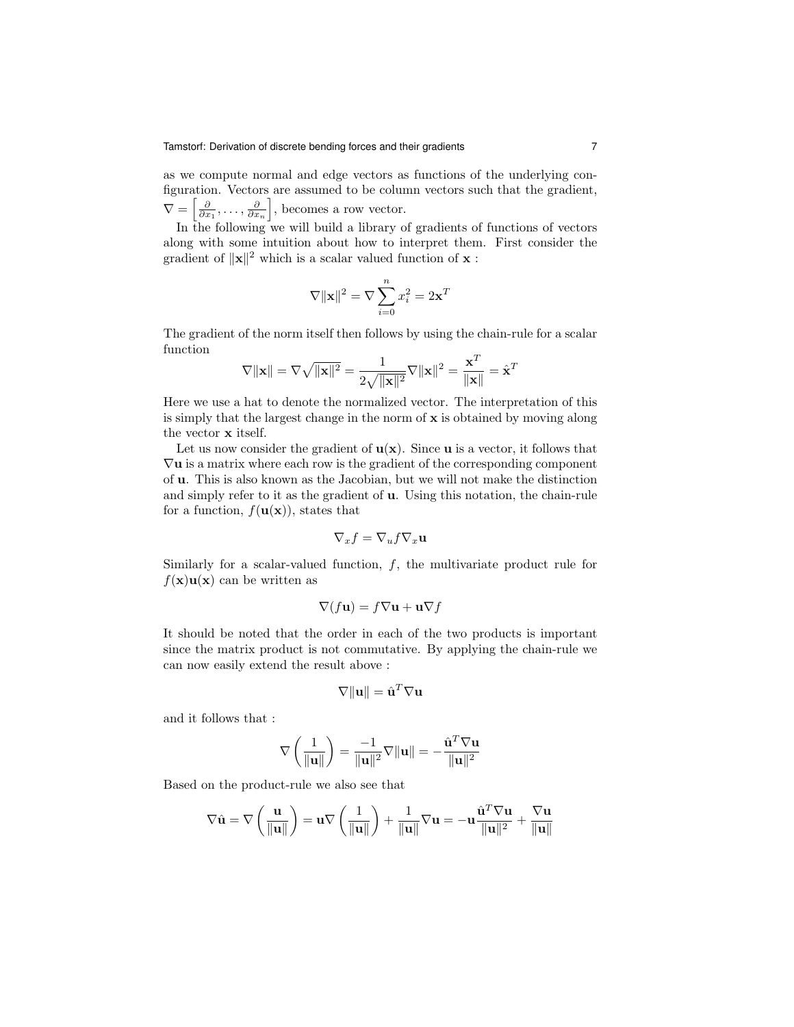as we compute normal and edge vectors as functions of the underlying configuration. Vectors are assumed to be column vectors such that the gradient,  $\nabla = \left[\frac{\partial}{\partial x_1}, \ldots, \frac{\partial}{\partial x_n}\right]$ , becomes a row vector.

In the following we will build a library of gradients of functions of vectors along with some intuition about how to interpret them. First consider the gradient of  $||\mathbf{x}||^2$  which is a scalar valued function of **x** :

$$
\nabla ||\mathbf{x}||^2 = \nabla \sum_{i=0}^n x_i^2 = 2\mathbf{x}^T
$$

The gradient of the norm itself then follows by using the chain-rule for a scalar function

$$
\nabla \|\mathbf{x}\| = \nabla \sqrt{\|\mathbf{x}\|^2} = \frac{1}{2\sqrt{\|\mathbf{x}\|^2}} \nabla \|\mathbf{x}\|^2 = \frac{\mathbf{x}^T}{\|\mathbf{x}\|} = \hat{\mathbf{x}}^T
$$

Here we use a hat to denote the normalized vector. The interpretation of this is simply that the largest change in the norm of  $x$  is obtained by moving along the vector x itself.

Let us now consider the gradient of  $\mathbf{u}(\mathbf{x})$ . Since  $\mathbf{u}$  is a vector, it follows that  $\nabla$ **u** is a matrix where each row is the gradient of the corresponding component of u. This is also known as the Jacobian, but we will not make the distinction and simply refer to it as the gradient of u. Using this notation, the chain-rule for a function,  $f(\mathbf{u}(\mathbf{x}))$ , states that

$$
\nabla_x f = \nabla_u f \nabla_x \mathbf{u}
$$

Similarly for a scalar-valued function,  $f$ , the multivariate product rule for  $f(\mathbf{x})\mathbf{u}(\mathbf{x})$  can be written as

$$
\nabla(f\mathbf{u}) = f\nabla\mathbf{u} + \mathbf{u}\nabla f
$$

It should be noted that the order in each of the two products is important since the matrix product is not commutative. By applying the chain-rule we can now easily extend the result above :

$$
\nabla \|\mathbf{u}\| = \hat{\mathbf{u}}^T \nabla \mathbf{u}
$$

and it follows that :

$$
\nabla \left( \frac{1}{\|\mathbf{u}\|} \right) = \frac{-1}{\|\mathbf{u}\|^2} \nabla \|\mathbf{u}\| = -\frac{\hat{\mathbf{u}}^T \nabla \mathbf{u}}{\|\mathbf{u}\|^2}
$$

Based on the product-rule we also see that

$$
\nabla \hat{\mathbf{u}} = \nabla \left( \frac{\mathbf{u}}{\|\mathbf{u}\|} \right) = \mathbf{u} \nabla \left( \frac{1}{\|\mathbf{u}\|} \right) + \frac{1}{\|\mathbf{u}\|} \nabla \mathbf{u} = -\mathbf{u} \frac{\hat{\mathbf{u}}^T \nabla \mathbf{u}}{\|\mathbf{u}\|^2} + \frac{\nabla \mathbf{u}}{\|\mathbf{u}\|}
$$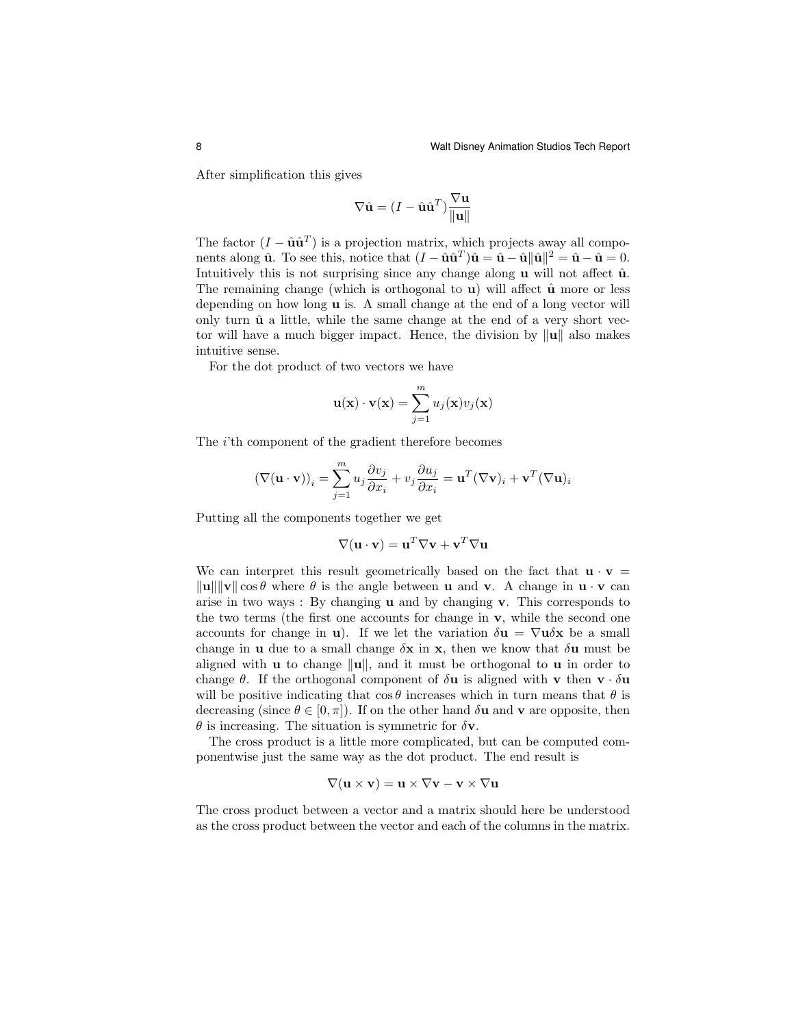After simplification this gives

$$
\nabla \hat{\mathbf{u}} = (I - \hat{\mathbf{u}}\hat{\mathbf{u}}^T) \frac{\nabla \mathbf{u}}{\|\mathbf{u}\|}
$$

The factor  $(I - \hat{\mathbf{u}}\hat{\mathbf{u}}^T)$  is a projection matrix, which projects away all components along  $\hat{\mathbf{u}}$ . To see this, notice that  $(I - \hat{\mathbf{u}}\hat{\mathbf{u}}^T)\hat{\mathbf{u}} = \hat{\mathbf{u}} - \hat{\mathbf{u}}\|\hat{\mathbf{u}}\|^2 = \hat{\mathbf{u}} - \hat{\mathbf{u}} = 0$ . Intuitively this is not surprising since any change along  $\bf{u}$  will not affect  $\hat{\bf{u}}$ . The remaining change (which is orthogonal to **u**) will affect  $\hat{u}$  more or less depending on how long u is. A small change at the end of a long vector will only turn  $\hat{u}$  a little, while the same change at the end of a very short vector will have a much bigger impact. Hence, the division by  $\|\mathbf{u}\|$  also makes intuitive sense.

For the dot product of two vectors we have

$$
\mathbf{u}(\mathbf{x}) \cdot \mathbf{v}(\mathbf{x}) = \sum_{j=1}^{m} u_j(\mathbf{x}) v_j(\mathbf{x})
$$

The i'th component of the gradient therefore becomes

$$
(\nabla(\mathbf{u}\cdot\mathbf{v}))_i = \sum_{j=1}^m u_j \frac{\partial v_j}{\partial x_i} + v_j \frac{\partial u_j}{\partial x_i} = \mathbf{u}^T (\nabla \mathbf{v})_i + \mathbf{v}^T (\nabla \mathbf{u})_i
$$

Putting all the components together we get

$$
\nabla(\mathbf{u} \cdot \mathbf{v}) = \mathbf{u}^T \nabla \mathbf{v} + \mathbf{v}^T \nabla \mathbf{u}
$$

We can interpret this result geometrically based on the fact that  $\mathbf{u} \cdot \mathbf{v} =$  $\|\mathbf{u}\| \|\mathbf{v}\| \cos \theta$  where  $\theta$  is the angle between **u** and **v**. A change in **u** · **v** can arise in two ways : By changing **u** and by changing **v**. This corresponds to the two terms (the first one accounts for change in v, while the second one accounts for change in **u**). If we let the variation  $\delta \mathbf{u} = \nabla \mathbf{u} \delta \mathbf{x}$  be a small change in **u** due to a small change  $\delta$ **x** in **x**, then we know that  $\delta$ **u** must be aligned with **u** to change  $\|\mathbf{u}\|$ , and it must be orthogonal to **u** in order to change  $\theta$ . If the orthogonal component of  $\delta \mathbf{u}$  is aligned with **v** then **v**  $\cdot \delta \mathbf{u}$ will be positive indicating that  $\cos \theta$  increases which in turn means that  $\theta$  is decreasing (since  $\theta \in [0, \pi]$ ). If on the other hand  $\delta \mathbf{u}$  and  $\mathbf{v}$  are opposite, then  $\theta$  is increasing. The situation is symmetric for  $\delta \mathbf{v}$ .

The cross product is a little more complicated, but can be computed componentwise just the same way as the dot product. The end result is

$$
\nabla (\mathbf{u} \times \mathbf{v}) = \mathbf{u} \times \nabla \mathbf{v} - \mathbf{v} \times \nabla \mathbf{u}
$$

The cross product between a vector and a matrix should here be understood as the cross product between the vector and each of the columns in the matrix.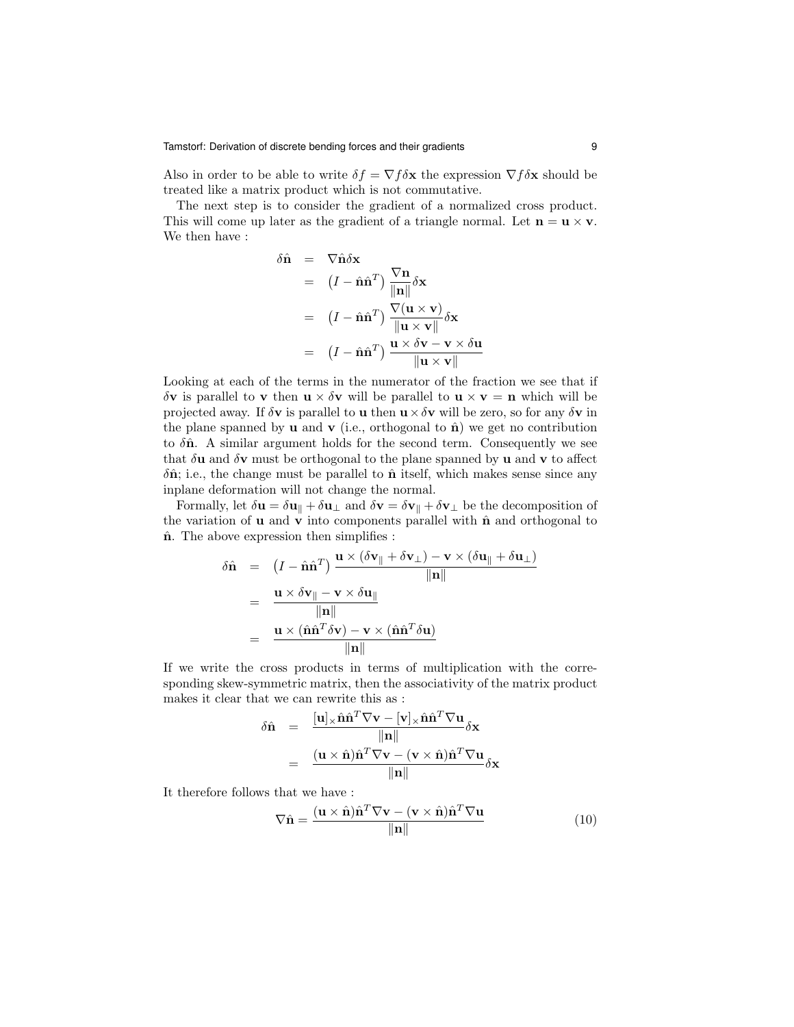Also in order to be able to write  $\delta f = \nabla f \delta \mathbf{x}$  the expression  $\nabla f \delta \mathbf{x}$  should be treated like a matrix product which is not commutative.

The next step is to consider the gradient of a normalized cross product. This will come up later as the gradient of a triangle normal. Let  $\mathbf{n} = \mathbf{u} \times \mathbf{v}$ . We then have :

$$
\delta \hat{\mathbf{n}} = \nabla \hat{\mathbf{n}} \delta \mathbf{x}
$$
\n
$$
= (I - \hat{\mathbf{n}} \hat{\mathbf{n}}^T) \frac{\nabla \mathbf{n}}{\|\mathbf{n}\|} \delta \mathbf{x}
$$
\n
$$
= (I - \hat{\mathbf{n}} \hat{\mathbf{n}}^T) \frac{\nabla (\mathbf{u} \times \mathbf{v})}{\|\mathbf{u} \times \mathbf{v}\|} \delta \mathbf{x}
$$
\n
$$
= (I - \hat{\mathbf{n}} \hat{\mathbf{n}}^T) \frac{\mathbf{u} \times \delta \mathbf{v} - \mathbf{v} \times \delta \mathbf{u}}{\|\mathbf{u} \times \mathbf{v}\|}
$$

Looking at each of the terms in the numerator of the fraction we see that if δv is parallel to v then  $\mathbf{u} \times \delta \mathbf{v}$  will be parallel to  $\mathbf{u} \times \mathbf{v} = \mathbf{n}$  which will be projected away. If  $\delta v$  is parallel to **u** then  $u \times \delta v$  will be zero, so for any  $\delta v$  in the plane spanned by **u** and **v** (i.e., orthogonal to  $\hat{\mathbf{n}}$ ) we get no contribution to  $\delta \hat{\mathbf{n}}$ . A similar argument holds for the second term. Consequently we see that  $\delta$ **u** and  $\delta$ **v** must be orthogonal to the plane spanned by **u** and **v** to affect  $\delta \hat{\mathbf{n}}$ ; i.e., the change must be parallel to  $\hat{\mathbf{n}}$  itself, which makes sense since any inplane deformation will not change the normal.

Formally, let  $\delta \mathbf{u} = \delta \mathbf{u}_{\parallel} + \delta \mathbf{u}_{\perp}$  and  $\delta \mathbf{v} = \delta \mathbf{v}_{\parallel} + \delta \mathbf{v}_{\perp}$  be the decomposition of the variation of  $\bf{u}$  and  $\bf{v}$  into components parallel with  $\hat{\bf{n}}$  and orthogonal to  $\hat{\mathbf{n}}$ . The above expression then simplifies :

$$
\delta \hat{\mathbf{n}} = (I - \hat{\mathbf{n}} \hat{\mathbf{n}}^T) \frac{\mathbf{u} \times (\delta \mathbf{v}_{\parallel} + \delta \mathbf{v}_{\perp}) - \mathbf{v} \times (\delta \mathbf{u}_{\parallel} + \delta \mathbf{u}_{\perp})}{\|\mathbf{n}\|}
$$

$$
= \frac{\mathbf{u} \times \delta \mathbf{v}_{\parallel} - \mathbf{v} \times \delta \mathbf{u}_{\parallel}}{\|\mathbf{n}\|}
$$

$$
= \frac{\mathbf{u} \times (\hat{\mathbf{n}} \hat{\mathbf{n}}^T \delta \mathbf{v}) - \mathbf{v} \times (\hat{\mathbf{n}} \hat{\mathbf{n}}^T \delta \mathbf{u})}{\|\mathbf{n}\|}
$$

If we write the cross products in terms of multiplication with the corresponding skew-symmetric matrix, then the associativity of the matrix product makes it clear that we can rewrite this as :

$$
\delta \hat{\mathbf{n}} = \frac{[\mathbf{u}] \times \hat{\mathbf{n}} \hat{\mathbf{n}}^T \nabla \mathbf{v} - [\mathbf{v}] \times \hat{\mathbf{n}} \hat{\mathbf{n}}^T \nabla \mathbf{u}}{\|\mathbf{n}\|} \delta \mathbf{x}
$$

$$
= \frac{(\mathbf{u} \times \hat{\mathbf{n}}) \hat{\mathbf{n}}^T \nabla \mathbf{v} - (\mathbf{v} \times \hat{\mathbf{n}}) \hat{\mathbf{n}}^T \nabla \mathbf{u}}{\|\mathbf{n}\|} \delta \mathbf{x}
$$

It therefore follows that we have :

$$
\nabla \hat{\mathbf{n}} = \frac{(\mathbf{u} \times \hat{\mathbf{n}})\hat{\mathbf{n}}^T \nabla \mathbf{v} - (\mathbf{v} \times \hat{\mathbf{n}})\hat{\mathbf{n}}^T \nabla \mathbf{u}}{\|\mathbf{n}\|}
$$
(10)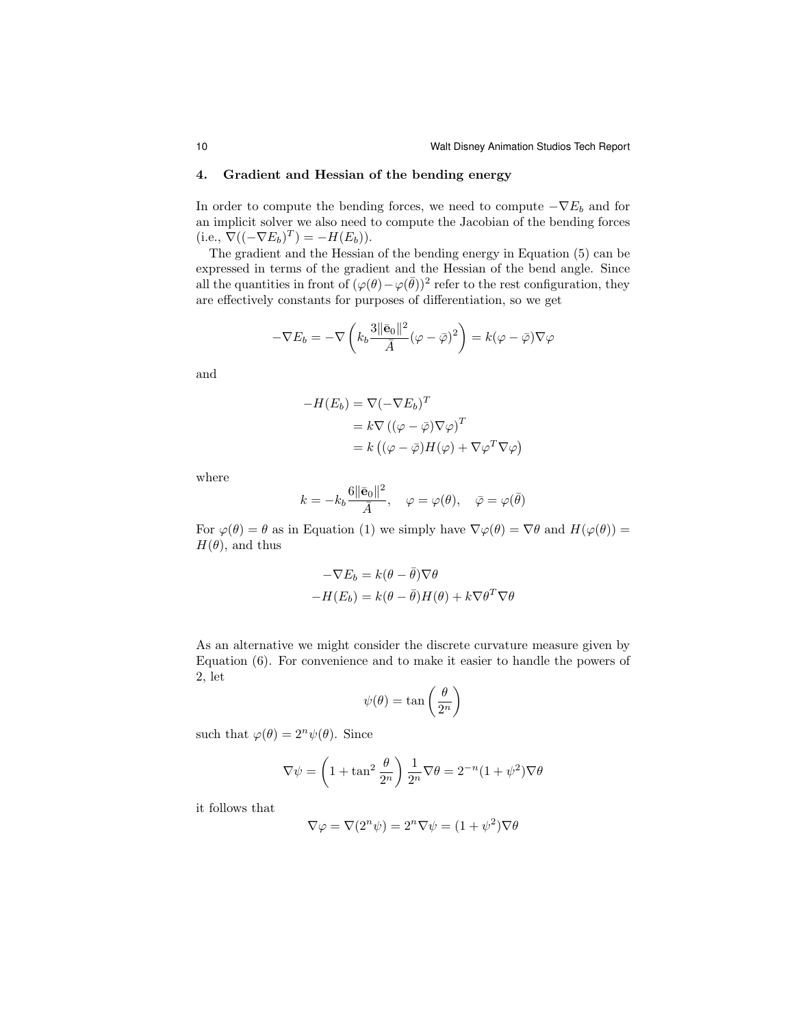#### 4. Gradient and Hessian of the bending energy

In order to compute the bending forces, we need to compute  $-\nabla E_b$  and for an implicit solver we also need to compute the Jacobian of the bending forces  $(i.e., \nabla ((-\nabla E_b)^T) = -H(E_b)).$ 

The gradient and the Hessian of the bending energy in Equation (5) can be expressed in terms of the gradient and the Hessian of the bend angle. Since all the quantities in front of  $(\varphi(\theta) - \varphi(\bar{\theta}))^2$  refer to the rest configuration, they are effectively constants for purposes of differentiation, so we get

$$
-\nabla E_b = -\nabla \left(k_b \frac{3\|\bar{\mathbf{e}}_0\|^2}{\bar{A}} (\varphi - \bar{\varphi})^2\right) = k(\varphi - \bar{\varphi})\nabla \varphi
$$

and

$$
-H(E_b) = \nabla(-\nabla E_b)^T
$$
  
=  $k \nabla ((\varphi - \overline{\varphi}) \nabla \varphi)^T$   
=  $k ((\varphi - \overline{\varphi}) H(\varphi) + \nabla \varphi^T \nabla \varphi)$ 

where

$$
k = -k_b \frac{6||\bar{\mathbf{e}}_0||^2}{\bar{A}}, \quad \varphi = \varphi(\theta), \quad \bar{\varphi} = \varphi(\bar{\theta})
$$

For  $\varphi(\theta) = \theta$  as in Equation (1) we simply have  $\nabla \varphi(\theta) = \nabla \theta$  and  $H(\varphi(\theta)) =$  $H(\theta)$ , and thus

$$
-\nabla E_b = k(\theta - \bar{\theta})\nabla \theta
$$

$$
-H(E_b) = k(\theta - \bar{\theta})H(\theta) + k\nabla \theta^T \nabla \theta
$$

As an alternative we might consider the discrete curvature measure given by Equation (6). For convenience and to make it easier to handle the powers of 2, let

$$
\psi(\theta) = \tan\left(\frac{\theta}{2^n}\right)
$$

such that  $\varphi(\theta) = 2^n \psi(\theta)$ . Since

$$
\nabla \psi = \left(1 + \tan^2 \frac{\theta}{2^n}\right) \frac{1}{2^n} \nabla \theta = 2^{-n} (1 + \psi^2) \nabla \theta
$$

it follows that

$$
\nabla \varphi = \nabla (2^n \psi) = 2^n \nabla \psi = (1 + \psi^2) \nabla \theta
$$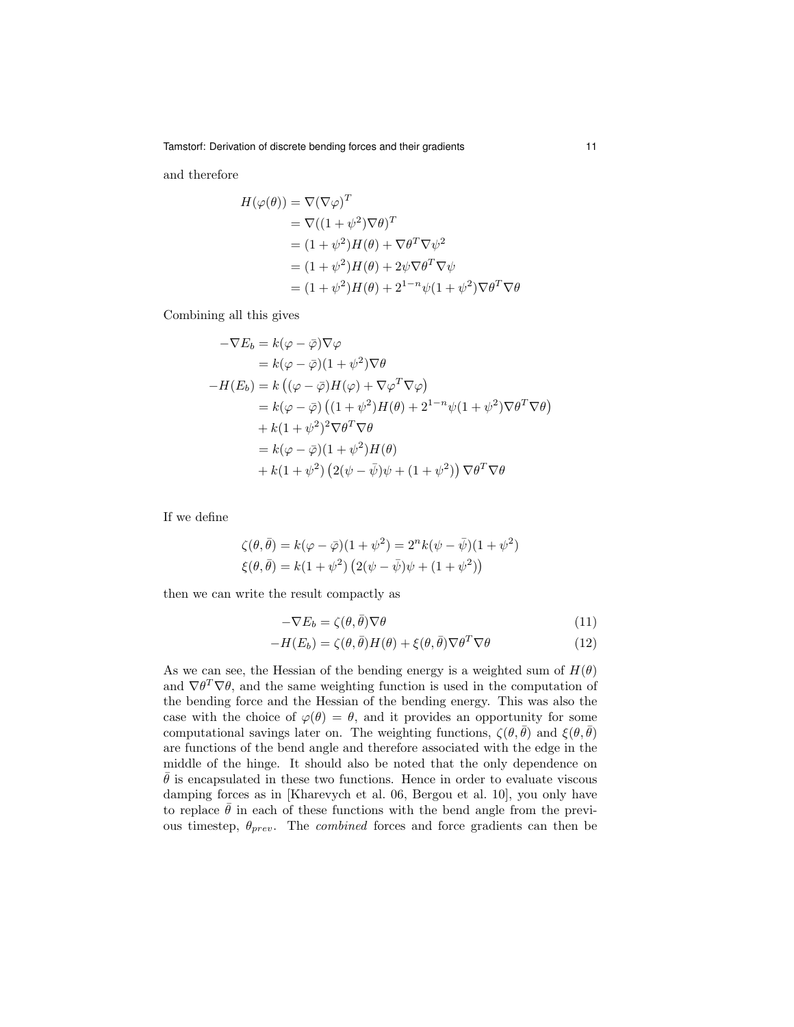and therefore

$$
H(\varphi(\theta)) = \nabla(\nabla\varphi)^T
$$
  
=  $\nabla((1 + \psi^2)\nabla\theta)^T$   
=  $(1 + \psi^2)H(\theta) + \nabla\theta^T\nabla\psi^2$   
=  $(1 + \psi^2)H(\theta) + 2\psi\nabla\theta^T\nabla\psi$   
=  $(1 + \psi^2)H(\theta) + 2^{1-n}\psi(1 + \psi^2)\nabla\theta^T\nabla\theta$ 

Combining all this gives

$$
-\nabla E_b = k(\varphi - \bar{\varphi})\nabla\varphi
$$
  
=  $k(\varphi - \bar{\varphi})(1 + \psi^2)\nabla\theta$   

$$
-H(E_b) = k((\varphi - \bar{\varphi})H(\varphi) + \nabla\varphi^T\nabla\varphi)
$$
  
=  $k(\varphi - \bar{\varphi})((1 + \psi^2)H(\theta) + 2^{1-n}\psi(1 + \psi^2)\nabla\theta^T\nabla\theta)$   
+  $k(1 + \psi^2)^2\nabla\theta^T\nabla\theta$   
=  $k(\varphi - \bar{\varphi})(1 + \psi^2)H(\theta)$   
+  $k(1 + \psi^2)(2(\psi - \bar{\psi})\psi + (1 + \psi^2))\nabla\theta^T\nabla\theta$ 

If we define

$$
\zeta(\theta, \bar{\theta}) = k(\varphi - \bar{\varphi})(1 + \psi^2) = 2^n k(\psi - \bar{\psi})(1 + \psi^2) \n\xi(\theta, \bar{\theta}) = k(1 + \psi^2) (2(\psi - \bar{\psi})\psi + (1 + \psi^2))
$$

then we can write the result compactly as

$$
-\nabla E_b = \zeta(\theta, \bar{\theta}) \nabla \theta \tag{11}
$$

$$
-H(E_b) = \zeta(\theta, \bar{\theta})H(\theta) + \xi(\theta, \bar{\theta})\nabla\theta^T\nabla\theta
$$
\n(12)

As we can see, the Hessian of the bending energy is a weighted sum of  $H(\theta)$ and  $\nabla \theta^T \nabla \theta$ , and the same weighting function is used in the computation of the bending force and the Hessian of the bending energy. This was also the case with the choice of  $\varphi(\theta) = \theta$ , and it provides an opportunity for some computational savings later on. The weighting functions,  $\zeta(\theta, \theta)$  and  $\xi(\theta, \theta)$ are functions of the bend angle and therefore associated with the edge in the middle of the hinge. It should also be noted that the only dependence on  $\bar{\theta}$  is encapsulated in these two functions. Hence in order to evaluate viscous damping forces as in [Kharevych et al. 06, Bergou et al. 10], you only have to replace  $\bar{\theta}$  in each of these functions with the bend angle from the previous timestep,  $\theta_{prev}$ . The *combined* forces and force gradients can then be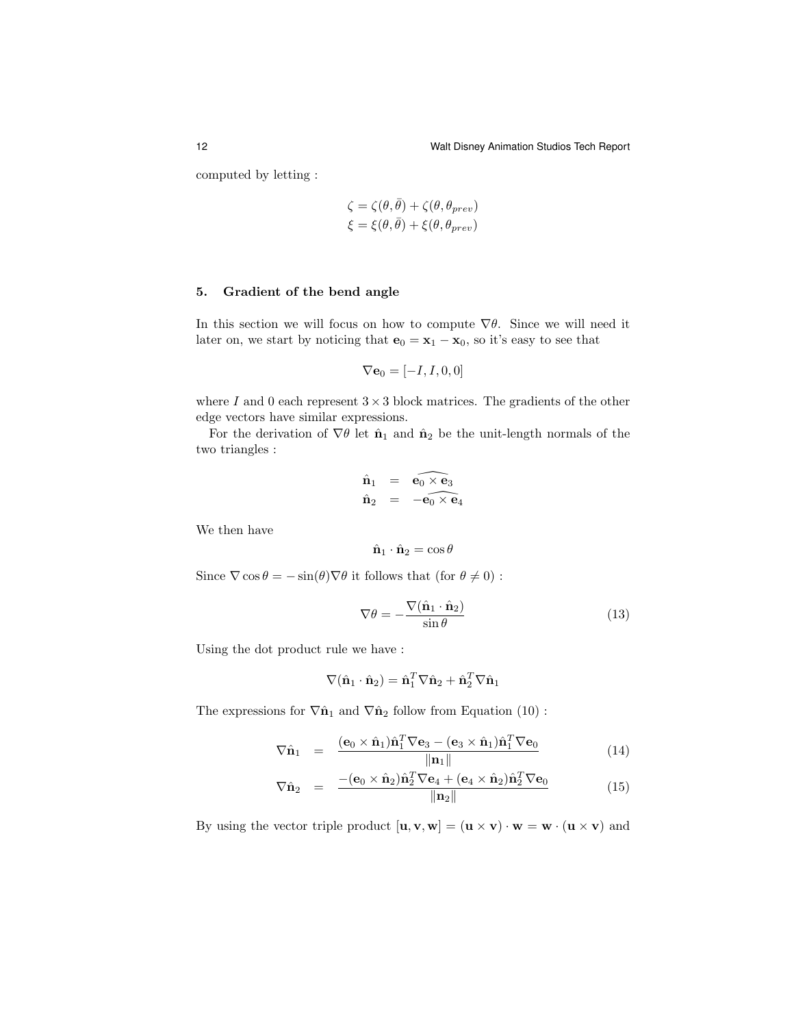computed by letting :

$$
\begin{aligned} \zeta &= \zeta(\theta, \bar{\theta}) + \zeta(\theta, \theta_{prev}) \\ \xi &= \xi(\theta, \bar{\theta}) + \xi(\theta, \theta_{prev}) \end{aligned}
$$

# 5. Gradient of the bend angle

In this section we will focus on how to compute  $\nabla \theta$ . Since we will need it later on, we start by noticing that  $\mathbf{e}_0 = \mathbf{x}_1 - \mathbf{x}_0$ , so it's easy to see that

$$
\nabla \mathbf{e}_0 = [-I, I, 0, 0]
$$

where I and 0 each represent  $3 \times 3$  block matrices. The gradients of the other edge vectors have similar expressions.

For the derivation of  $\nabla \theta$  let  $\hat{\mathbf{n}}_1$  and  $\hat{\mathbf{n}}_2$  be the unit-length normals of the two triangles :

$$
\hat{\mathbf{n}}_1 = \widehat{\mathbf{e}_0 \times \mathbf{e}_3} \n\hat{\mathbf{n}}_2 = -\widehat{\mathbf{e}_0 \times \mathbf{e}_4}
$$

We then have

$$
\hat{\mathbf{n}}_1 \cdot \hat{\mathbf{n}}_2 = \cos \theta
$$

Since  $\nabla \cos \theta = -\sin(\theta) \nabla \theta$  it follows that (for  $\theta \neq 0$ ) :

$$
\nabla \theta = -\frac{\nabla (\hat{\mathbf{n}}_1 \cdot \hat{\mathbf{n}}_2)}{\sin \theta} \tag{13}
$$

Using the dot product rule we have :

$$
\nabla(\hat{\mathbf{n}}_1 \cdot \hat{\mathbf{n}}_2) = \hat{\mathbf{n}}_1^T \nabla \hat{\mathbf{n}}_2 + \hat{\mathbf{n}}_2^T \nabla \hat{\mathbf{n}}_1
$$

The expressions for  $\nabla \hat{\mathbf{n}}_1$  and  $\nabla \hat{\mathbf{n}}_2$  follow from Equation (10):

$$
\nabla \hat{\mathbf{n}}_1 = \frac{(\mathbf{e}_0 \times \hat{\mathbf{n}}_1) \hat{\mathbf{n}}_1^T \nabla \mathbf{e}_3 - (\mathbf{e}_3 \times \hat{\mathbf{n}}_1) \hat{\mathbf{n}}_1^T \nabla \mathbf{e}_0}{\|\mathbf{n}_1\|}
$$
(14)

$$
\nabla \hat{\mathbf{n}}_2 = \frac{- (\mathbf{e}_0 \times \hat{\mathbf{n}}_2) \hat{\mathbf{n}}_2^T \nabla \mathbf{e}_4 + (\mathbf{e}_4 \times \hat{\mathbf{n}}_2) \hat{\mathbf{n}}_2^T \nabla \mathbf{e}_0}{\|\mathbf{n}_2\|} \tag{15}
$$

By using the vector triple product  $[\mathbf{u}, \mathbf{v}, \mathbf{w}] = (\mathbf{u} \times \mathbf{v}) \cdot \mathbf{w} = \mathbf{w} \cdot (\mathbf{u} \times \mathbf{v})$  and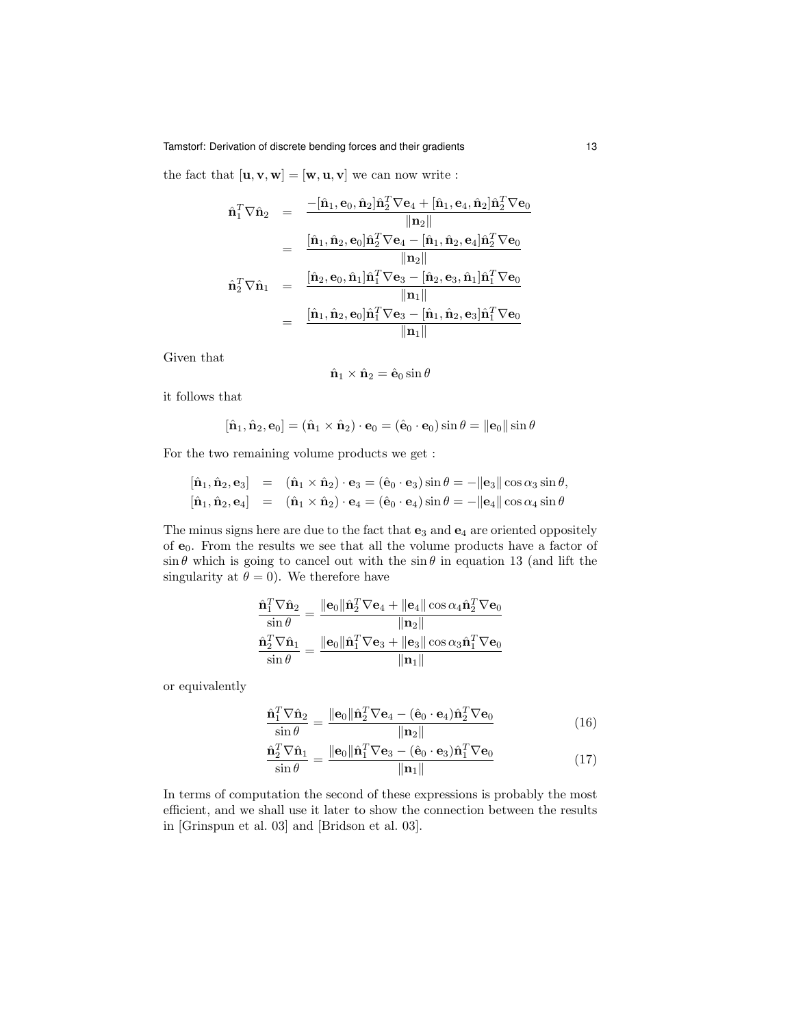the fact that  $[\mathbf{u}, \mathbf{v}, \mathbf{w}] = [\mathbf{w}, \mathbf{u}, \mathbf{v}]$  we can now write :

$$
\begin{array}{rcl} \hat{\mathbf{n}}_{1}^{T} \nabla \hat{\mathbf{n}}_{2} & = & \frac{-[\hat{\mathbf{n}}_{1}, \mathbf{e}_{0}, \hat{\mathbf{n}}_{2}] \hat{\mathbf{n}}_{2}^{T} \nabla \mathbf{e}_{4} + [\hat{\mathbf{n}}_{1}, \mathbf{e}_{4}, \hat{\mathbf{n}}_{2}] \hat{\mathbf{n}}_{2}^{T} \nabla \mathbf{e}_{0} }{\| \mathbf{n}_{2} \|} \\ & = & \frac{[\hat{\mathbf{n}}_{1}, \hat{\mathbf{n}}_{2}, \mathbf{e}_{0}] \hat{\mathbf{n}}_{2}^{T} \nabla \mathbf{e}_{4} - [\hat{\mathbf{n}}_{1}, \hat{\mathbf{n}}_{2}, \mathbf{e}_{4}] \hat{\mathbf{n}}_{2}^{T} \nabla \mathbf{e}_{0} }{\| \mathbf{n}_{2} \|} \\ & = & \frac{[\hat{\mathbf{n}}_{2}, \mathbf{e}_{0}, \hat{\mathbf{n}}_{1}] \hat{\mathbf{n}}_{1}^{T} \nabla \mathbf{e}_{3} - [\hat{\mathbf{n}}_{2}, \mathbf{e}_{3}, \hat{\mathbf{n}}_{1}] \hat{\mathbf{n}}_{1}^{T} \nabla \mathbf{e}_{0} }{\| \mathbf{n}_{1} \|} \\ & = & \frac{[\hat{\mathbf{n}}_{1}, \hat{\mathbf{n}}_{2}, \mathbf{e}_{0}] \hat{\mathbf{n}}_{1}^{T} \nabla \mathbf{e}_{3} - [\hat{\mathbf{n}}_{1}, \hat{\mathbf{n}}_{2}, \mathbf{e}_{3}] \hat{\mathbf{n}}_{1}^{T} \nabla \mathbf{e}_{0} }{\| \mathbf{n}_{1} \|} \end{array}
$$

Given that

$$
\hat{\mathbf{n}}_1 \times \hat{\mathbf{n}}_2 = \hat{\mathbf{e}}_0 \sin \theta
$$

it follows that

$$
[\hat{\mathbf{n}}_1, \hat{\mathbf{n}}_2, \mathbf{e}_0] = (\hat{\mathbf{n}}_1 \times \hat{\mathbf{n}}_2) \cdot \mathbf{e}_0 = (\hat{\mathbf{e}}_0 \cdot \mathbf{e}_0) \sin \theta = ||\mathbf{e}_0|| \sin \theta
$$

For the two remaining volume products we get :

 $\overline{a}$ 

$$
[\hat{\mathbf{n}}_1, \hat{\mathbf{n}}_2, \mathbf{e}_3] = (\hat{\mathbf{n}}_1 \times \hat{\mathbf{n}}_2) \cdot \mathbf{e}_3 = (\hat{\mathbf{e}}_0 \cdot \mathbf{e}_3) \sin \theta = -\|\mathbf{e}_3\| \cos \alpha_3 \sin \theta,
$$
  

$$
[\hat{\mathbf{n}}_1, \hat{\mathbf{n}}_2, \mathbf{e}_4] = (\hat{\mathbf{n}}_1 \times \hat{\mathbf{n}}_2) \cdot \mathbf{e}_4 = (\hat{\mathbf{e}}_0 \cdot \mathbf{e}_4) \sin \theta = -\|\mathbf{e}_4\| \cos \alpha_4 \sin \theta
$$

The minus signs here are due to the fact that  $e_3$  and  $e_4$  are oriented oppositely of  $e_0$ . From the results we see that all the volume products have a factor of  $\sin \theta$  which is going to cancel out with the  $\sin \theta$  in equation 13 (and lift the singularity at  $\theta = 0$ ). We therefore have

$$
\frac{\hat{\mathbf{n}}_1^T \nabla \hat{\mathbf{n}}_2}{\sin \theta} = \frac{\|\mathbf{e}_0\| \hat{\mathbf{n}}_2^T \nabla \mathbf{e}_4 + \|\mathbf{e}_4\| \cos \alpha_4 \hat{\mathbf{n}}_2^T \nabla \mathbf{e}_0}{\|\mathbf{n}_2\|}
$$
\n
$$
\frac{\hat{\mathbf{n}}_2^T \nabla \hat{\mathbf{n}}_1}{\sin \theta} = \frac{\|\mathbf{e}_0\| \hat{\mathbf{n}}_1^T \nabla \mathbf{e}_3 + \|\mathbf{e}_3\| \cos \alpha_3 \hat{\mathbf{n}}_1^T \nabla \mathbf{e}_0}{\|\mathbf{n}_1\|}
$$

or equivalently

$$
\frac{\hat{\mathbf{n}}_1^T \nabla \hat{\mathbf{n}}_2}{\sin \theta} = \frac{\|\mathbf{e}_0\| \hat{\mathbf{n}}_2^T \nabla \mathbf{e}_4 - (\hat{\mathbf{e}}_0 \cdot \mathbf{e}_4) \hat{\mathbf{n}}_2^T \nabla \mathbf{e}_0}{\|\mathbf{n}_2\|} \tag{16}
$$

 $\overline{a}$ 

$$
\frac{\hat{\mathbf{n}}_2^T \nabla \hat{\mathbf{n}}_1}{\sin \theta} = \frac{\|\mathbf{e}_0\| \hat{\mathbf{n}}_1^T \nabla \mathbf{e}_3 - (\hat{\mathbf{e}}_0 \cdot \mathbf{e}_3) \hat{\mathbf{n}}_1^T \nabla \mathbf{e}_0}{\|\mathbf{n}_1\|}
$$
(17)

In terms of computation the second of these expressions is probably the most efficient, and we shall use it later to show the connection between the results in [Grinspun et al. 03] and [Bridson et al. 03].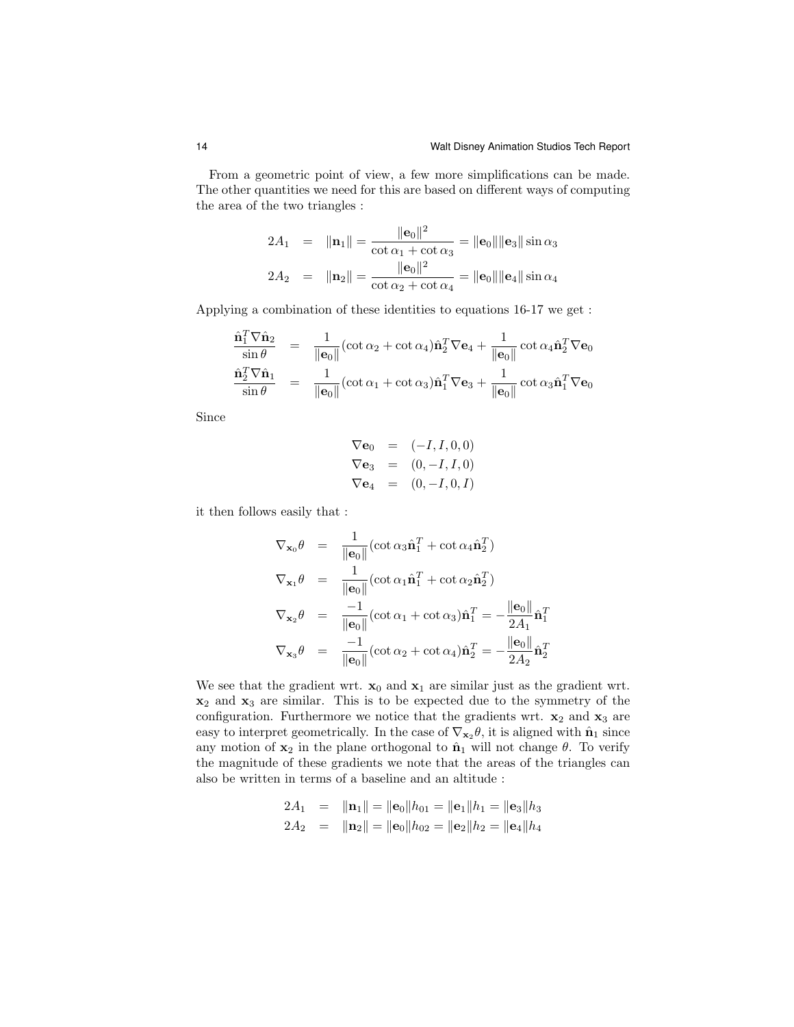From a geometric point of view, a few more simplifications can be made. The other quantities we need for this are based on different ways of computing the area of the two triangles :

$$
2A_1 = \|\mathbf{n}_1\| = \frac{\|\mathbf{e}_0\|^2}{\cot \alpha_1 + \cot \alpha_3} = \|\mathbf{e}_0\| \|\mathbf{e}_3\| \sin \alpha_3
$$
  

$$
2A_2 = \|\mathbf{n}_2\| = \frac{\|\mathbf{e}_0\|^2}{\cot \alpha_2 + \cot \alpha_4} = \|\mathbf{e}_0\| \|\mathbf{e}_4\| \sin \alpha_4
$$

Applying a combination of these identities to equations 16-17 we get :

$$
\frac{\hat{\mathbf{n}}_1^T \nabla \hat{\mathbf{n}}_2}{\sin \theta} = \frac{1}{\|\mathbf{e}_0\|} (\cot \alpha_2 + \cot \alpha_4) \hat{\mathbf{n}}_2^T \nabla \mathbf{e}_4 + \frac{1}{\|\mathbf{e}_0\|} \cot \alpha_4 \hat{\mathbf{n}}_2^T \nabla \mathbf{e}_0
$$
\n
$$
\frac{\hat{\mathbf{n}}_2^T \nabla \hat{\mathbf{n}}_1}{\sin \theta} = \frac{1}{\|\mathbf{e}_0\|} (\cot \alpha_1 + \cot \alpha_3) \hat{\mathbf{n}}_1^T \nabla \mathbf{e}_3 + \frac{1}{\|\mathbf{e}_0\|} \cot \alpha_3 \hat{\mathbf{n}}_1^T \nabla \mathbf{e}_0
$$

Since

$$
\nabla \mathbf{e}_0 = (-I, I, 0, 0) \n\nabla \mathbf{e}_3 = (0, -I, I, 0) \n\nabla \mathbf{e}_4 = (0, -I, 0, I)
$$

it then follows easily that :

$$
\nabla_{\mathbf{x}_0} \theta = \frac{1}{\|\mathbf{e}_0\|} (\cot \alpha_3 \hat{\mathbf{n}}_1^T + \cot \alpha_4 \hat{\mathbf{n}}_2^T)
$$
  
\n
$$
\nabla_{\mathbf{x}_1} \theta = \frac{1}{\|\mathbf{e}_0\|} (\cot \alpha_1 \hat{\mathbf{n}}_1^T + \cot \alpha_2 \hat{\mathbf{n}}_2^T)
$$
  
\n
$$
\nabla_{\mathbf{x}_2} \theta = \frac{-1}{\|\mathbf{e}_0\|} (\cot \alpha_1 + \cot \alpha_3) \hat{\mathbf{n}}_1^T = -\frac{\|\mathbf{e}_0\|}{2A_1} \hat{\mathbf{n}}_1^T
$$
  
\n
$$
\nabla_{\mathbf{x}_3} \theta = \frac{-1}{\|\mathbf{e}_0\|} (\cot \alpha_2 + \cot \alpha_4) \hat{\mathbf{n}}_2^T = -\frac{\|\mathbf{e}_0\|}{2A_2} \hat{\mathbf{n}}_2^T
$$

We see that the gradient wrt.  $x_0$  and  $x_1$  are similar just as the gradient wrt.  $x_2$  and  $x_3$  are similar. This is to be expected due to the symmetry of the configuration. Furthermore we notice that the gradients wrt.  $x_2$  and  $x_3$  are easy to interpret geometrically. In the case of  $\nabla_{\mathbf{x}_2} \theta$ , it is aligned with  $\hat{\mathbf{n}}_1$  since any motion of  $x_2$  in the plane orthogonal to  $\hat{\mathbf{n}}_1$  will not change  $\theta$ . To verify the magnitude of these gradients we note that the areas of the triangles can also be written in terms of a baseline and an altitude :

$$
2A_1 = ||\mathbf{n}_1|| = ||\mathbf{e}_0||h_{01} = ||\mathbf{e}_1||h_1 = ||\mathbf{e}_3||h_3
$$
  

$$
2A_2 = ||\mathbf{n}_2|| = ||\mathbf{e}_0||h_{02} = ||\mathbf{e}_2||h_2 = ||\mathbf{e}_4||h_4
$$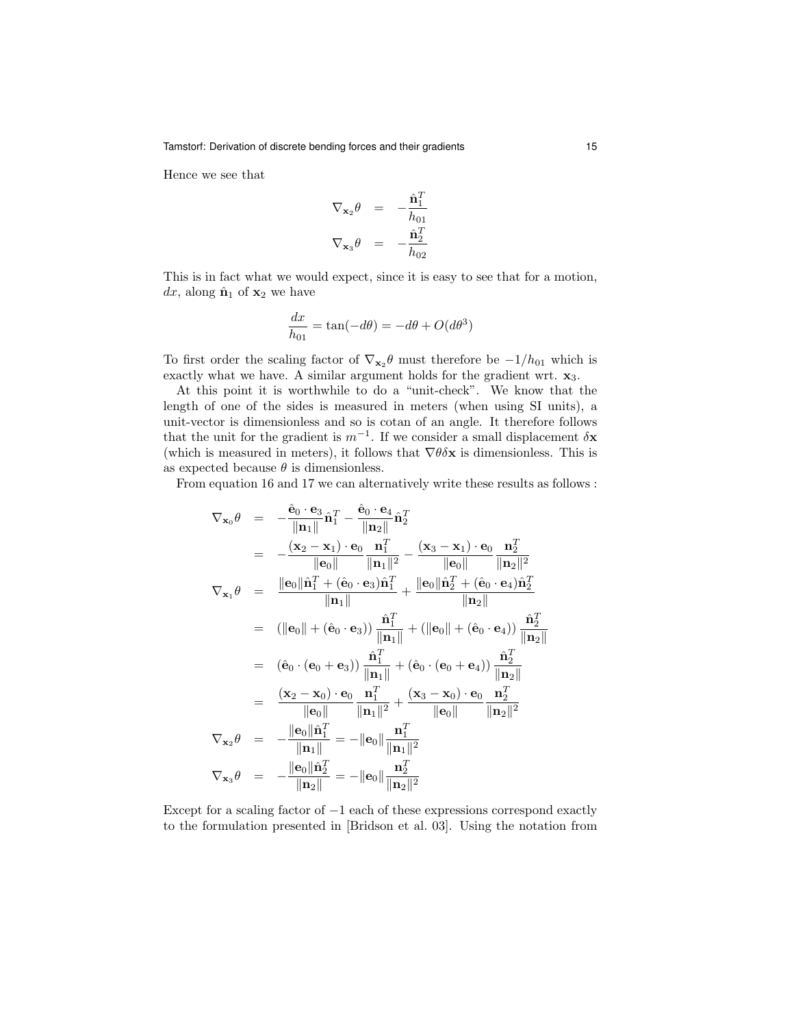Hence we see that

$$
\nabla_{\mathbf{x}_2} \theta = -\frac{\hat{\mathbf{n}}_1^T}{h_{01}}
$$

$$
\nabla_{\mathbf{x}_3} \theta = -\frac{\hat{\mathbf{n}}_2^T}{h_{02}}
$$

This is in fact what we would expect, since it is easy to see that for a motion, dx, along  $\hat{\mathbf{n}}_1$  of  $\mathbf{x}_2$  we have

$$
\frac{dx}{h_{01}} = \tan(-d\theta) = -d\theta + O(d\theta^3)
$$

To first order the scaling factor of  $\nabla_{\mathbf{x}_2} \theta$  must therefore be  $-1/h_{01}$  which is exactly what we have. A similar argument holds for the gradient wrt.  $x_3$ .

At this point it is worthwhile to do a "unit-check". We know that the length of one of the sides is measured in meters (when using SI units), a unit-vector is dimensionless and so is cotan of an angle. It therefore follows that the unit for the gradient is  $m^{-1}$ . If we consider a small displacement  $\delta \mathbf{x}$ (which is measured in meters), it follows that  $\nabla \theta \delta \mathbf{x}$  is dimensionless. This is as expected because  $\theta$  is dimensionless.

From equation 16 and 17 we can alternatively write these results as follows :

$$
\nabla_{\mathbf{x}_{0}}\theta = -\frac{\hat{\mathbf{e}}_{0} \cdot \mathbf{e}_{3}}{\|\mathbf{n}_{1}\|} \hat{\mathbf{n}}_{1}^{T} - \frac{\hat{\mathbf{e}}_{0} \cdot \mathbf{e}_{4}}{\|\mathbf{n}_{2}\|} \hat{\mathbf{n}}_{2}^{T}
$$
\n
$$
= -\frac{(\mathbf{x}_{2} - \mathbf{x}_{1}) \cdot \mathbf{e}_{0}}{\|\mathbf{e}_{0}\|} \frac{\mathbf{n}_{1}^{T}}{\|\mathbf{n}_{1}\|^{2}} - \frac{(\mathbf{x}_{3} - \mathbf{x}_{1}) \cdot \mathbf{e}_{0}}{\|\mathbf{e}_{0}\|} \frac{\mathbf{n}_{2}^{T}}{\|\mathbf{n}_{2}\|^{2}}
$$
\n
$$
\nabla_{\mathbf{x}_{1}}\theta = \frac{\|\mathbf{e}_{0}\|\hat{\mathbf{n}}_{1}^{T} + (\hat{\mathbf{e}}_{0} \cdot \mathbf{e}_{3})\hat{\mathbf{n}}_{1}^{T}}{\|\mathbf{n}_{1}\|} + \frac{\|\mathbf{e}_{0}\|\hat{\mathbf{n}}_{2}^{T} + (\hat{\mathbf{e}}_{0} \cdot \mathbf{e}_{4})\hat{\mathbf{n}}_{2}^{T}}{\|\mathbf{n}_{2}\|}
$$
\n
$$
= (\|\mathbf{e}_{0}\| + (\hat{\mathbf{e}}_{0} \cdot \mathbf{e}_{3})) \frac{\hat{\mathbf{n}}_{1}^{T}}{\|\mathbf{n}_{1}\|} + (\|\mathbf{e}_{0}\| + (\hat{\mathbf{e}}_{0} \cdot \mathbf{e}_{4})) \frac{\hat{\mathbf{n}}_{2}^{T}}{\|\mathbf{n}_{2}\|}
$$
\n
$$
= (\hat{\mathbf{e}}_{0} \cdot (\mathbf{e}_{0} + \mathbf{e}_{3})) \frac{\hat{\mathbf{n}}_{1}^{T}}{\|\mathbf{n}_{1}\|} + (\hat{\mathbf{e}}_{0} \cdot (\mathbf{e}_{0} + \mathbf{e}_{4})) \frac{\hat{\mathbf{n}}_{2}^{T}}{\|\mathbf{n}_{2}\|}
$$
\n
$$
= \frac{(\mathbf{x}_{2} - \mathbf{x}_{0}) \cdot \mathbf{e}_{0}}{\|\mathbf{e}_{0}\|} \frac{\mathbf{n}_{1}^{T}}{\|\mathbf{n}_{1}\|^{2}} + \frac{(\mathbf{x}_{3} - \mathbf{x}_{0}) \cdot \mathbf{e}_{0}}{\|\math
$$

Except for a scaling factor of  $-1$  each of these expressions correspond exactly to the formulation presented in [Bridson et al. 03]. Using the notation from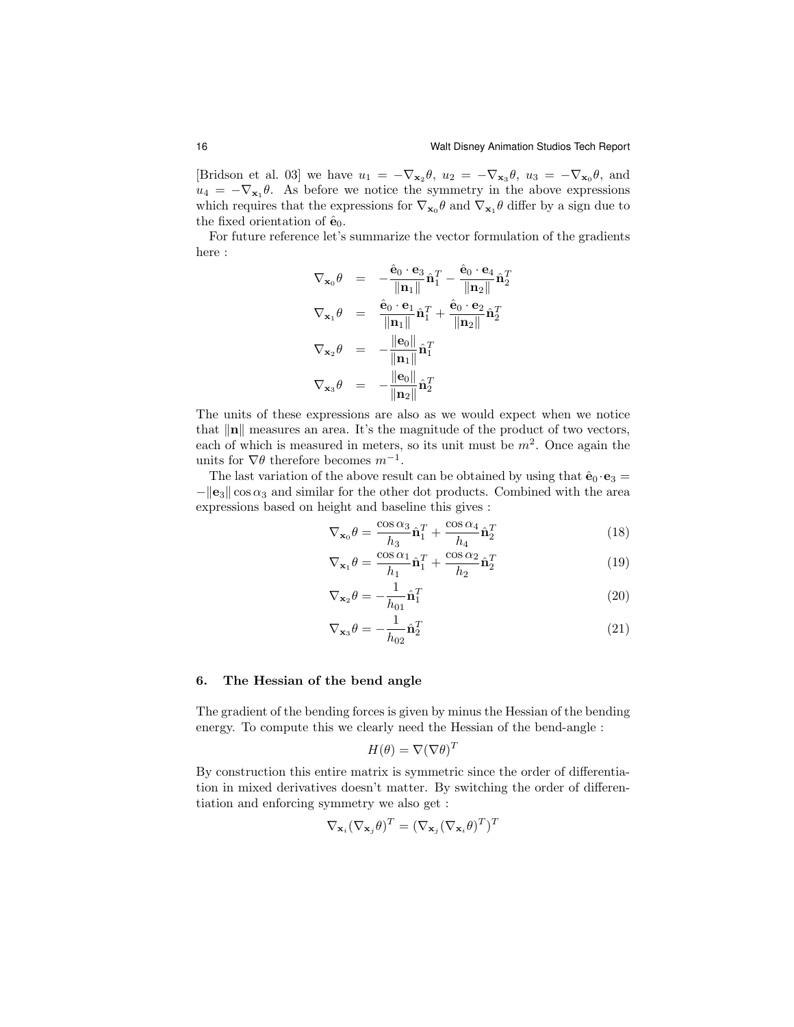[Bridson et al. 03] we have  $u_1 = -\nabla_{\mathbf{x}_2} \theta$ ,  $u_2 = -\nabla_{\mathbf{x}_3} \theta$ ,  $u_3 = -\nabla_{\mathbf{x}_0} \theta$ , and  $u_4 = -\nabla_{\mathbf{x}_1} \theta$ . As before we notice the symmetry in the above expressions which requires that the expressions for  $\nabla_{\mathbf{x}_0}\theta$  and  $\nabla_{\mathbf{x}_1}\theta$  differ by a sign due to the fixed orientation of  $\hat{\mathbf{e}}_0$ .

For future reference let's summarize the vector formulation of the gradients here :

$$
\nabla_{\mathbf{x}_0} \theta = -\frac{\hat{\mathbf{e}}_0 \cdot \mathbf{e}_3}{\|\mathbf{n}_1\|} \hat{\mathbf{n}}_1^T - \frac{\hat{\mathbf{e}}_0 \cdot \mathbf{e}_4}{\|\mathbf{n}_2\|} \hat{\mathbf{n}}_2^T
$$
  

$$
\nabla_{\mathbf{x}_1} \theta = \frac{\hat{\mathbf{e}}_0 \cdot \mathbf{e}_1}{\|\mathbf{n}_1\|} \hat{\mathbf{n}}_1^T + \frac{\hat{\mathbf{e}}_0 \cdot \mathbf{e}_2}{\|\mathbf{n}_2\|} \hat{\mathbf{n}}_2^T
$$
  

$$
\nabla_{\mathbf{x}_2} \theta = -\frac{\|\mathbf{e}_0\|}{\|\mathbf{n}_1\|} \hat{\mathbf{n}}_1^T
$$
  

$$
\nabla_{\mathbf{x}_3} \theta = -\frac{\|\mathbf{e}_0\|}{\|\mathbf{n}_2\|} \hat{\mathbf{n}}_2^T
$$

The units of these expressions are also as we would expect when we notice that  $\|\mathbf{n}\|$  measures an area. It's the magnitude of the product of two vectors, each of which is measured in meters, so its unit must be  $m^2$ . Once again the units for  $\nabla \theta$  therefore becomes  $m^{-1}$ .

The last variation of the above result can be obtained by using that  $\hat{\mathbf{e}}_0 \cdot \mathbf{e}_3 =$  $-\|\mathbf{e}_3\| \cos \alpha_3$  and similar for the other dot products. Combined with the area expressions based on height and baseline this gives :

$$
\nabla_{\mathbf{x}_0} \theta = \frac{\cos \alpha_3}{h_3} \hat{\mathbf{n}}_1^T + \frac{\cos \alpha_4}{h_4} \hat{\mathbf{n}}_2^T
$$
 (18)

$$
\nabla_{\mathbf{x}_1} \theta = \frac{\cos \alpha_1}{h_1} \hat{\mathbf{n}}_1^T + \frac{\cos \alpha_2}{h_2} \hat{\mathbf{n}}_2^T
$$
 (19)

$$
\nabla_{\mathbf{x}_2} \theta = -\frac{1}{h_{01}} \hat{\mathbf{n}}_1^T
$$
 (20)

$$
\nabla_{\mathbf{x}_3} \theta = -\frac{1}{h_{02}} \hat{\mathbf{n}}_2^T
$$
 (21)

### 6. The Hessian of the bend angle

The gradient of the bending forces is given by minus the Hessian of the bending energy. To compute this we clearly need the Hessian of the bend-angle :

$$
H(\theta) = \nabla(\nabla \theta)^T
$$

By construction this entire matrix is symmetric since the order of differentiation in mixed derivatives doesn't matter. By switching the order of differentiation and enforcing symmetry we also get :

$$
\nabla_{\mathbf{x}_i} (\nabla_{\mathbf{x}_j} \theta)^T = (\nabla_{\mathbf{x}_j} (\nabla_{\mathbf{x}_i} \theta)^T)^T
$$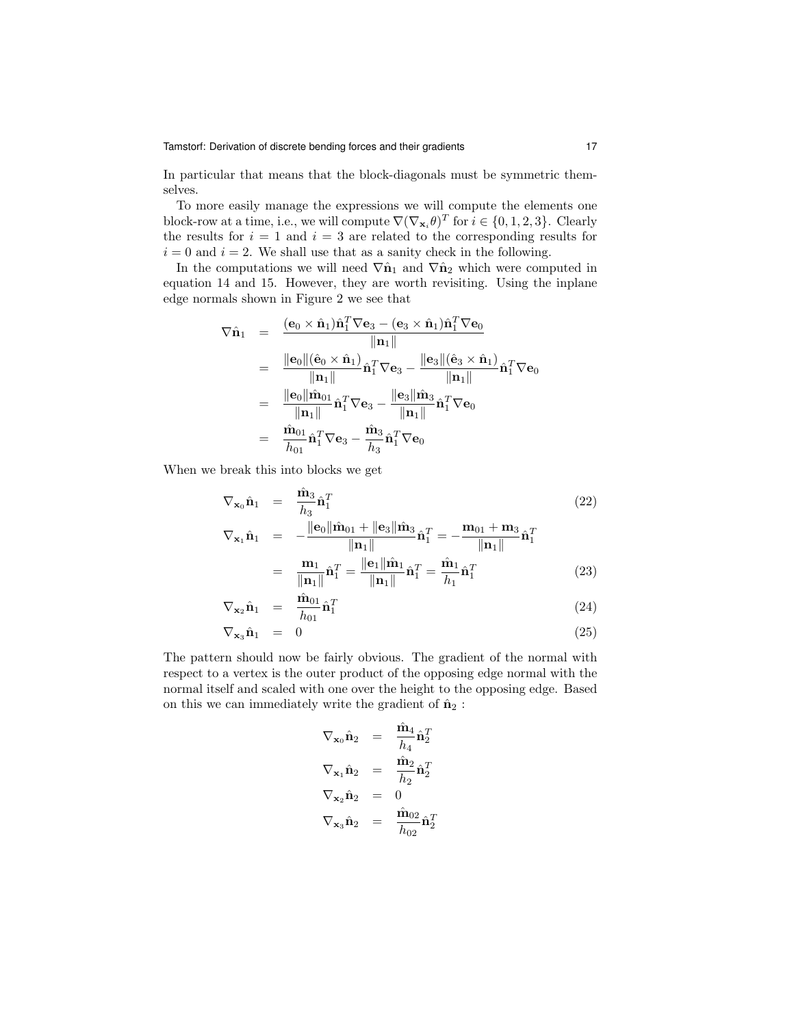In particular that means that the block-diagonals must be symmetric themselves.

To more easily manage the expressions we will compute the elements one block-row at a time, i.e., we will compute  $\nabla (\nabla_{\mathbf{x}_i} \theta)^T$  for  $i \in \{0, 1, 2, 3\}$ . Clearly the results for  $i = 1$  and  $i = 3$  are related to the corresponding results for  $i = 0$  and  $i = 2$ . We shall use that as a sanity check in the following.

In the computations we will need  $\nabla \hat{\mathbf{n}}_1$  and  $\nabla \hat{\mathbf{n}}_2$  which were computed in equation 14 and 15. However, they are worth revisiting. Using the inplane edge normals shown in Figure 2 we see that

$$
\nabla \hat{\mathbf{n}}_1 = \frac{(\mathbf{e}_0 \times \hat{\mathbf{n}}_1) \hat{\mathbf{n}}_1^T \nabla \mathbf{e}_3 - (\mathbf{e}_3 \times \hat{\mathbf{n}}_1) \hat{\mathbf{n}}_1^T \nabla \mathbf{e}_0}{\|\mathbf{n}_1\|} \n= \frac{\|\mathbf{e}_0\| (\hat{\mathbf{e}}_0 \times \hat{\mathbf{n}}_1)}{\|\mathbf{n}_1\|} \hat{\mathbf{n}}_1^T \nabla \mathbf{e}_3 - \frac{\|\mathbf{e}_3\| (\hat{\mathbf{e}}_3 \times \hat{\mathbf{n}}_1)}{\|\mathbf{n}_1\|} \hat{\mathbf{n}}_1^T \nabla \mathbf{e}_0 \n= \frac{\|\mathbf{e}_0\| \hat{\mathbf{m}}_0}{\|\mathbf{n}_1\|} \hat{\mathbf{n}}_1^T \nabla \mathbf{e}_3 - \frac{\|\mathbf{e}_3\| \hat{\mathbf{m}}_3}{\|\mathbf{n}_1\|} \hat{\mathbf{n}}_1^T \nabla \mathbf{e}_0 \n= \frac{\hat{\mathbf{m}}_{01}}{h_{01}} \hat{\mathbf{n}}_1^T \nabla \mathbf{e}_3 - \frac{\hat{\mathbf{m}}_3}{h_3} \hat{\mathbf{n}}_1^T \nabla \mathbf{e}_0
$$

When we break this into blocks we get

$$
\nabla_{\mathbf{x}_0} \hat{\mathbf{n}}_1 = \frac{\hat{\mathbf{m}}_3}{h_3} \hat{\mathbf{n}}_1^T
$$
(22)  

$$
\nabla_{\mathbf{x}_1} \hat{\mathbf{n}}_1 = -\frac{\|\mathbf{e}_0\| \hat{\mathbf{m}}_{01} + \|\mathbf{e}_3\| \hat{\mathbf{m}}_3}{\|\mathbf{n}_1\|} \hat{\mathbf{n}}_1^T = -\frac{\mathbf{m}_{01} + \mathbf{m}_3}{\|\mathbf{n}_1\|} \hat{\mathbf{n}}_1^T
$$

$$
= \frac{\mathbf{m}_1}{\|\mathbf{n}_1\|} \hat{\mathbf{n}}_1^T = \frac{\|\mathbf{e}_1\| \hat{\mathbf{m}}_1}{\|\mathbf{n}_1\|} \hat{\mathbf{n}}_1^T = \frac{\hat{\mathbf{m}}_1}{h_1} \hat{\mathbf{n}}_1^T
$$
(23)

$$
\nabla_{\mathbf{x}_2} \hat{\mathbf{n}}_1 = \frac{\hat{\mathbf{m}}_{01}}{h_{01}} \hat{\mathbf{n}}_1^T
$$
 (24)

$$
\nabla_{\mathbf{x}_3} \hat{\mathbf{n}}_1 = 0 \tag{25}
$$

The pattern should now be fairly obvious. The gradient of the normal with respect to a vertex is the outer product of the opposing edge normal with the normal itself and scaled with one over the height to the opposing edge. Based on this we can immediately write the gradient of  $\hat{\mathbf{n}}_2$  :

$$
\nabla_{\mathbf{x}_0} \hat{\mathbf{n}}_2 = \frac{\hat{\mathbf{m}}_4}{h_4} \hat{\mathbf{n}}_2^T
$$
  

$$
\nabla_{\mathbf{x}_1} \hat{\mathbf{n}}_2 = \frac{\hat{\mathbf{m}}_2}{h_2} \hat{\mathbf{n}}_2^T
$$
  

$$
\nabla_{\mathbf{x}_2} \hat{\mathbf{n}}_2 = 0
$$
  

$$
\nabla_{\mathbf{x}_3} \hat{\mathbf{n}}_2 = \frac{\hat{\mathbf{m}}_{02}}{h_{02}} \hat{\mathbf{n}}_2^T
$$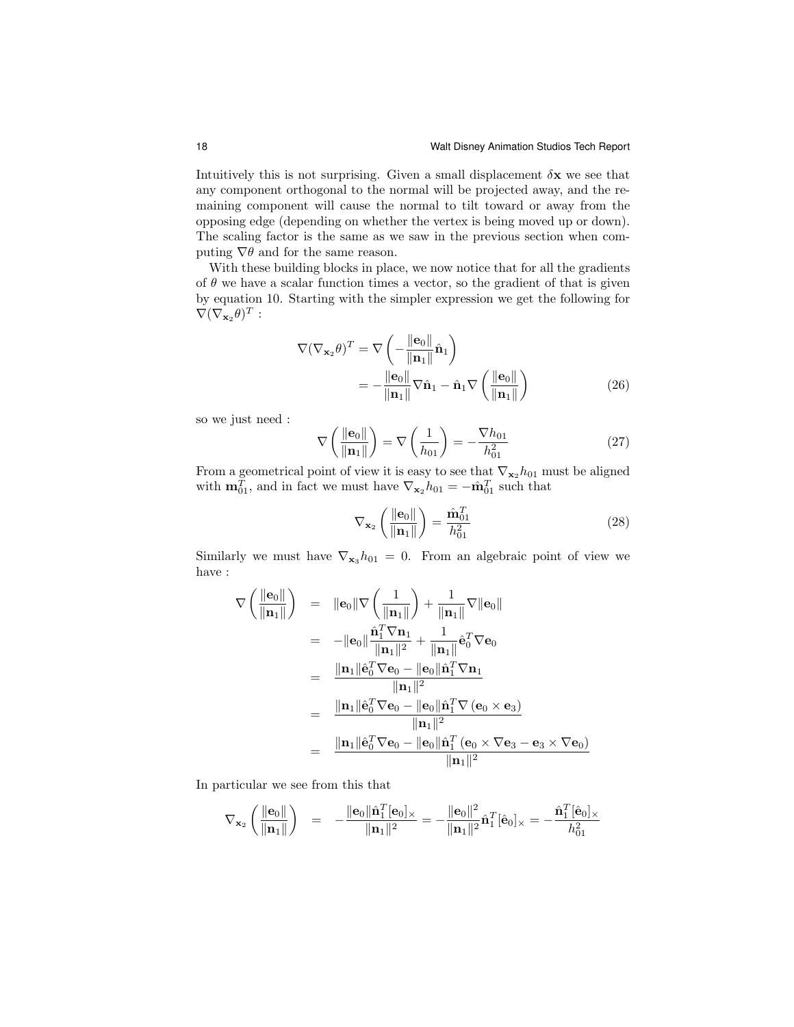Intuitively this is not surprising. Given a small displacement  $\delta x$  we see that any component orthogonal to the normal will be projected away, and the remaining component will cause the normal to tilt toward or away from the opposing edge (depending on whether the vertex is being moved up or down). The scaling factor is the same as we saw in the previous section when computing  $\nabla \theta$  and for the same reason.

With these building blocks in place, we now notice that for all the gradients of  $\theta$  we have a scalar function times a vector, so the gradient of that is given by equation 10. Starting with the simpler expression we get the following for  $\nabla (\nabla_{\mathbf{x}_2} \theta)^T$ :

$$
\nabla(\nabla_{\mathbf{x}_2}\theta)^T = \nabla\left(-\frac{\|\mathbf{e}_0\|}{\|\mathbf{n}_1\|}\hat{\mathbf{n}}_1\right)
$$

$$
= -\frac{\|\mathbf{e}_0\|}{\|\mathbf{n}_1\|}\nabla\hat{\mathbf{n}}_1 - \hat{\mathbf{n}}_1\nabla\left(\frac{\|\mathbf{e}_0\|}{\|\mathbf{n}_1\|}\right) \tag{26}
$$

so we just need :

$$
\nabla \left( \frac{\|\mathbf{e}_0\|}{\|\mathbf{n}_1\|} \right) = \nabla \left( \frac{1}{h_{01}} \right) = -\frac{\nabla h_{01}}{h_{01}^2} \tag{27}
$$

From a geometrical point of view it is easy to see that  $\nabla_{\mathbf{x}_2} h_{01}$  must be aligned with  $\mathbf{m}_{01}^T$ , and in fact we must have  $\nabla_{\mathbf{x}_2} h_{01} = -\hat{\mathbf{m}}_{01}^T$  such that

$$
\nabla_{\mathbf{x}_2} \left( \frac{\|\mathbf{e}_0\|}{\|\mathbf{n}_1\|} \right) = \frac{\hat{\mathbf{m}}_{01}^T}{h_{01}^2} \tag{28}
$$

Similarly we must have  $\nabla_{\mathbf{x}_3} h_{01} = 0$ . From an algebraic point of view we have :

$$
\nabla \left( \frac{\|\mathbf{e}_0\|}{\|\mathbf{n}_1\|} \right) = \|\mathbf{e}_0\| \nabla \left( \frac{1}{\|\mathbf{n}_1\|} \right) + \frac{1}{\|\mathbf{n}_1\|} \nabla \|\mathbf{e}_0\|
$$
  
\n
$$
= -\|\mathbf{e}_0\| \frac{\hat{\mathbf{n}}_1^T \nabla \mathbf{n}_1}{\|\mathbf{n}_1\|^2} + \frac{1}{\|\mathbf{n}_1\|} \hat{\mathbf{e}}_0^T \nabla \mathbf{e}_0
$$
  
\n
$$
= \frac{\|\mathbf{n}_1\| \hat{\mathbf{e}}_0^T \nabla \mathbf{e}_0 - \|\mathbf{e}_0\| \hat{\mathbf{n}}_1^T \nabla \mathbf{n}_1}{\|\mathbf{n}_1\|^2}
$$
  
\n
$$
= \frac{\|\mathbf{n}_1\| \hat{\mathbf{e}}_0^T \nabla \mathbf{e}_0 - \|\mathbf{e}_0\| \hat{\mathbf{n}}_1^T \nabla (\mathbf{e}_0 \times \mathbf{e}_3)}{\|\mathbf{n}_1\|^2}
$$
  
\n
$$
= \frac{\|\mathbf{n}_1\| \hat{\mathbf{e}}_0^T \nabla \mathbf{e}_0 - \|\mathbf{e}_0\| \hat{\mathbf{n}}_1^T (\mathbf{e}_0 \times \nabla \mathbf{e}_3 - \mathbf{e}_3 \times \nabla \mathbf{e}_0)}{\|\mathbf{n}_1\|^2}
$$

In particular we see from this that

$$
\nabla_{\mathbf{x}_2} \left( \frac{\|\mathbf{e}_0\|}{\|\mathbf{n}_1\|} \right) = -\frac{\|\mathbf{e}_0\| \hat{\mathbf{n}}_1^T[\mathbf{e}_0] \times}{\|\mathbf{n}_1\|^2} = -\frac{\|\mathbf{e}_0\|^2}{\|\mathbf{n}_1\|^2} \hat{\mathbf{n}}_1^T[\hat{\mathbf{e}}_0] \times = -\frac{\hat{\mathbf{n}}_1^T[\hat{\mathbf{e}}_0] \times}{h_{01}^2}
$$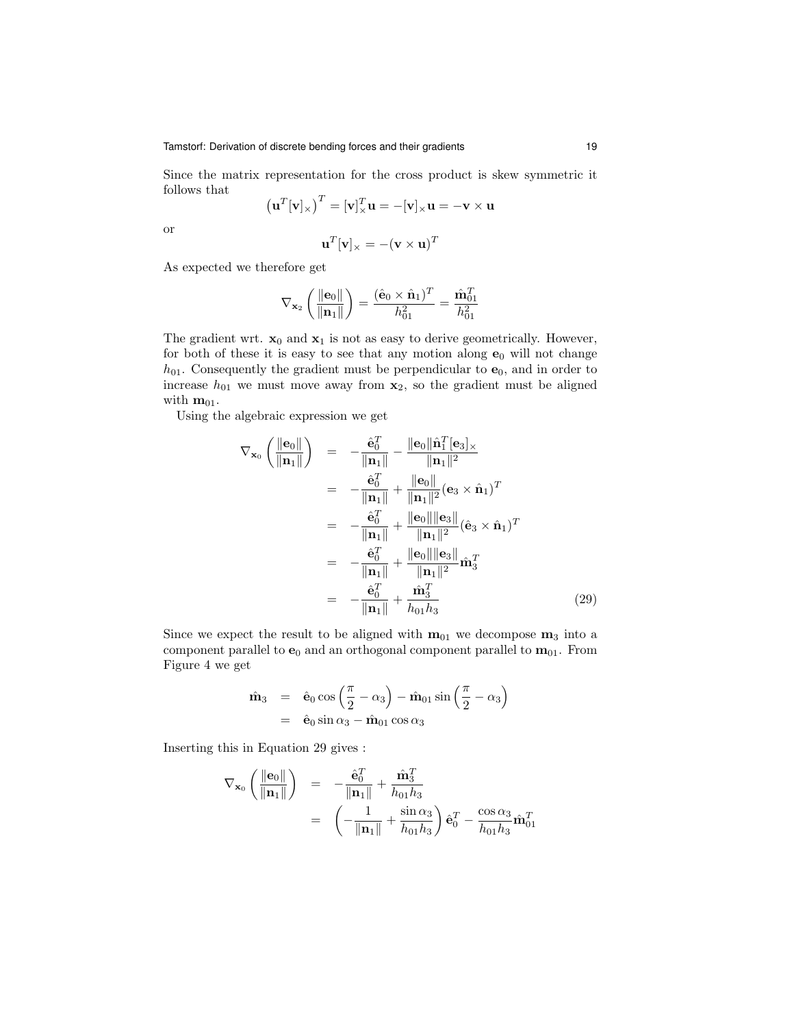Since the matrix representation for the cross product is skew symmetric it follows that  $\overline{r}$ 

$$
\left(\mathbf{u}^T[\mathbf{v}]_\times\right)^T = [\mathbf{v}]_\times^T \mathbf{u} = -[\mathbf{v}]_\times \mathbf{u} = -\mathbf{v} \times \mathbf{u}
$$

or

$$
\mathbf{u}^T[\mathbf{v}]_{\times} = -(\mathbf{v} \times \mathbf{u})^T
$$

As expected we therefore get

$$
\nabla_{\mathbf{x}_2} \left( \frac{\|\mathbf{e}_0\|}{\|\mathbf{n}_1\|} \right) = \frac{(\hat{\mathbf{e}}_0 \times \hat{\mathbf{n}}_1)^T}{h_{01}^2} = \frac{\hat{\mathbf{m}}_{01}^T}{h_{01}^2}
$$

The gradient wrt.  $\mathbf{x}_0$  and  $\mathbf{x}_1$  is not as easy to derive geometrically. However, for both of these it is easy to see that any motion along  $e_0$  will not change  $h_{01}$ . Consequently the gradient must be perpendicular to  $e_0$ , and in order to increase  $h_{01}$  we must move away from  $x_2$ , so the gradient must be aligned with  $m_{01}$ .

Using the algebraic expression we get

$$
\nabla_{\mathbf{x}_0} \left( \frac{\|\mathbf{e}_0\|}{\|\mathbf{n}_1\|} \right) = -\frac{\hat{\mathbf{e}}_0^T}{\|\mathbf{n}_1\|} - \frac{\|\mathbf{e}_0\| \hat{\mathbf{n}}_1^T [\mathbf{e}_3]_{\times}}{\|\mathbf{n}_1\|^2} \n= -\frac{\hat{\mathbf{e}}_0^T}{\|\mathbf{n}_1\|} + \frac{\|\mathbf{e}_0\|}{\|\mathbf{n}_1\|^2} (\mathbf{e}_3 \times \hat{\mathbf{n}}_1)^T \n= -\frac{\hat{\mathbf{e}}_0^T}{\|\mathbf{n}_1\|} + \frac{\|\mathbf{e}_0\| \|\mathbf{e}_3\|}{\|\mathbf{n}_1\|^2} (\hat{\mathbf{e}}_3 \times \hat{\mathbf{n}}_1)^T \n= -\frac{\hat{\mathbf{e}}_0^T}{\|\mathbf{n}_1\|} + \frac{\|\mathbf{e}_0\| \|\mathbf{e}_3\|}{\|\mathbf{n}_1\|^2} \hat{\mathbf{m}}_3^T \n= -\frac{\hat{\mathbf{e}}_0^T}{\|\mathbf{n}_1\|} + \frac{\hat{\mathbf{m}}_3^T}{\|\mathbf{n}_0\|_{\mathcal{B}_3}} \tag{29}
$$

Since we expect the result to be aligned with  $m_{01}$  we decompose  $m_3$  into a component parallel to  $e_0$  and an orthogonal component parallel to  $m_{01}$ . From Figure 4 we get

$$
\hat{\mathbf{m}}_3 = \hat{\mathbf{e}}_0 \cos\left(\frac{\pi}{2} - \alpha_3\right) - \hat{\mathbf{m}}_{01} \sin\left(\frac{\pi}{2} - \alpha_3\right) \n= \hat{\mathbf{e}}_0 \sin \alpha_3 - \hat{\mathbf{m}}_{01} \cos \alpha_3
$$

Inserting this in Equation 29 gives :

$$
\nabla_{\mathbf{x}_0} \left( \frac{\|\mathbf{e}_0\|}{\|\mathbf{n}_1\|} \right) = -\frac{\hat{\mathbf{e}}_0^T}{\|\mathbf{n}_1\|} + \frac{\hat{\mathbf{m}}_3^T}{h_{01}h_3}
$$
  
=  $\left( -\frac{1}{\|\mathbf{n}_1\|} + \frac{\sin \alpha_3}{h_{01}h_3} \right) \hat{\mathbf{e}}_0^T - \frac{\cos \alpha_3}{h_{01}h_3} \hat{\mathbf{m}}_{01}^T$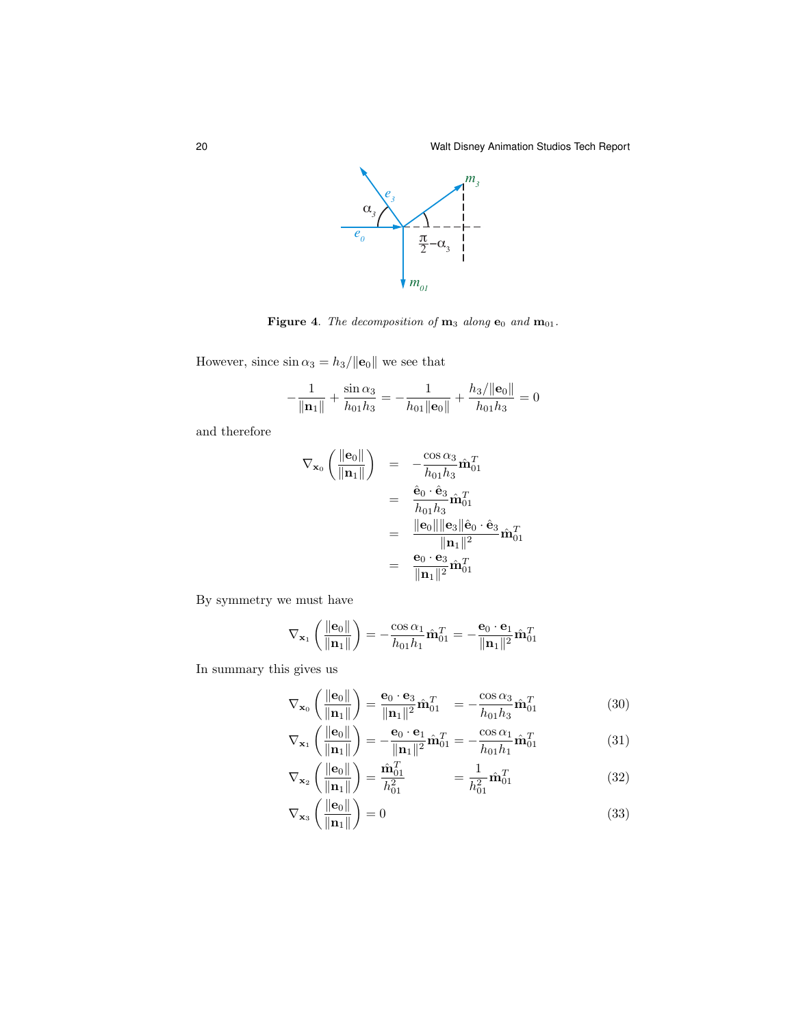

Figure 4. The decomposition of  $m_3$  along  $e_0$  and  $m_{01}$ .

However, since  $\sin\alpha_3=h_3/\|\mathbf{e}_0\|$  we see that

$$
-\frac{1}{\|\mathbf{n}_1\|} + \frac{\sin \alpha_3}{h_{01}h_3} = -\frac{1}{h_{01}\|\mathbf{e}_0\|} + \frac{h_3/\|\mathbf{e}_0\|}{h_{01}h_3} = 0
$$

and therefore

$$
\nabla_{\mathbf{x}_0} \left( \frac{\|\mathbf{e}_0\|}{\|\mathbf{n}_1\|} \right) = -\frac{\cos \alpha_3}{h_{01}h_3} \hat{\mathbf{m}}_{01}^T
$$

$$
= \frac{\hat{\mathbf{e}}_0 \cdot \hat{\mathbf{e}}_3}{h_{01}h_3} \hat{\mathbf{m}}_{01}^T
$$

$$
= \frac{\|\mathbf{e}_0\| \|\mathbf{e}_3\| \hat{\mathbf{e}}_0 \cdot \hat{\mathbf{e}}_3}{\|\mathbf{n}_1\|^2} \hat{\mathbf{m}}_{01}^T
$$

$$
= \frac{\mathbf{e}_0 \cdot \mathbf{e}_3}{\|\mathbf{n}_1\|^2} \hat{\mathbf{m}}_{01}^T
$$

By symmetry we must have

$$
\nabla_{\mathbf{x}_1} \left( \frac{\|\mathbf{e}_0\|}{\|\mathbf{n}_1\|} \right) = -\frac{\cos \alpha_1}{h_{01}h_1} \hat{\mathbf{m}}_{01}^T = -\frac{\mathbf{e}_0 \cdot \mathbf{e}_1}{\|\mathbf{n}_1\|^2} \hat{\mathbf{m}}_{01}^T
$$

In summary this gives us

$$
\nabla_{\mathbf{x}_0} \left( \frac{\|\mathbf{e}_0\|}{\|\mathbf{n}_1\|} \right) = \frac{\mathbf{e}_0 \cdot \mathbf{e}_3}{\|\mathbf{n}_1\|^2} \hat{\mathbf{m}}_{01}^T = -\frac{\cos \alpha_3}{h_{01} h_3} \hat{\mathbf{m}}_{01}^T
$$
(30)

$$
\nabla_{\mathbf{x}_1} \left( \frac{\|\mathbf{e}_0\|}{\|\mathbf{n}_1\|} \right) = -\frac{\mathbf{e}_0 \cdot \mathbf{e}_1}{\|\mathbf{n}_1\|^2} \hat{\mathbf{m}}_{01}^T = -\frac{\cos \alpha_1}{h_{01} h_1} \hat{\mathbf{m}}_{01}^T
$$
(31)

$$
\nabla_{\mathbf{x}_2} \left( \frac{\|\mathbf{e}_0\|}{\|\mathbf{n}_1\|} \right) = \frac{\hat{\mathbf{n}}_{01}^T}{h_{01}^2} \qquad \qquad = \frac{1}{h_{01}^2} \hat{\mathbf{n}}_{01}^T \tag{32}
$$

$$
\nabla_{\mathbf{x}_3} \left( \frac{\|\mathbf{e}_0\|}{\|\mathbf{n}_1\|} \right) = 0 \tag{33}
$$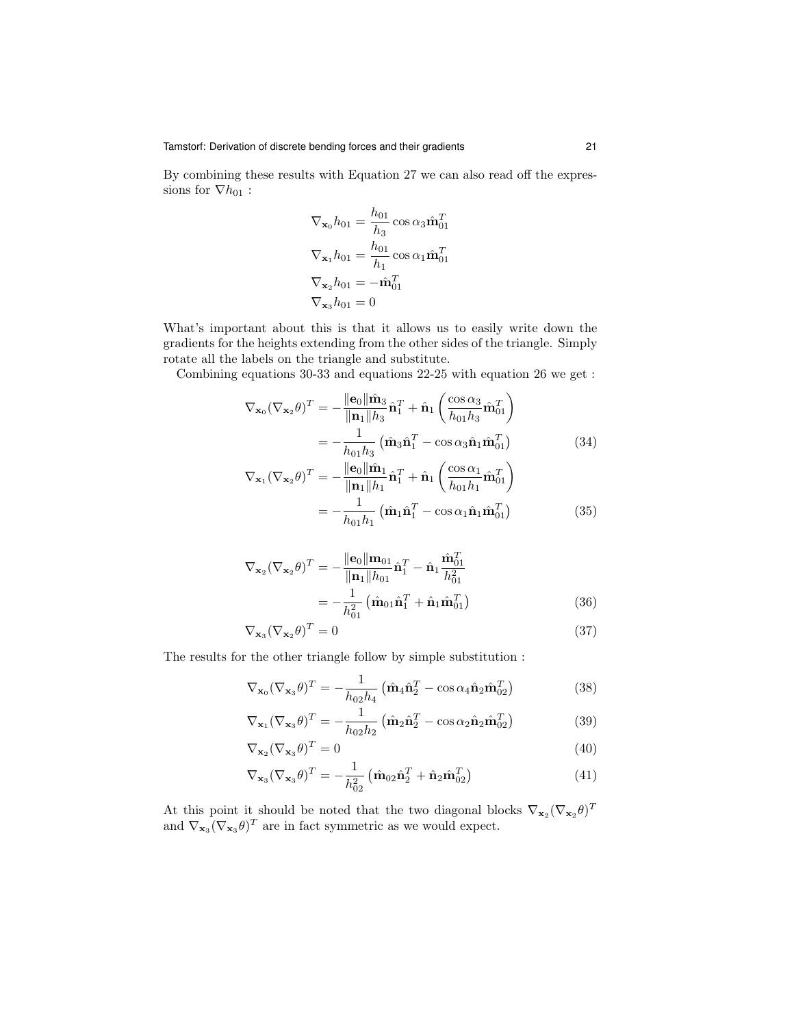By combining these results with Equation 27 we can also read off the expressions for  $\nabla h_{01}$ :

$$
\nabla_{\mathbf{x}_0} h_{01} = \frac{h_{01}}{h_3} \cos \alpha_3 \hat{\mathbf{m}}_{01}^T
$$

$$
\nabla_{\mathbf{x}_1} h_{01} = \frac{h_{01}}{h_1} \cos \alpha_1 \hat{\mathbf{m}}_{01}^T
$$

$$
\nabla_{\mathbf{x}_2} h_{01} = -\hat{\mathbf{m}}_{01}^T
$$

$$
\nabla_{\mathbf{x}_3} h_{01} = 0
$$

What's important about this is that it allows us to easily write down the gradients for the heights extending from the other sides of the triangle. Simply rotate all the labels on the triangle and substitute.

Combining equations 30-33 and equations 22-25 with equation 26 we get :

$$
\nabla_{\mathbf{x}_0} (\nabla_{\mathbf{x}_2} \theta)^T = -\frac{\|\mathbf{e}_0\| \hat{\mathbf{m}}_3}{\|\mathbf{n}_1\| h_3} \hat{\mathbf{n}}_1^T + \hat{\mathbf{n}}_1 \left( \frac{\cos \alpha_3}{h_{01} h_3} \hat{\mathbf{m}}_{01}^T \right)
$$

$$
= -\frac{1}{h_{01} h_3} \left( \hat{\mathbf{m}}_3 \hat{\mathbf{n}}_1^T - \cos \alpha_3 \hat{\mathbf{n}}_1 \hat{\mathbf{m}}_{01}^T \right)
$$
(34)

$$
\nabla_{\mathbf{x}_1} (\nabla_{\mathbf{x}_2} \theta)^T = -\frac{\|\mathbf{e}_0\| \hat{\mathbf{m}}_1}{\|\mathbf{n}_1\| h_1} \hat{\mathbf{n}}_1^T + \hat{\mathbf{n}}_1 \left( \frac{\cos \alpha_1}{h_{01} h_1} \hat{\mathbf{m}}_{01}^T \right)
$$

$$
= -\frac{1}{h_{01} h_1} \left( \hat{\mathbf{m}}_1 \hat{\mathbf{n}}_1^T - \cos \alpha_1 \hat{\mathbf{n}}_1 \hat{\mathbf{m}}_{01}^T \right)
$$
(35)

$$
\nabla_{\mathbf{x}_2} (\nabla_{\mathbf{x}_2} \theta)^T = -\frac{\|\mathbf{e}_0\| \mathbf{m}_{01}}{\|\mathbf{n}_1\| h_{01}} \hat{\mathbf{n}}_1^T - \hat{\mathbf{n}}_1 \frac{\hat{\mathbf{n}}_{01}^T}{h_{01}^2}
$$

$$
= -\frac{1}{h_{01}^2} \left( \hat{\mathbf{m}}_{01} \hat{\mathbf{n}}_1^T + \hat{\mathbf{n}}_1 \hat{\mathbf{m}}_{01}^T \right)
$$
(36)

$$
\nabla_{\mathbf{x}_3} (\nabla_{\mathbf{x}_2} \theta)^T = 0 \tag{37}
$$

The results for the other triangle follow by simple substitution :

$$
\nabla_{\mathbf{x}_0} (\nabla_{\mathbf{x}_3} \theta)^T = -\frac{1}{h_{02}h_4} \left( \hat{\mathbf{m}}_4 \hat{\mathbf{n}}_2^T - \cos \alpha_4 \hat{\mathbf{n}}_2 \hat{\mathbf{m}}_{02}^T \right)
$$
(38)

$$
\nabla_{\mathbf{x}_1} (\nabla_{\mathbf{x}_3} \theta)^T = -\frac{1}{h_{02} h_2} \left( \hat{\mathbf{m}}_2 \hat{\mathbf{n}}_2^T - \cos \alpha_2 \hat{\mathbf{n}}_2 \hat{\mathbf{m}}_{02}^T \right)
$$
(39)

$$
\nabla_{\mathbf{x}_2} (\nabla_{\mathbf{x}_3} \theta)^T = 0 \tag{40}
$$

$$
\nabla_{\mathbf{x}_3} (\nabla_{\mathbf{x}_3} \theta)^T = -\frac{1}{h_{02}^2} \left( \hat{\mathbf{m}}_{02} \hat{\mathbf{n}}_2^T + \hat{\mathbf{n}}_{2} \hat{\mathbf{m}}_{02}^T \right)
$$
(41)

At this point it should be noted that the two diagonal blocks  $\nabla_{\mathbf{x}_2} (\nabla_{\mathbf{x}_2} \theta)^T$ and  $\nabla_{\mathbf{x}_3} (\nabla_{\mathbf{x}_3} \theta)^T$  are in fact symmetric as we would expect.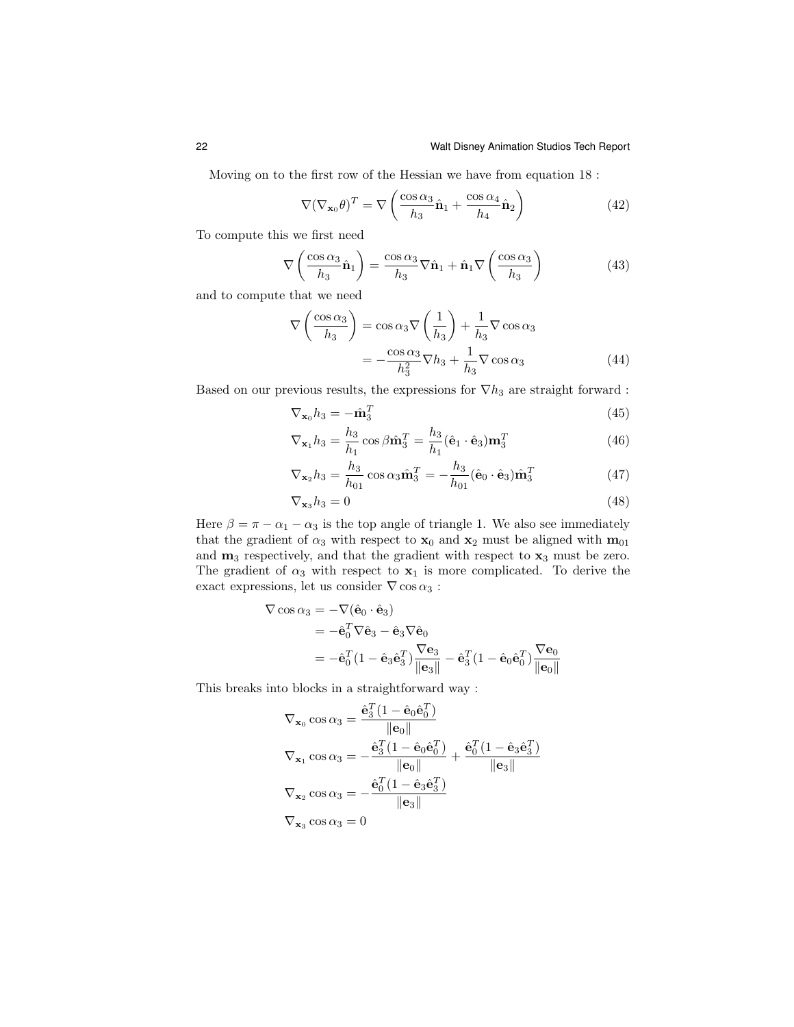Moving on to the first row of the Hessian we have from equation 18 :

$$
\nabla(\nabla_{\mathbf{x}_0}\theta)^T = \nabla\left(\frac{\cos\alpha_3}{h_3}\hat{\mathbf{n}}_1 + \frac{\cos\alpha_4}{h_4}\hat{\mathbf{n}}_2\right)
$$
(42)

To compute this we first need

$$
\nabla \left( \frac{\cos \alpha_3}{h_3} \hat{\mathbf{n}}_1 \right) = \frac{\cos \alpha_3}{h_3} \nabla \hat{\mathbf{n}}_1 + \hat{\mathbf{n}}_1 \nabla \left( \frac{\cos \alpha_3}{h_3} \right) \tag{43}
$$

and to compute that we need

$$
\nabla \left( \frac{\cos \alpha_3}{h_3} \right) = \cos \alpha_3 \nabla \left( \frac{1}{h_3} \right) + \frac{1}{h_3} \nabla \cos \alpha_3
$$

$$
= -\frac{\cos \alpha_3}{h_3^2} \nabla h_3 + \frac{1}{h_3} \nabla \cos \alpha_3 \tag{44}
$$

Based on our previous results, the expressions for  $\nabla h_3$  are straight forward :

$$
\nabla_{\mathbf{x}_0} h_3 = -\hat{\mathbf{m}}_3^T \tag{45}
$$

$$
\nabla_{\mathbf{x}_1} h_3 = \frac{h_3}{h_1} \cos \beta \hat{\mathbf{m}}_3^T = \frac{h_3}{h_1} (\hat{\mathbf{e}}_1 \cdot \hat{\mathbf{e}}_3) \mathbf{m}_3^T
$$
(46)

$$
\nabla_{\mathbf{x}_2} h_3 = \frac{h_3}{h_{01}} \cos \alpha_3 \hat{\mathbf{m}}_3^T = -\frac{h_3}{h_{01}} (\hat{\mathbf{e}}_0 \cdot \hat{\mathbf{e}}_3) \hat{\mathbf{m}}_3^T
$$
(47)

$$
\nabla_{\mathbf{x}_3} h_3 = 0 \tag{48}
$$

Here  $\beta = \pi - \alpha_1 - \alpha_3$  is the top angle of triangle 1. We also see immediately that the gradient of  $\alpha_3$  with respect to  $\mathbf{x}_0$  and  $\mathbf{x}_2$  must be aligned with  $\mathbf{m}_{01}$ and  $m_3$  respectively, and that the gradient with respect to  $x_3$  must be zero. The gradient of  $\alpha_3$  with respect to  $x_1$  is more complicated. To derive the exact expressions, let us consider  $\nabla \cos \alpha_3$  :

$$
\nabla \cos \alpha_3 = -\nabla (\hat{\mathbf{e}}_0 \cdot \hat{\mathbf{e}}_3)
$$
  
=  $-\hat{\mathbf{e}}_0^T \nabla \hat{\mathbf{e}}_3 - \hat{\mathbf{e}}_3 \nabla \hat{\mathbf{e}}_0$   
=  $-\hat{\mathbf{e}}_0^T (1 - \hat{\mathbf{e}}_3 \hat{\mathbf{e}}_3^T) \frac{\nabla \mathbf{e}_3}{\|\mathbf{e}_3\|} - \hat{\mathbf{e}}_3^T (1 - \hat{\mathbf{e}}_0 \hat{\mathbf{e}}_0^T) \frac{\nabla \mathbf{e}_0}{\|\mathbf{e}_0\|}$ 

This breaks into blocks in a straightforward way :

$$
\nabla_{\mathbf{x}_0} \cos \alpha_3 = \frac{\hat{\mathbf{e}}_3^T (1 - \hat{\mathbf{e}}_0 \hat{\mathbf{e}}_0^T)}{\|\mathbf{e}_0\|}
$$
  

$$
\nabla_{\mathbf{x}_1} \cos \alpha_3 = -\frac{\hat{\mathbf{e}}_3^T (1 - \hat{\mathbf{e}}_0 \hat{\mathbf{e}}_0^T)}{\|\mathbf{e}_0\|} + \frac{\hat{\mathbf{e}}_0^T (1 - \hat{\mathbf{e}}_3 \hat{\mathbf{e}}_3^T)}{\|\mathbf{e}_3\|}
$$
  

$$
\nabla_{\mathbf{x}_2} \cos \alpha_3 = -\frac{\hat{\mathbf{e}}_0^T (1 - \hat{\mathbf{e}}_3 \hat{\mathbf{e}}_3^T)}{\|\mathbf{e}_3\|}
$$
  

$$
\nabla_{\mathbf{x}_3} \cos \alpha_3 = 0
$$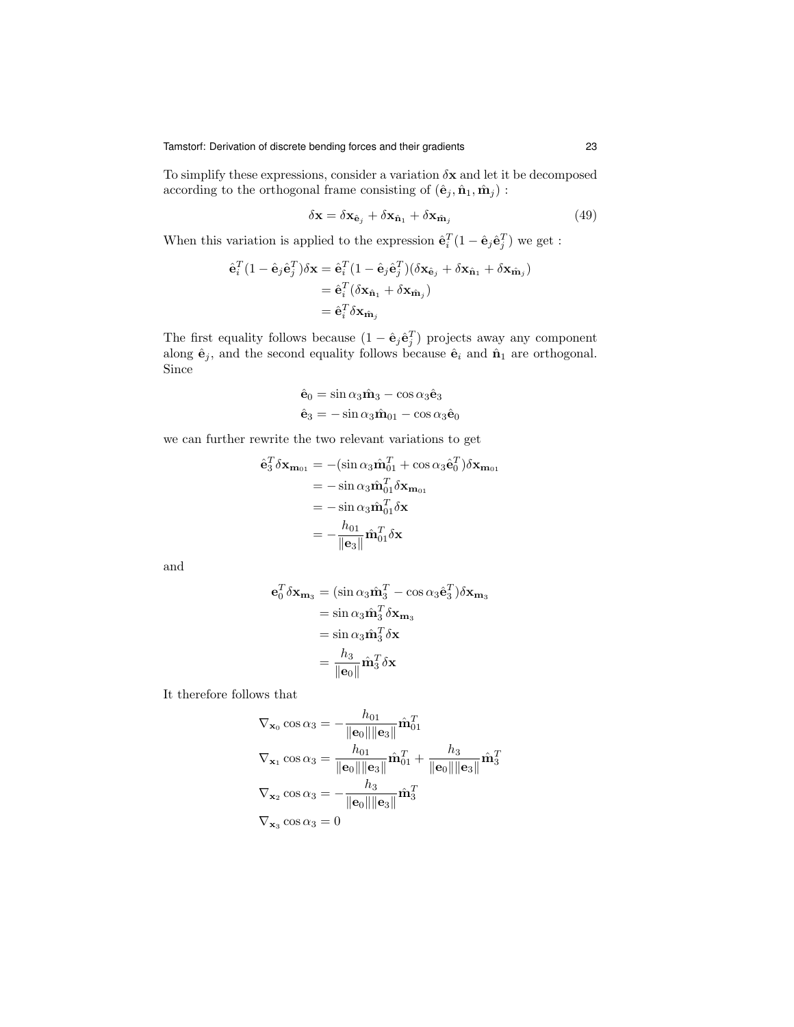To simplify these expressions, consider a variation  $\delta \mathbf{x}$  and let it be decomposed according to the orthogonal frame consisting of  $(\hat{\mathbf{e}}_j, \hat{\mathbf{n}}_1, \hat{\mathbf{m}}_j)$  :

$$
\delta \mathbf{x} = \delta \mathbf{x}_{\hat{\mathbf{e}}_j} + \delta \mathbf{x}_{\hat{\mathbf{n}}_1} + \delta \mathbf{x}_{\hat{\mathbf{m}}_j} \tag{49}
$$

When this variation is applied to the expression  $\hat{\mathbf{e}}_i^T(1 - \hat{\mathbf{e}}_j \hat{\mathbf{e}}_j^T)$  we get :

$$
\hat{\mathbf{e}}_i^T (1 - \hat{\mathbf{e}}_j \hat{\mathbf{e}}_j^T) \delta \mathbf{x} = \hat{\mathbf{e}}_i^T (1 - \hat{\mathbf{e}}_j \hat{\mathbf{e}}_j^T) (\delta \mathbf{x}_{\hat{\mathbf{e}}_j} + \delta \mathbf{x}_{\hat{\mathbf{n}}_1} + \delta \mathbf{x}_{\hat{\mathbf{m}}_j})
$$
  
= 
$$
\hat{\mathbf{e}}_i^T (\delta \mathbf{x}_{\hat{\mathbf{n}}_1} + \delta \mathbf{x}_{\hat{\mathbf{m}}_j})
$$
  
= 
$$
\hat{\mathbf{e}}_i^T \delta \mathbf{x}_{\hat{\mathbf{m}}_j}
$$

The first equality follows because  $(1 - \hat{\mathbf{e}}_j \hat{\mathbf{e}}_j^T)$  projects away any component along  $\hat{\mathbf{e}}_j$ , and the second equality follows because  $\hat{\mathbf{e}}_i$  and  $\hat{\mathbf{n}}_1$  are orthogonal. Since

$$
\hat{\mathbf{e}}_0 = \sin \alpha_3 \hat{\mathbf{m}}_3 - \cos \alpha_3 \hat{\mathbf{e}}_3
$$

$$
\hat{\mathbf{e}}_3 = -\sin \alpha_3 \hat{\mathbf{m}}_{01} - \cos \alpha_3 \hat{\mathbf{e}}_0
$$

we can further rewrite the two relevant variations to get

$$
\hat{\mathbf{e}}_3^T \delta \mathbf{x}_{\mathbf{m}_{01}} = -(\sin \alpha_3 \hat{\mathbf{m}}_{01}^T + \cos \alpha_3 \hat{\mathbf{e}}_0^T) \delta \mathbf{x}_{\mathbf{m}_{01}}
$$
  
\n
$$
= -\sin \alpha_3 \hat{\mathbf{m}}_{01}^T \delta \mathbf{x}_{\mathbf{m}_{01}}
$$
  
\n
$$
= -\sin \alpha_3 \hat{\mathbf{m}}_{01}^T \delta \mathbf{x}
$$
  
\n
$$
= -\frac{h_{01}}{\|\mathbf{e}_3\|} \hat{\mathbf{m}}_{01}^T \delta \mathbf{x}
$$

and

$$
\mathbf{e}_0^T \delta \mathbf{x}_{\mathbf{m}_3} = (\sin \alpha_3 \hat{\mathbf{m}}_3^T - \cos \alpha_3 \hat{\mathbf{e}}_3^T) \delta \mathbf{x}_{\mathbf{m}_3}
$$
  
=  $\sin \alpha_3 \hat{\mathbf{m}}_3^T \delta \mathbf{x}_{\mathbf{m}_3}$   
=  $\sin \alpha_3 \hat{\mathbf{m}}_3^T \delta \mathbf{x}$   
=  $\frac{h_3}{\|\mathbf{e}_0\|} \hat{\mathbf{m}}_3^T \delta \mathbf{x}$ 

It therefore follows that

$$
\nabla_{\mathbf{x}_0} \cos \alpha_3 = -\frac{h_{01}}{\|\mathbf{e}_0\| \|\mathbf{e}_3\|} \hat{\mathbf{m}}_{01}^T
$$
  

$$
\nabla_{\mathbf{x}_1} \cos \alpha_3 = \frac{h_{01}}{\|\mathbf{e}_0\| \|\mathbf{e}_3\|} \hat{\mathbf{m}}_{01}^T + \frac{h_3}{\|\mathbf{e}_0\| \|\mathbf{e}_3\|} \hat{\mathbf{m}}_3^T
$$
  

$$
\nabla_{\mathbf{x}_2} \cos \alpha_3 = -\frac{h_3}{\|\mathbf{e}_0\| \|\mathbf{e}_3\|} \hat{\mathbf{m}}_3^T
$$
  

$$
\nabla_{\mathbf{x}_3} \cos \alpha_3 = 0
$$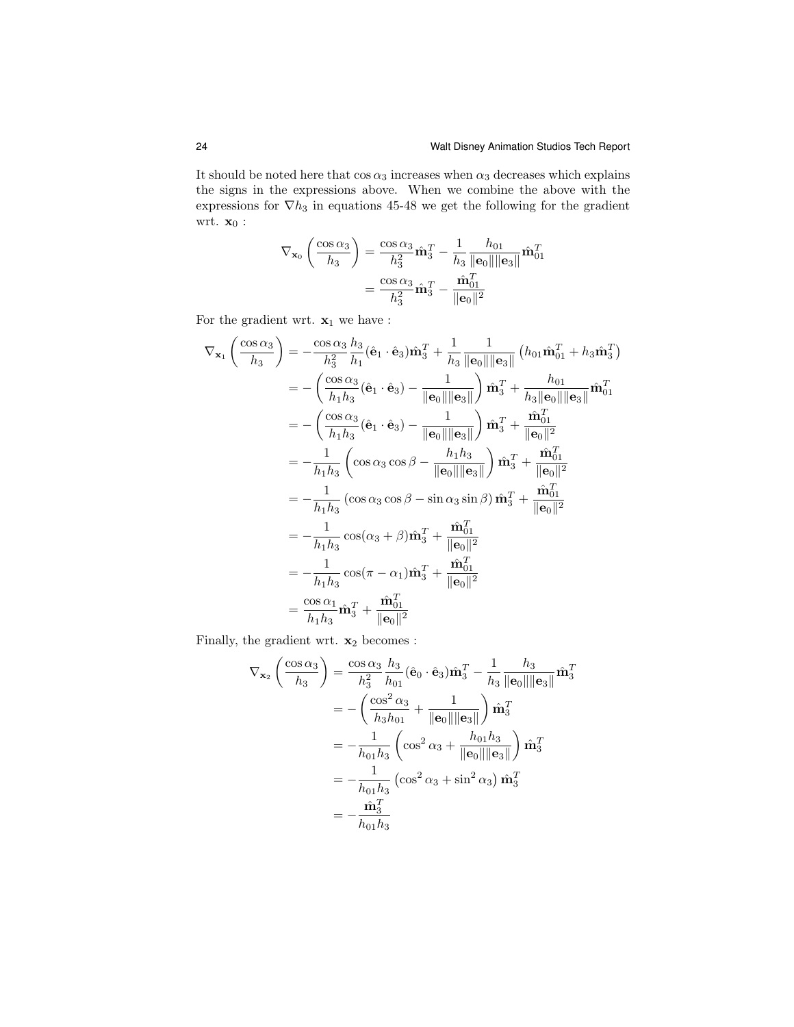It should be noted here that  $\cos\alpha_3$  increases when  $\alpha_3$  decreases which explains the signs in the expressions above. When we combine the above with the expressions for  $\nabla h_3$  in equations 45-48 we get the following for the gradient wrt. $\mathbf{x}_0$  :

$$
\nabla_{\mathbf{x}_0} \left( \frac{\cos \alpha_3}{h_3} \right) = \frac{\cos \alpha_3}{h_3^2} \hat{\mathbf{m}}_3^T - \frac{1}{h_3} \frac{h_{01}}{\|\mathbf{e}_0\| \|\mathbf{e}_3\|} \hat{\mathbf{m}}_{01}^T
$$

$$
= \frac{\cos \alpha_3}{h_3^2} \hat{\mathbf{m}}_3^T - \frac{\hat{\mathbf{m}}_{01}^T}{\|\mathbf{e}_0\|^2}
$$

For the gradient wrt.  $\mathbf{x}_1$  we have :

$$
\nabla_{\mathbf{x}_{1}}\left(\frac{\cos\alpha_{3}}{h_{3}}\right) = -\frac{\cos\alpha_{3}}{h_{3}^{2}}\frac{h_{3}}{h_{1}}(\hat{\mathbf{e}}_{1}\cdot\hat{\mathbf{e}}_{3})\hat{\mathbf{m}}_{3}^{T} + \frac{1}{h_{3}}\frac{1}{\|\mathbf{e}_{0}\|\|\mathbf{e}_{3}\|}\left(h_{01}\hat{\mathbf{m}}_{01}^{T} + h_{3}\hat{\mathbf{m}}_{3}^{T}\right)
$$
  
\n
$$
= -\left(\frac{\cos\alpha_{3}}{h_{1}h_{3}}(\hat{\mathbf{e}}_{1}\cdot\hat{\mathbf{e}}_{3}) - \frac{1}{\|\mathbf{e}_{0}\|\|\mathbf{e}_{3}\|}\right)\hat{\mathbf{m}}_{3}^{T} + \frac{h_{01}}{h_{3}\|\mathbf{e}_{0}\|\|\mathbf{e}_{3}\|}\hat{\mathbf{m}}_{01}^{T}
$$
  
\n
$$
= -\left(\frac{\cos\alpha_{3}}{h_{1}h_{3}}(\hat{\mathbf{e}}_{1}\cdot\hat{\mathbf{e}}_{3}) - \frac{1}{\|\mathbf{e}_{0}\|\|\mathbf{e}_{3}\|}\right)\hat{\mathbf{m}}_{3}^{T} + \frac{\hat{\mathbf{m}}_{01}^{T}}{\|\mathbf{e}_{0}\|^{2}}
$$
  
\n
$$
= -\frac{1}{h_{1}h_{3}}\left(\cos\alpha_{3}\cos\beta - \frac{h_{1}h_{3}}{\|\mathbf{e}_{0}\|\|\mathbf{e}_{3}\|}\right)\hat{\mathbf{m}}_{3}^{T} + \frac{\hat{\mathbf{m}}_{01}^{T}}{\|\mathbf{e}_{0}\|^{2}}
$$
  
\n
$$
= -\frac{1}{h_{1}h_{3}}\left(\cos\alpha_{3}\cos\beta - \sin\alpha_{3}\sin\beta\right)\hat{\mathbf{m}}_{3}^{T} + \frac{\hat{\mathbf{m}}_{01}^{T}}{\|\mathbf{e}_{0}\|^{2}}
$$
  
\n
$$
= -\frac{1}{h_{1}h_{3}}\cos(\alpha_{3} + \beta)\hat{\mathbf{m}}_{3}^{T} + \frac{\hat{\mathbf{m}}_{01}^{T}}{\|\mathbf{e}_{0}\|^{2}}
$$
  
\n
$$
= -\frac{1}{h_{1
$$

Finally, the gradient wrt.  $\mathbf{x}_2$  becomes :

$$
\nabla_{\mathbf{x}_2} \left( \frac{\cos \alpha_3}{h_3} \right) = \frac{\cos \alpha_3}{h_3^2} \frac{h_3}{h_{01}} (\hat{\mathbf{e}}_0 \cdot \hat{\mathbf{e}}_3) \hat{\mathbf{m}}_3^T - \frac{1}{h_3} \frac{h_3}{\|\mathbf{e}_0\| \|\mathbf{e}_3\|} \hat{\mathbf{m}}_3^T
$$
  
\n
$$
= -\left( \frac{\cos^2 \alpha_3}{h_3 h_{01}} + \frac{1}{\|\mathbf{e}_0\| \|\mathbf{e}_3\|} \right) \hat{\mathbf{m}}_3^T
$$
  
\n
$$
= -\frac{1}{h_{01} h_3} \left( \cos^2 \alpha_3 + \frac{h_{01} h_3}{\|\mathbf{e}_0\| \|\mathbf{e}_3\|} \right) \hat{\mathbf{m}}_3^T
$$
  
\n
$$
= -\frac{1}{h_{01} h_3} \left( \cos^2 \alpha_3 + \sin^2 \alpha_3 \right) \hat{\mathbf{m}}_3^T
$$
  
\n
$$
= -\frac{\hat{\mathbf{m}}_3^T}{h_{01} h_3}
$$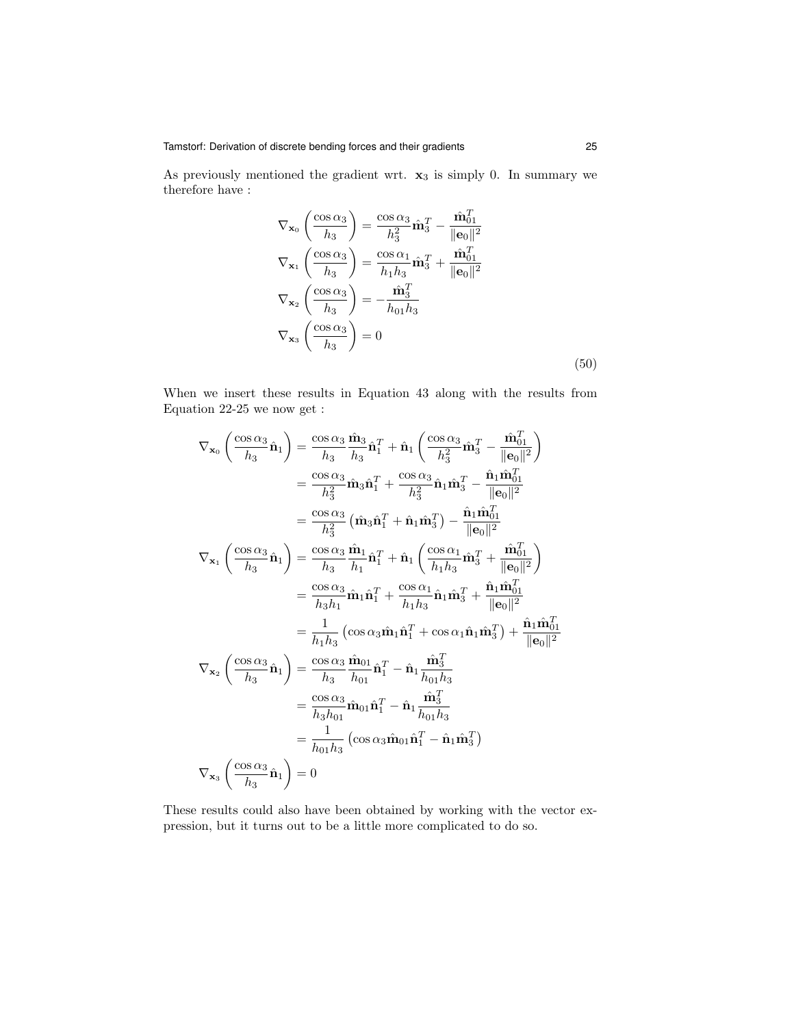As previously mentioned the gradient wrt.  $x_3$  is simply 0. In summary we therefore have :

$$
\nabla_{\mathbf{x}_0} \left( \frac{\cos \alpha_3}{h_3} \right) = \frac{\cos \alpha_3}{h_3^2} \hat{\mathbf{m}}_3^T - \frac{\hat{\mathbf{m}}_{01}^T}{\|\mathbf{e}_0\|^2}
$$

$$
\nabla_{\mathbf{x}_1} \left( \frac{\cos \alpha_3}{h_3} \right) = \frac{\cos \alpha_1}{h_1 h_3} \hat{\mathbf{m}}_3^T + \frac{\hat{\mathbf{m}}_{01}^T}{\|\mathbf{e}_0\|^2}
$$

$$
\nabla_{\mathbf{x}_2} \left( \frac{\cos \alpha_3}{h_3} \right) = -\frac{\hat{\mathbf{m}}_3^T}{h_{01} h_3}
$$

$$
\nabla_{\mathbf{x}_3} \left( \frac{\cos \alpha_3}{h_3} \right) = 0
$$
(50)

When we insert these results in Equation 43 along with the results from Equation 22-25 we now get :

$$
\nabla_{\mathbf{x}_{0}}\left(\frac{\cos\alpha_{3}}{h_{3}}\hat{\mathbf{n}}_{1}\right) = \frac{\cos\alpha_{3}}{h_{3}}\frac{\hat{\mathbf{n}}_{3}}{h_{3}}\hat{\mathbf{n}}_{1}^{T} + \hat{\mathbf{n}}_{1}\left(\frac{\cos\alpha_{3}}{h_{3}^{2}}\hat{\mathbf{m}}_{3}^{T} - \frac{\hat{\mathbf{m}}_{01}^{T}}{||\mathbf{e}_{0}||^{2}}\right)
$$
  
\n
$$
= \frac{\cos\alpha_{3}}{h_{3}^{2}}\hat{\mathbf{n}}_{3}\hat{\mathbf{n}}_{1}^{T} + \frac{\cos\alpha_{3}}{h_{3}^{2}}\hat{\mathbf{n}}_{1}\hat{\mathbf{m}}_{3}^{T} - \frac{\hat{\mathbf{n}}_{1}\hat{\mathbf{m}}_{01}^{T}}{||\mathbf{e}_{0}||^{2}}
$$
  
\n
$$
= \frac{\cos\alpha_{3}}{h_{3}^{2}}\left(\hat{\mathbf{m}}_{3}\hat{\mathbf{n}}_{1}^{T} + \hat{\mathbf{n}}_{1}\hat{\mathbf{n}}_{3}^{T}\right) - \frac{\hat{\mathbf{n}}_{1}\hat{\mathbf{m}}_{01}^{T}}{||\mathbf{e}_{0}||^{2}}
$$
  
\n
$$
\nabla_{\mathbf{x}_{1}}\left(\frac{\cos\alpha_{3}}{h_{3}}\hat{\mathbf{n}}_{1}\right) = \frac{\cos\alpha_{3}}{h_{3}}\frac{\hat{\mathbf{n}}_{1}}{h_{1}}\hat{\mathbf{n}}_{1}^{T} + \hat{\mathbf{n}}_{1}\left(\frac{\cos\alpha_{1}}{h_{1}h_{3}}\hat{\mathbf{m}}_{3}^{T} + \frac{\hat{\mathbf{m}}_{01}^{T}}{||\mathbf{e}_{0}||^{2}}\right)
$$
  
\n
$$
= \frac{\cos\alpha_{3}}{h_{3}h_{1}}\hat{\mathbf{n}}_{1}\hat{\mathbf{n}}_{1}^{T} + \frac{\cos\alpha_{1}}{h_{1}h_{3}}\hat{\mathbf{n}}_{1}\hat{\mathbf{m}}_{3}^{T} + \frac{\hat{\mathbf{n}}_{1}\hat{\mathbf{m}}_{01}^{T}}{||\mathbf{e}_{0}||^{2}}
$$
  
\n
$$
= \frac{1}{h_{1}h_{3}}\left(\cos\alpha_{3}\hat
$$

These results could also have been obtained by working with the vector expression, but it turns out to be a little more complicated to do so.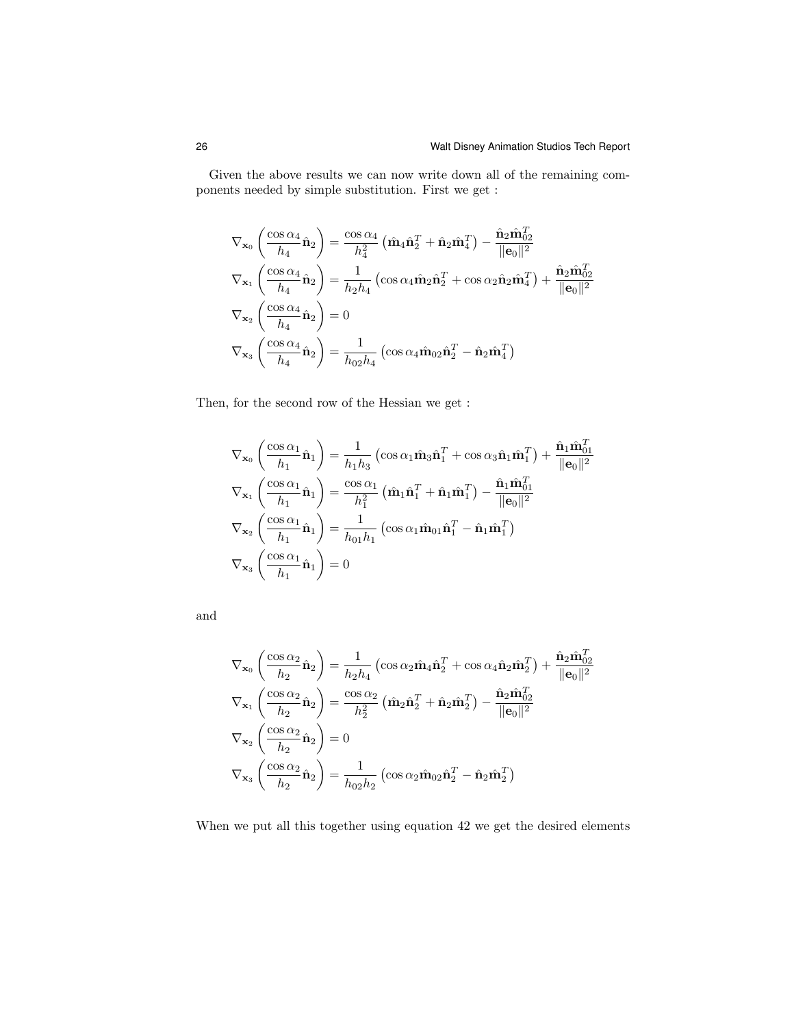Given the above results we can now write down all of the remaining components needed by simple substitution. First we get :

$$
\nabla_{\mathbf{x}_0} \left( \frac{\cos \alpha_4}{h_4} \hat{\mathbf{n}}_2 \right) = \frac{\cos \alpha_4}{h_4^2} \left( \hat{\mathbf{m}}_4 \hat{\mathbf{n}}_2^T + \hat{\mathbf{n}}_2 \hat{\mathbf{m}}_4^T \right) - \frac{\hat{\mathbf{n}}_2 \hat{\mathbf{m}}_{02}^T}{\|\mathbf{e}_0\|^2}
$$
  

$$
\nabla_{\mathbf{x}_1} \left( \frac{\cos \alpha_4}{h_4} \hat{\mathbf{n}}_2 \right) = \frac{1}{h_2 h_4} \left( \cos \alpha_4 \hat{\mathbf{m}}_2 \hat{\mathbf{n}}_2^T + \cos \alpha_2 \hat{\mathbf{n}}_2 \hat{\mathbf{m}}_4^T \right) + \frac{\hat{\mathbf{n}}_2 \hat{\mathbf{m}}_{02}^T}{\|\mathbf{e}_0\|^2}
$$
  

$$
\nabla_{\mathbf{x}_2} \left( \frac{\cos \alpha_4}{h_4} \hat{\mathbf{n}}_2 \right) = 0
$$
  

$$
\nabla_{\mathbf{x}_3} \left( \frac{\cos \alpha_4}{h_4} \hat{\mathbf{n}}_2 \right) = \frac{1}{h_{02} h_4} \left( \cos \alpha_4 \hat{\mathbf{m}}_{02} \hat{\mathbf{n}}_2^T - \hat{\mathbf{n}}_2 \hat{\mathbf{m}}_4^T \right)
$$

Then, for the second row of the Hessian we get :

$$
\nabla_{\mathbf{x}_0} \left( \frac{\cos \alpha_1}{h_1} \hat{\mathbf{n}}_1 \right) = \frac{1}{h_1 h_3} \left( \cos \alpha_1 \hat{\mathbf{m}}_3 \hat{\mathbf{n}}_1^T + \cos \alpha_3 \hat{\mathbf{n}}_1 \hat{\mathbf{m}}_1^T \right) + \frac{\hat{\mathbf{n}}_1 \hat{\mathbf{m}}_{01}^T}{\|\mathbf{e}_0\|^2}
$$
  

$$
\nabla_{\mathbf{x}_1} \left( \frac{\cos \alpha_1}{h_1} \hat{\mathbf{n}}_1 \right) = \frac{\cos \alpha_1}{h_1^2} \left( \hat{\mathbf{m}}_1 \hat{\mathbf{n}}_1^T + \hat{\mathbf{n}}_1 \hat{\mathbf{m}}_1^T \right) - \frac{\hat{\mathbf{n}}_1 \hat{\mathbf{m}}_{01}^T}{\|\mathbf{e}_0\|^2}
$$
  

$$
\nabla_{\mathbf{x}_2} \left( \frac{\cos \alpha_1}{h_1} \hat{\mathbf{n}}_1 \right) = \frac{1}{h_{01} h_1} \left( \cos \alpha_1 \hat{\mathbf{m}}_{01} \hat{\mathbf{n}}_1^T - \hat{\mathbf{n}}_1 \hat{\mathbf{m}}_1^T \right)
$$
  

$$
\nabla_{\mathbf{x}_3} \left( \frac{\cos \alpha_1}{h_1} \hat{\mathbf{n}}_1 \right) = 0
$$

and

$$
\nabla_{\mathbf{x}_0} \left( \frac{\cos \alpha_2}{h_2} \hat{\mathbf{n}}_2 \right) = \frac{1}{h_2 h_4} \left( \cos \alpha_2 \hat{\mathbf{m}}_4 \hat{\mathbf{n}}_2^T + \cos \alpha_4 \hat{\mathbf{n}}_2 \hat{\mathbf{m}}_2^T \right) + \frac{\hat{\mathbf{n}}_2 \hat{\mathbf{n}}_{02}^T}{\|\mathbf{e}_0\|^2}
$$
  

$$
\nabla_{\mathbf{x}_1} \left( \frac{\cos \alpha_2}{h_2} \hat{\mathbf{n}}_2 \right) = \frac{\cos \alpha_2}{h_2^2} \left( \hat{\mathbf{m}}_2 \hat{\mathbf{n}}_2^T + \hat{\mathbf{n}}_2 \hat{\mathbf{m}}_2^T \right) - \frac{\hat{\mathbf{n}}_2 \hat{\mathbf{m}}_{02}^T}{\|\mathbf{e}_0\|^2}
$$
  

$$
\nabla_{\mathbf{x}_2} \left( \frac{\cos \alpha_2}{h_2} \hat{\mathbf{n}}_2 \right) = 0
$$
  

$$
\nabla_{\mathbf{x}_3} \left( \frac{\cos \alpha_2}{h_2} \hat{\mathbf{n}}_2 \right) = \frac{1}{h_{02} h_2} \left( \cos \alpha_2 \hat{\mathbf{m}}_{02} \hat{\mathbf{n}}_2^T - \hat{\mathbf{n}}_2 \hat{\mathbf{m}}_2^T \right)
$$

When we put all this together using equation 42 we get the desired elements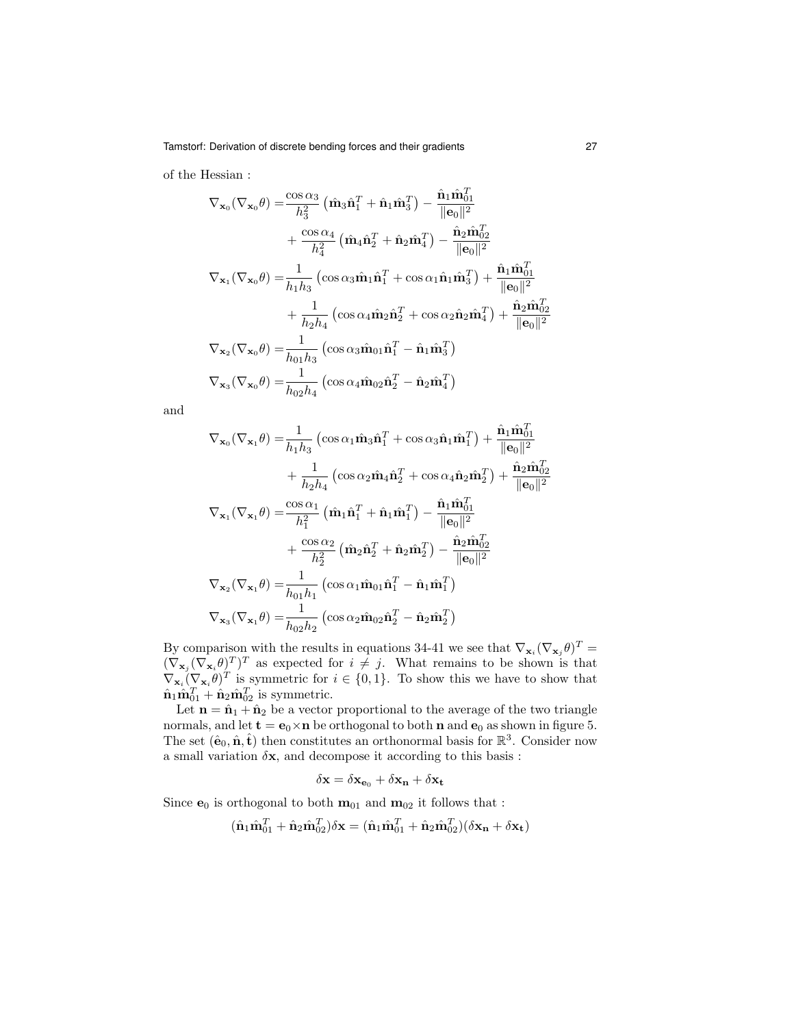of the Hessian :

$$
\nabla_{\mathbf{x}_0} (\nabla_{\mathbf{x}_0} \theta) = \frac{\cos \alpha_3}{h_3^2} (\hat{\mathbf{m}}_3 \hat{\mathbf{n}}_1^T + \hat{\mathbf{n}}_1 \hat{\mathbf{m}}_3^T) - \frac{\hat{\mathbf{n}}_1 \hat{\mathbf{m}}_{01}^T}{\|\mathbf{e}_0\|^2} \n+ \frac{\cos \alpha_4}{h_4^2} (\hat{\mathbf{m}}_4 \hat{\mathbf{n}}_2^T + \hat{\mathbf{n}}_2 \hat{\mathbf{m}}_4^T) - \frac{\hat{\mathbf{n}}_2 \hat{\mathbf{m}}_{02}^T}{\|\mathbf{e}_0\|^2} \n\nabla_{\mathbf{x}_1} (\nabla_{\mathbf{x}_0} \theta) = \frac{1}{h_1 h_3} (\cos \alpha_3 \hat{\mathbf{m}}_1 \hat{\mathbf{n}}_1^T + \cos \alpha_1 \hat{\mathbf{n}}_1 \hat{\mathbf{m}}_3^T) + \frac{\hat{\mathbf{n}}_1 \hat{\mathbf{m}}_{01}^T}{\|\mathbf{e}_0\|^2} \n+ \frac{1}{h_2 h_4} (\cos \alpha_4 \hat{\mathbf{m}}_2 \hat{\mathbf{n}}_2^T + \cos \alpha_2 \hat{\mathbf{n}}_2 \hat{\mathbf{m}}_4^T) + \frac{\hat{\mathbf{n}}_2 \hat{\mathbf{m}}_{02}^T}{\|\mathbf{e}_0\|^2} \n\nabla_{\mathbf{x}_2} (\nabla_{\mathbf{x}_0} \theta) = \frac{1}{h_{01} h_3} (\cos \alpha_3 \hat{\mathbf{m}}_{01} \hat{\mathbf{n}}_1^T - \hat{\mathbf{n}}_1 \hat{\mathbf{m}}_3^T) \n\nabla_{\mathbf{x}_3} (\nabla_{\mathbf{x}_0} \theta) = \frac{1}{h_{02} h_4} (\cos \alpha_4 \hat{\mathbf{m}}_{02} \hat{\mathbf{n}}_2^T - \hat{\mathbf{n}}_2 \hat{\mathbf{m}}_4^T)
$$

and

$$
\nabla_{\mathbf{x}_{0}}(\nabla_{\mathbf{x}_{1}}\theta) = \frac{1}{h_{1}h_{3}} \left( \cos \alpha_{1} \hat{\mathbf{m}}_{3} \hat{\mathbf{n}}_{1}^{T} + \cos \alpha_{3} \hat{\mathbf{n}}_{1} \hat{\mathbf{m}}_{1}^{T} \right) + \frac{\hat{\mathbf{n}}_{1} \hat{\mathbf{m}}_{01}^{T}}{\|\mathbf{e}_{0}\|^{2}} \n+ \frac{1}{h_{2}h_{4}} \left( \cos \alpha_{2} \hat{\mathbf{m}}_{4} \hat{\mathbf{n}}_{2}^{T} + \cos \alpha_{4} \hat{\mathbf{n}}_{2} \hat{\mathbf{m}}_{2}^{T} \right) + \frac{\hat{\mathbf{n}}_{2} \hat{\mathbf{m}}_{02}^{T}}{\|\mathbf{e}_{0}\|^{2}} \n\nabla_{\mathbf{x}_{1}}(\nabla_{\mathbf{x}_{1}}\theta) = \frac{\cos \alpha_{1}}{h_{1}^{2}} \left( \hat{\mathbf{m}}_{1} \hat{\mathbf{n}}_{1}^{T} + \hat{\mathbf{n}}_{1} \hat{\mathbf{m}}_{1}^{T} \right) - \frac{\hat{\mathbf{n}}_{1} \hat{\mathbf{m}}_{01}^{T}}{\|\mathbf{e}_{0}\|^{2}} \n+ \frac{\cos \alpha_{2}}{h_{2}^{2}} \left( \hat{\mathbf{m}}_{2} \hat{\mathbf{n}}_{2}^{T} + \hat{\mathbf{n}}_{2} \hat{\mathbf{m}}_{2}^{T} \right) - \frac{\hat{\mathbf{n}}_{2} \hat{\mathbf{m}}_{02}^{T}}{\|\mathbf{e}_{0}\|^{2}} \n\nabla_{\mathbf{x}_{2}}(\nabla_{\mathbf{x}_{1}}\theta) = \frac{1}{h_{01}h_{1}} \left( \cos \alpha_{1} \hat{\mathbf{m}}_{01} \hat{\mathbf{n}}_{1}^{T} - \hat{\mathbf{n}}_{1} \hat{\mathbf{m}}_{1}^{T} \right) \n\nabla_{\mathbf{x}_{3}}(\nabla_{\mathbf{x}_{1}}\theta) = \frac{1}{h_{02}h_{2}} \left( \cos \alpha_{2} \hat{\mathbf{m}}_{02} \hat{\mathbf{n}}_{2}^{T} - \hat{\mathbf{n}}_{2} \hat{\mathbf{m}}_{2}^{T} \right)
$$

By comparison with the results in equations 34-41 we see that  $\nabla_{\mathbf{x}_i} (\nabla_{\mathbf{x}_j} \theta)^T =$  $(\nabla_{\mathbf{x}_j} (\nabla_{\mathbf{x}_i} \theta)^T)^T$  as expected for  $i \neq j$ . What remains to be shown is that  $\nabla_{\mathbf{x}_i} (\nabla_{\mathbf{x}_i} \theta)^T$  is symmetric for  $i \in \{0,1\}$ . To show this we have to show that  $\hat{\mathbf{n}}_1 \hat{\mathbf{m}}_{01}^T + \hat{\mathbf{n}}_2 \hat{\mathbf{m}}_{02}^T$  is symmetric.

Let  $\mathbf{n} = \hat{\mathbf{n}}_1 + \hat{\mathbf{n}}_2$  be a vector proportional to the average of the two triangle normals, and let  $\mathbf{t} = \mathbf{e}_0 \times \mathbf{n}$  be orthogonal to both  $\mathbf{n}$  and  $\mathbf{e}_0$  as shown in figure 5. The set  $(\hat{\mathbf{e}}_0, \hat{\mathbf{n}}, \hat{\mathbf{t}})$  then constitutes an orthonormal basis for  $\mathbb{R}^3$ . Consider now a small variation  $\delta x$ , and decompose it according to this basis :

$$
\delta \mathbf{x} = \delta \mathbf{x}_{\mathbf{e}_0} + \delta \mathbf{x}_\mathbf{n} + \delta \mathbf{x}_\mathbf{t}
$$

Since  $e_0$  is orthogonal to both  $m_{01}$  and  $m_{02}$  it follows that :

$$
(\hat{\mathbf{n}}_1 \hat{\mathbf{m}}_{01}^T + \hat{\mathbf{n}}_2 \hat{\mathbf{m}}_{02}^T)\delta \mathbf{x} = (\hat{\mathbf{n}}_1 \hat{\mathbf{m}}_{01}^T + \hat{\mathbf{n}}_2 \hat{\mathbf{m}}_{02}^T)(\delta \mathbf{x_n} + \delta \mathbf{x_t})
$$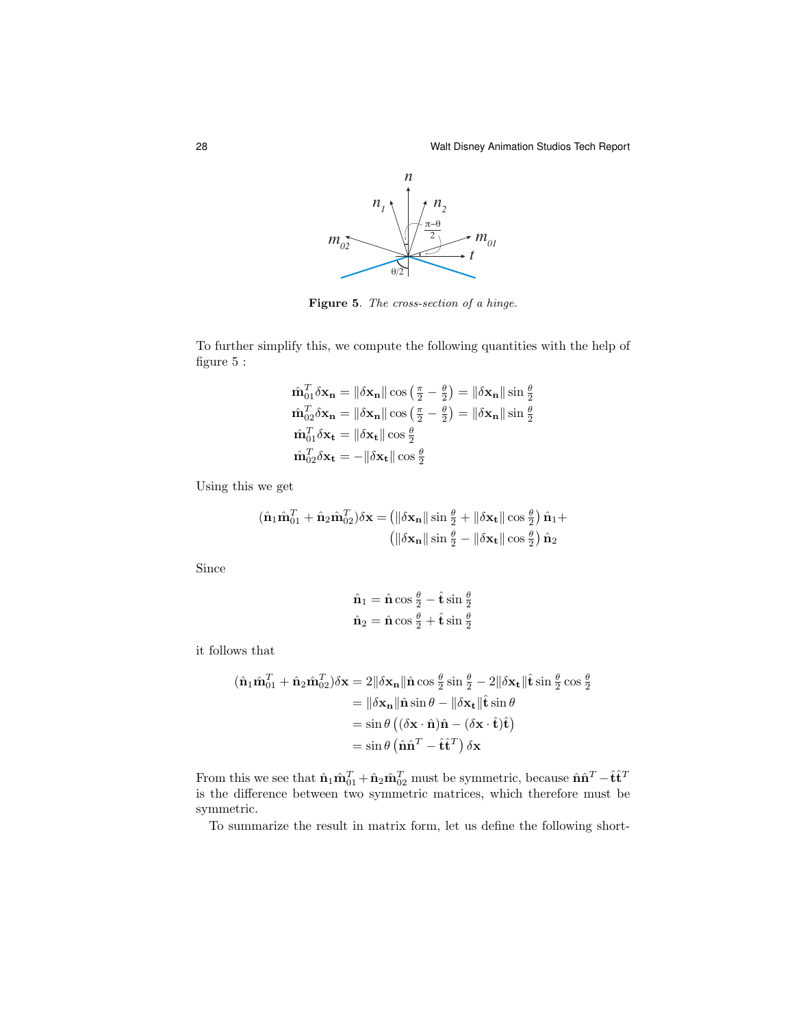

Figure 5. The cross-section of a hinge.

To further simplify this, we compute the following quantities with the help of figure 5 :

$$
\hat{\mathbf{m}}_{01}^T \delta \mathbf{x}_n = \|\delta \mathbf{x}_n\| \cos \left(\frac{\pi}{2} - \frac{\theta}{2}\right) = \|\delta \mathbf{x}_n\| \sin \frac{\theta}{2}
$$
\n
$$
\hat{\mathbf{m}}_{02}^T \delta \mathbf{x}_n = \|\delta \mathbf{x}_n\| \cos \left(\frac{\pi}{2} - \frac{\theta}{2}\right) = \|\delta \mathbf{x}_n\| \sin \frac{\theta}{2}
$$
\n
$$
\hat{\mathbf{m}}_{01}^T \delta \mathbf{x}_t = \|\delta \mathbf{x}_t\| \cos \frac{\theta}{2}
$$
\n
$$
\hat{\mathbf{m}}_{02}^T \delta \mathbf{x}_t = -\|\delta \mathbf{x}_t\| \cos \frac{\theta}{2}
$$

Using this we get

$$
(\hat{\mathbf{n}}_1 \hat{\mathbf{m}}_{01}^T + \hat{\mathbf{n}}_2 \hat{\mathbf{m}}_{02}^T) \delta \mathbf{x} = (\|\delta \mathbf{x}_n\| \sin \frac{\theta}{2} + \|\delta \mathbf{x}_t\| \cos \frac{\theta}{2}) \hat{\mathbf{n}}_1 +
$$

$$
(\|\delta \mathbf{x}_n\| \sin \frac{\theta}{2} - \|\delta \mathbf{x}_t\| \cos \frac{\theta}{2}) \hat{\mathbf{n}}_2
$$

Since

$$
\hat{\mathbf{n}}_1 = \hat{\mathbf{n}} \cos \frac{\theta}{2} - \hat{\mathbf{t}} \sin \frac{\theta}{2}
$$

$$
\hat{\mathbf{n}}_2 = \hat{\mathbf{n}} \cos \frac{\theta}{2} + \hat{\mathbf{t}} \sin \frac{\theta}{2}
$$

it follows that

$$
(\hat{\mathbf{n}}_1 \hat{\mathbf{m}}_{01}^T + \hat{\mathbf{n}}_2 \hat{\mathbf{m}}_{02}^T) \delta \mathbf{x} = 2 \|\delta \mathbf{x}_n\| \hat{\mathbf{n}} \cos \frac{\theta}{2} \sin \frac{\theta}{2} - 2 \|\delta \mathbf{x}_t\| \hat{\mathbf{t}} \sin \frac{\theta}{2} \cos \frac{\theta}{2}
$$
  
\n
$$
= \|\delta \mathbf{x}_n\| \hat{\mathbf{n}} \sin \theta - \|\delta \mathbf{x}_t\| \hat{\mathbf{t}} \sin \theta
$$
  
\n
$$
= \sin \theta \left( (\delta \mathbf{x} \cdot \hat{\mathbf{n}}) \hat{\mathbf{n}} - (\delta \mathbf{x} \cdot \hat{\mathbf{t}}) \hat{\mathbf{t}} \right)
$$
  
\n
$$
= \sin \theta \left( \hat{\mathbf{n}} \hat{\mathbf{n}}^T - \hat{\mathbf{t}} \hat{\mathbf{t}}^T \right) \delta \mathbf{x}
$$

From this we see that  $\hat{\mathbf{n}}_1 \hat{\mathbf{m}}_{01}^T + \hat{\mathbf{n}}_2 \hat{\mathbf{m}}_{02}^T$  must be symmetric, because  $\hat{\mathbf{n}} \hat{\mathbf{n}}^T - \hat{\mathbf{t}} \hat{\mathbf{t}}^T$ is the difference between two symmetric matrices, which therefore must be symmetric.

To summarize the result in matrix form, let us define the following short-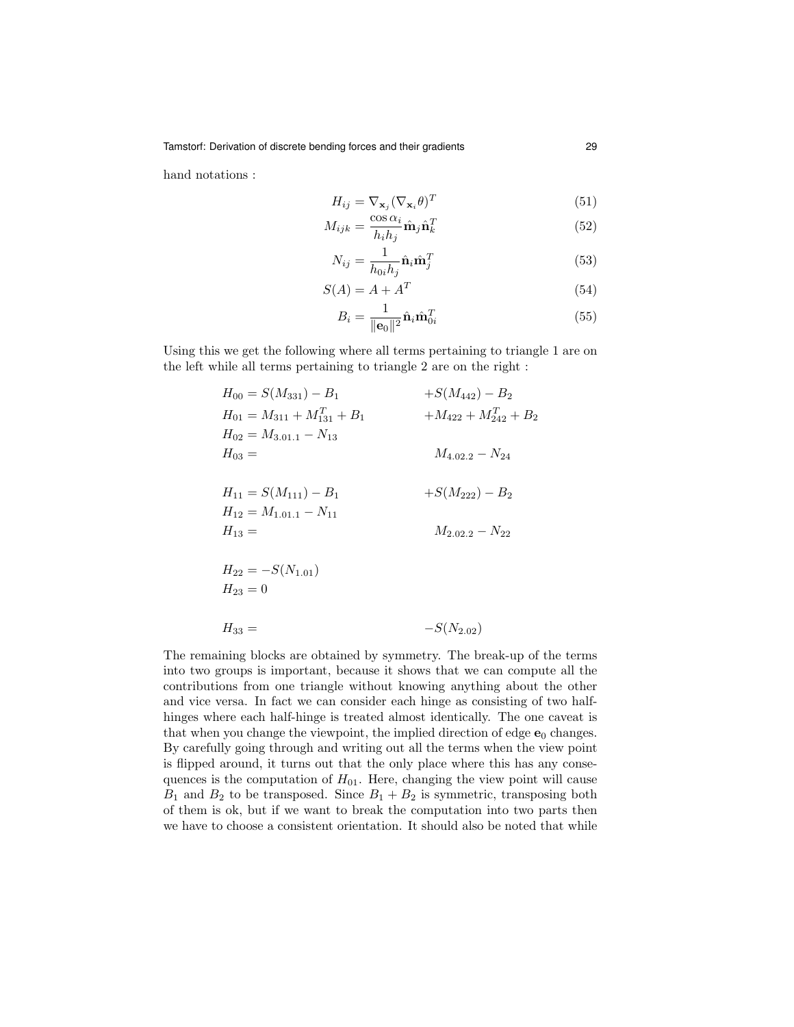hand notations :

$$
H_{ij} = \nabla_{\mathbf{x}_j} (\nabla_{\mathbf{x}_i} \theta)^T
$$
\n(51)

$$
M_{ijk} = \frac{\cos \alpha_i}{h_i h_j} \hat{\mathbf{n}}_j \hat{\mathbf{n}}_k^T
$$
 (52)

$$
N_{ij} = \frac{1}{h_{0i}h_j}\hat{\mathbf{n}}_i\hat{\mathbf{m}}_j^T
$$
\n(53)

$$
S(A) = A + A^T \tag{54}
$$

$$
B_i = \frac{1}{\|\mathbf{e}_0\|^2} \hat{\mathbf{n}}_i \hat{\mathbf{m}}_{0i}^T
$$
\n(55)

Using this we get the following where all terms pertaining to triangle 1 are on the left while all terms pertaining to triangle 2 are on the right :

| $H_{00} = S(M_{331}) - B_1$          | $+S(M_{442}) - B_2$      |
|--------------------------------------|--------------------------|
| $H_{01} = M_{311} + M_{131}^T + B_1$ | $+M_{422}+M_{242}^T+B_2$ |
| $H_{02} = M_{3,01,1} - N_{13}$       |                          |
| $H_{03} =$                           | $M_{4.02.2} - N_{24}$    |
|                                      |                          |
| $H_{11} = S(M_{111}) - B_1$          | $+S(M_{222}) - B_2$      |
| $H_{12} = M_{1,01,1} - N_{11}$       |                          |
| $H_{13} =$                           | $M_{2.02.2} - N_{22}$    |
|                                      |                          |
| $H_{22} = -S(N_{1,01})$              |                          |
| $H_{23}=0$                           |                          |
|                                      |                          |
| $H_{33} =$                           | $-S(N_{2.02})$           |
|                                      |                          |

The remaining blocks are obtained by symmetry. The break-up of the terms into two groups is important, because it shows that we can compute all the contributions from one triangle without knowing anything about the other and vice versa. In fact we can consider each hinge as consisting of two halfhinges where each half-hinge is treated almost identically. The one caveat is that when you change the viewpoint, the implied direction of edge  $e_0$  changes. By carefully going through and writing out all the terms when the view point is flipped around, it turns out that the only place where this has any consequences is the computation of  $H_{01}$ . Here, changing the view point will cause  $B_1$  and  $B_2$  to be transposed. Since  $B_1 + B_2$  is symmetric, transposing both of them is ok, but if we want to break the computation into two parts then we have to choose a consistent orientation. It should also be noted that while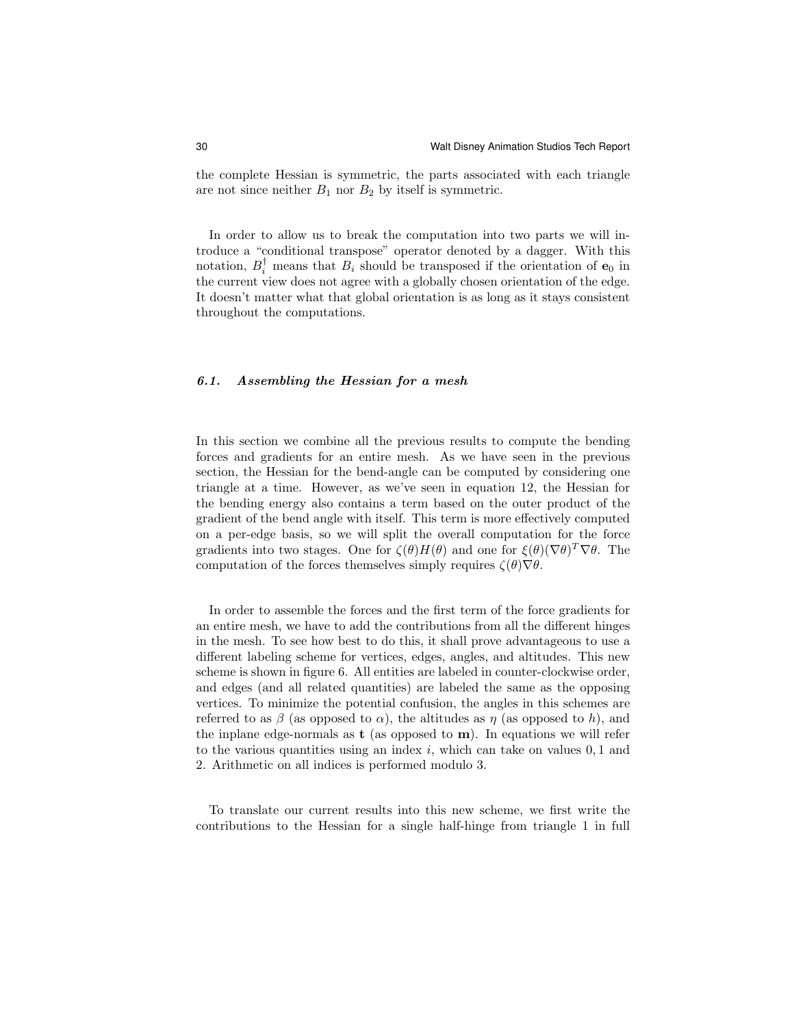the complete Hessian is symmetric, the parts associated with each triangle are not since neither  $B_1$  nor  $B_2$  by itself is symmetric.

In order to allow us to break the computation into two parts we will introduce a "conditional transpose" operator denoted by a dagger. With this notation,  $B_i^{\dagger}$  means that  $B_i$  should be transposed if the orientation of  $\mathbf{e}_0$  in the current view does not agree with a globally chosen orientation of the edge. It doesn't matter what that global orientation is as long as it stays consistent throughout the computations.

## 6.1. Assembling the Hessian for a mesh

In this section we combine all the previous results to compute the bending forces and gradients for an entire mesh. As we have seen in the previous section, the Hessian for the bend-angle can be computed by considering one triangle at a time. However, as we've seen in equation 12, the Hessian for the bending energy also contains a term based on the outer product of the gradient of the bend angle with itself. This term is more effectively computed on a per-edge basis, so we will split the overall computation for the force gradients into two stages. One for  $\zeta(\theta)H(\theta)$  and one for  $\xi(\theta)(\nabla\theta)^T\nabla\theta$ . The computation of the forces themselves simply requires  $\zeta(\theta)\nabla\theta$ .

In order to assemble the forces and the first term of the force gradients for an entire mesh, we have to add the contributions from all the different hinges in the mesh. To see how best to do this, it shall prove advantageous to use a different labeling scheme for vertices, edges, angles, and altitudes. This new scheme is shown in figure 6. All entities are labeled in counter-clockwise order, and edges (and all related quantities) are labeled the same as the opposing vertices. To minimize the potential confusion, the angles in this schemes are referred to as  $\beta$  (as opposed to  $\alpha$ ), the altitudes as  $\eta$  (as opposed to h), and the inplane edge-normals as  $t$  (as opposed to  $m$ ). In equations we will refer to the various quantities using an index  $i$ , which can take on values  $0, 1$  and 2. Arithmetic on all indices is performed modulo 3.

To translate our current results into this new scheme, we first write the contributions to the Hessian for a single half-hinge from triangle 1 in full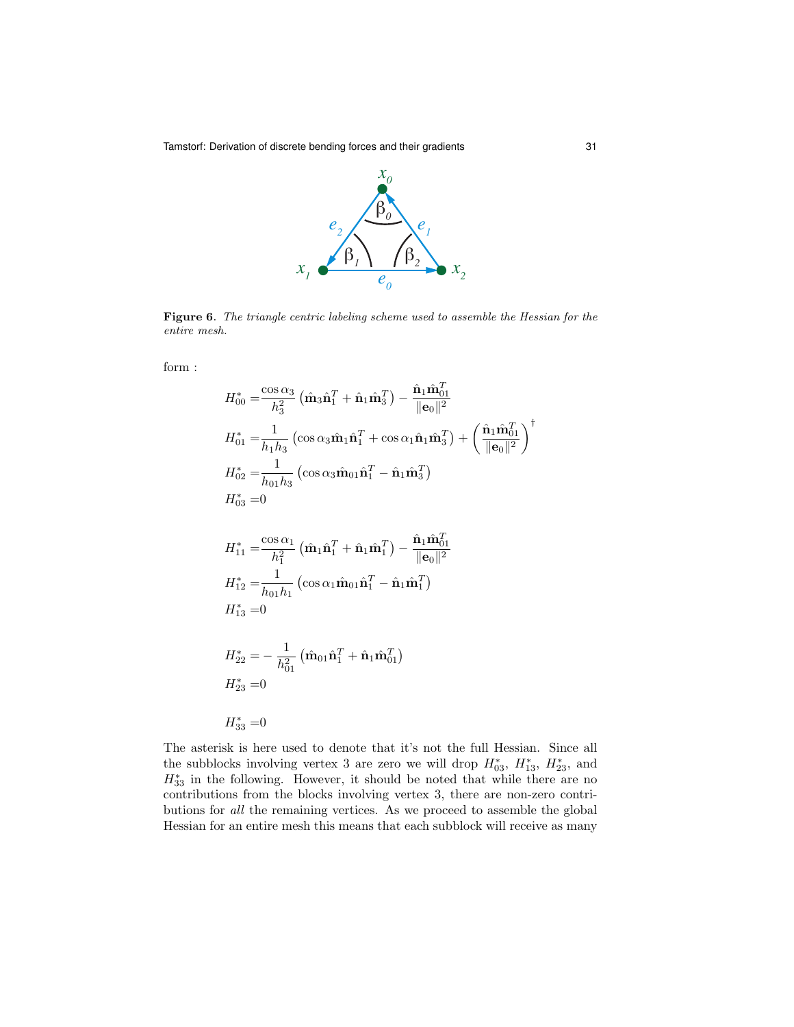Tamstorf: Derivation of discrete bending forces and their gradients 31



**Figure 6.** The triangle centric labeling scheme used to assemble the Hessian for the  $n \times 1$ entire mesh. entire mesh.

form :

$$
H_{00}^{*} = \frac{\cos \alpha_{3}}{h_{3}^{2}} \left( \hat{\mathbf{m}}_{3} \hat{\mathbf{n}}_{1}^{T} + \hat{\mathbf{n}}_{1} \hat{\mathbf{m}}_{3}^{T} \right) - \frac{\hat{\mathbf{n}}_{1} \hat{\mathbf{n}}_{01}^{T}}{\|\mathbf{e}_{0}\|^{2}}
$$
  
\n
$$
H_{01}^{*} = \frac{1}{h_{1}h_{3}} \left( \cos \alpha_{3} \hat{\mathbf{m}}_{1} \hat{\mathbf{n}}_{1}^{T} + \cos \alpha_{1} \hat{\mathbf{n}}_{1} \hat{\mathbf{m}}_{3}^{T} \right) + \left( \frac{\hat{\mathbf{n}}_{1} \hat{\mathbf{m}}_{01}^{T}}{\|\mathbf{e}_{0}\|^{2}} \right)^{\dagger}
$$
  
\n
$$
H_{02}^{*} = \frac{1}{h_{01}h_{3}} \left( \cos \alpha_{3} \hat{\mathbf{m}}_{01} \hat{\mathbf{n}}_{1}^{T} - \hat{\mathbf{n}}_{1} \hat{\mathbf{m}}_{3}^{T} \right)
$$
  
\n
$$
H_{03}^{*} = 0
$$
  
\n
$$
H_{11}^{*} = \frac{\cos \alpha_{1}}{h_{1}^{2}} \left( \hat{\mathbf{m}}_{1} \hat{\mathbf{n}}_{1}^{T} + \hat{\mathbf{n}}_{1} \hat{\mathbf{m}}_{1}^{T} \right) - \frac{\hat{\mathbf{n}}_{1} \hat{\mathbf{m}}_{01}^{T}}{\|\mathbf{e}_{0}\|^{2}}
$$
  
\n
$$
H_{12}^{*} = \frac{1}{h_{01}h_{1}} \left( \cos \alpha_{1} \hat{\mathbf{m}}_{01} \hat{\mathbf{n}}_{1}^{T} - \hat{\mathbf{n}}_{1} \hat{\mathbf{m}}_{1}^{T} \right)
$$
  
\n
$$
H_{13}^{*} = 0
$$
  
\n
$$
H_{22}^{*} = -\frac{1}{h_{01}^{2}} \left( \hat{\mathbf{m}}_{01} \hat{\mathbf{n}}_{1}^{T} + \hat{\mathbf{n}}_{1} \hat{\mathbf{m}}_{01}^{T} \right)
$$
  
\n
$$
H_{23}^{*} =
$$

The asterisk is here used to denote that it's not the full Hessian. Since all the subblocks involving vertex 3 are zero we will drop  $H_{03}^*$ ,  $H_{13}^*$ ,  $H_{23}^*$ , and  $H_{33}^*$  in the following. However, it should be noted that while there are no contributions from the blocks involving vertex 3, there are non-zero contributions for all the remaining vertices. As we proceed to assemble the global Hessian for an entire mesh this means that each subblock will receive as many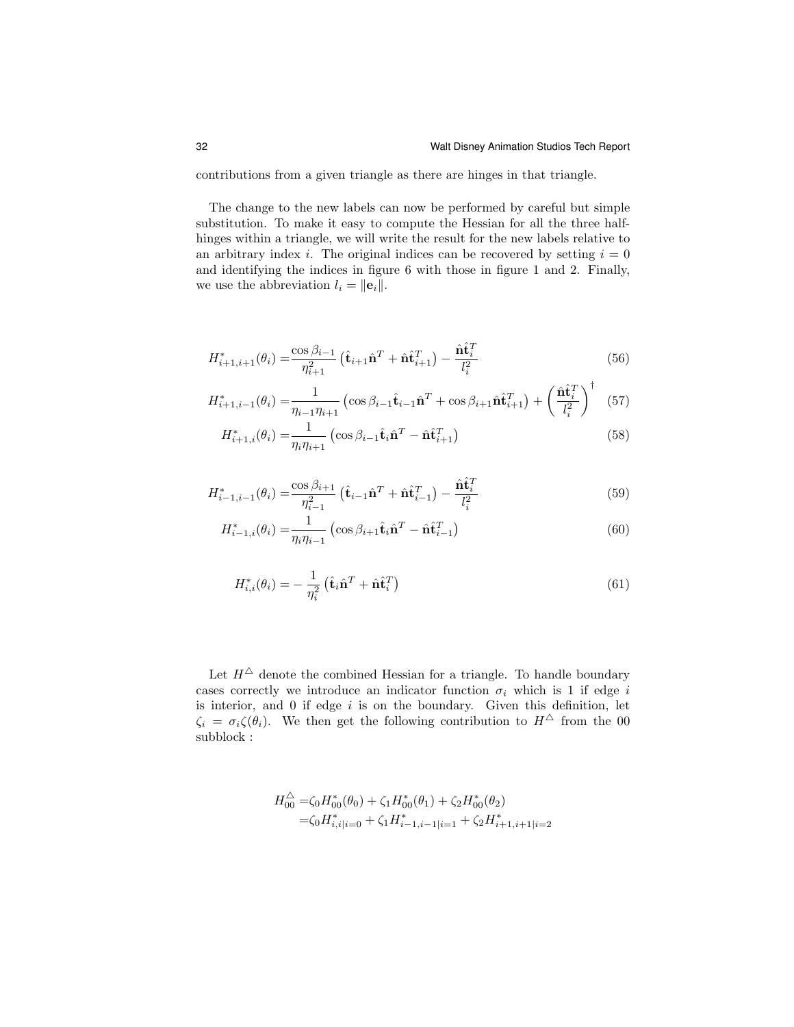contributions from a given triangle as there are hinges in that triangle.

The change to the new labels can now be performed by careful but simple substitution. To make it easy to compute the Hessian for all the three halfhinges within a triangle, we will write the result for the new labels relative to an arbitrary index i. The original indices can be recovered by setting  $i = 0$ and identifying the indices in figure 6 with those in figure 1 and 2. Finally, we use the abbreviation  $l_i = ||\mathbf{e}_i||$ .

$$
H_{i+1,i+1}^*(\theta_i) = \frac{\cos \beta_{i-1}}{\eta_{i+1}^2} \left( \hat{\mathbf{t}}_{i+1} \hat{\mathbf{n}}^T + \hat{\mathbf{n}} \hat{\mathbf{t}}_{i+1}^T \right) - \frac{\hat{\mathbf{n}} \hat{\mathbf{t}}_i^T}{l_i^2}
$$
(56)

$$
H_{i+1,i-1}^*(\theta_i) = \frac{1}{\eta_{i-1}\eta_{i+1}} \left(\cos\beta_{i-1}\hat{\mathbf{t}}_{i-1}\hat{\mathbf{n}}^T + \cos\beta_{i+1}\hat{\mathbf{n}}\hat{\mathbf{t}}_{i+1}^T\right) + \left(\frac{\hat{\mathbf{n}}\hat{\mathbf{t}}_i^T}{l_i^2}\right)^{\dagger} \tag{57}
$$

$$
H_{i+1,i}^*(\theta_i) = \frac{1}{\eta_i \eta_{i+1}} \left( \cos \beta_{i-1} \hat{\mathbf{t}}_i \hat{\mathbf{n}}^T - \hat{\mathbf{n}} \hat{\mathbf{t}}_{i+1}^T \right)
$$
(58)

$$
H_{i-1,i-1}^*(\theta_i) = \frac{\cos \beta_{i+1}}{\eta_{i-1}^2} \left(\hat{\mathbf{t}}_{i-1} \hat{\mathbf{n}}^T + \hat{\mathbf{n}} \hat{\mathbf{t}}_{i-1}^T\right) - \frac{\hat{\mathbf{n}} \hat{\mathbf{t}}_i^T}{l_i^2}
$$
(59)

$$
H_{i-1,i}^*(\theta_i) = \frac{1}{\eta_i \eta_{i-1}} \left( \cos \beta_{i+1} \hat{\mathbf{t}}_i \hat{\mathbf{n}}^T - \hat{\mathbf{n}} \hat{\mathbf{t}}_{i-1}^T \right)
$$
(60)

$$
H_{i,i}^*(\theta_i) = -\frac{1}{\eta_i^2} \left( \hat{\mathbf{t}}_i \hat{\mathbf{n}}^T + \hat{\mathbf{n}} \hat{\mathbf{t}}_i^T \right)
$$
(61)

Let  $H^{\Delta}$  denote the combined Hessian for a triangle. To handle boundary cases correctly we introduce an indicator function  $\sigma_i$  which is 1 if edge i is interior, and 0 if edge  $i$  is on the boundary. Given this definition, let  $\zeta_i = \sigma_i \zeta(\theta_i)$ . We then get the following contribution to  $H^{\Delta}$  from the 00 subblock :

$$
H_{00}^{\triangle} = \zeta_0 H_{00}^*(\theta_0) + \zeta_1 H_{00}^*(\theta_1) + \zeta_2 H_{00}^*(\theta_2)
$$
  
=  $\zeta_0 H_{i,i|i=0}^* + \zeta_1 H_{i-1,i-1|i=1}^* + \zeta_2 H_{i+1,i+1|i=2}^*$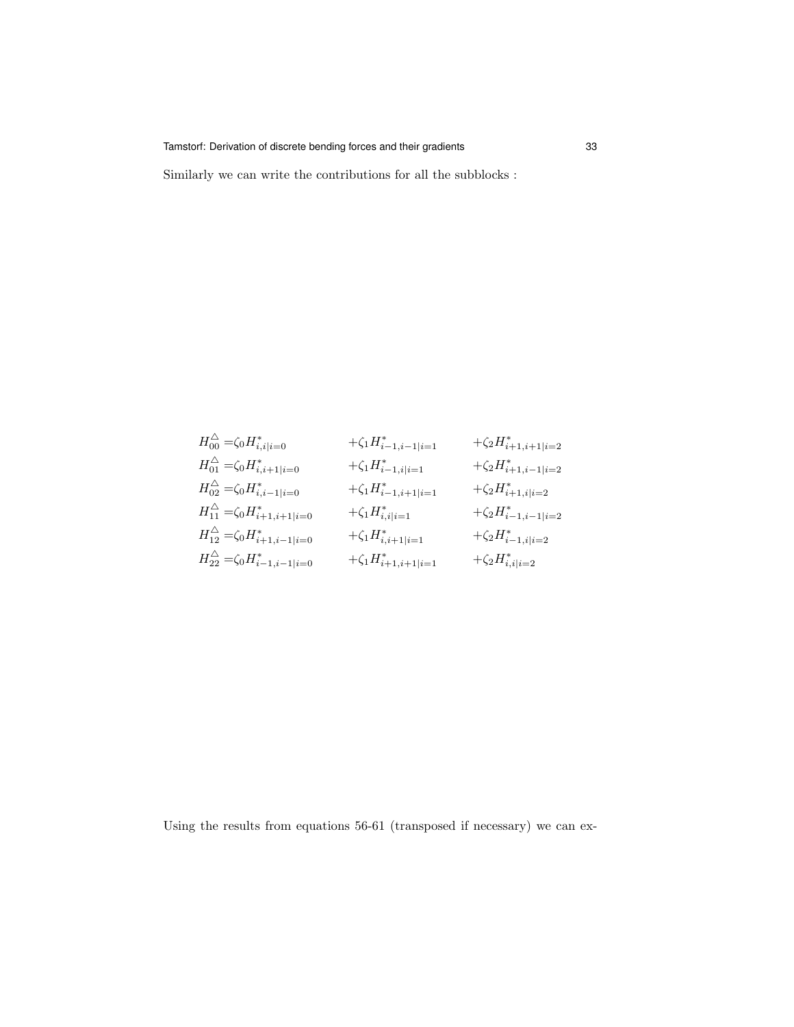Tamstorf: Derivation of discrete bending forces and their gradients 33

Similarly we can write the contributions for all the subblocks :

$$
\begin{aligned} &H_{00}^{\triangle}=\zeta_0H_{i,i|i=0}^* &+\zeta_1H_{i-1,i-1|i=1}^* &+\zeta_2H_{i+1,i+1|i=2}^*\\ &H_{01}^{\triangle}=\zeta_0H_{i,i+1|i=0}^* &+\zeta_1H_{i-1,i|i=1}^* &+\zeta_2H_{i+1,i-1|i=2}^*\\ &H_{02}^{\triangle}=\zeta_0H_{i,i-1|i=0}^* &+\zeta_1H_{i-1,i+1|i=1}^* &+\zeta_2H_{i+1,i|i=2}^*\\ &H_{11}^{\triangle}=\zeta_0H_{i+1,i+1|i=0}^* &+\zeta_1H_{i,i|i=1}^* &+\zeta_2H_{i-1,i-1|i=2}^*\\ &H_{22}^{\triangle}=\zeta_0H_{i-1,i-1|i=0}^* &+\zeta_1H_{i,i+1|i=1}^* &+\zeta_2H_{i-1,i|i=2}^*\\ \end{aligned}
$$

Using the results from equations 56-61 (transposed if necessary) we can ex-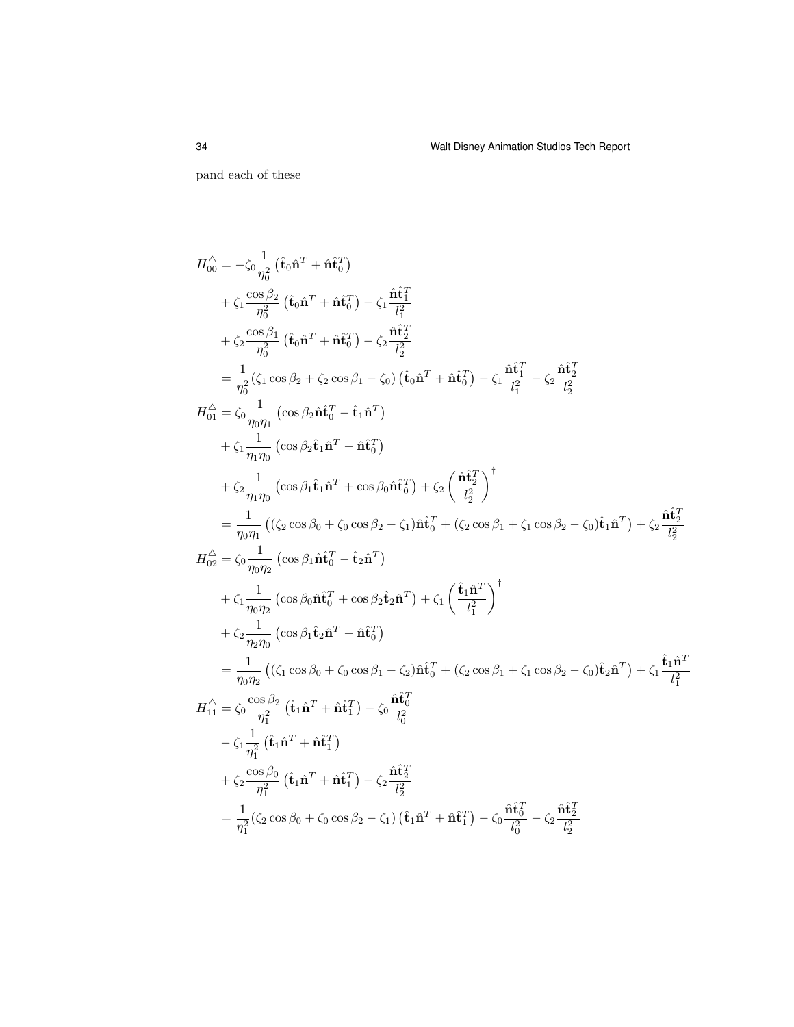pand each of these

$$
H_{00}^{\Delta} = -\zeta_{0} \frac{1}{\eta_{0}^{2}} (\hat{\mathbf{t}}_{0} \hat{\mathbf{n}}^{T} + \hat{\mathbf{n}} \hat{\mathbf{t}}_{0}^{T})
$$
  
+  $\zeta_{1} \frac{\cos \beta_{2}}{\eta_{0}^{2}} (\hat{\mathbf{t}}_{0} \hat{\mathbf{n}}^{T} + \hat{\mathbf{n}} \hat{\mathbf{t}}_{0}^{T}) - \zeta_{1} \frac{\hat{\mathbf{n}} \hat{\mathbf{t}}_{1}^{T}}{\ell_{2}^{2}}$   
+  $\zeta_{2} \frac{\cos \beta_{1}}{\eta_{0}^{2}} (\hat{\mathbf{t}}_{0} \hat{\mathbf{n}}^{T} + \hat{\mathbf{n}} \hat{\mathbf{t}}_{0}^{T}) - \zeta_{2} \frac{\hat{\mathbf{n}} \hat{\mathbf{t}}_{2}^{T}}{\ell_{2}^{2}}$   
=  $\frac{1}{\eta_{0}^{2}} (\zeta_{1} \cos \beta_{2} + \zeta_{2} \cos \beta_{1} - \zeta_{0}) (\hat{\mathbf{t}}_{0} \hat{\mathbf{n}}^{T} + \hat{\mathbf{n}} \hat{\mathbf{t}}_{0}^{T}) - \zeta_{1} \frac{\hat{\mathbf{n}} \hat{\mathbf{t}}_{1}^{T}}{\ell_{1}^{2}} - \zeta_{2} \frac{\hat{\mathbf{n}} \hat{\mathbf{t}}_{2}^{T}}{\ell_{2}^{2}}$   

$$
H_{01}^{\Delta} = \zeta_{0} \frac{1}{\eta_{0} \eta_{1}} (\cos \beta_{2} \hat{\mathbf{t}}_{1} \hat{\mathbf{n}}^{T} - \hat{\mathbf{n}} \hat{\mathbf{t}}_{0}^{T})
$$
  
+  $\zeta_{1} \frac{1}{\eta_{1} \eta_{0}} (\cos \beta_{1} \hat{\mathbf{t}}_{1} \hat{\mathbf{n}}^{T} + \cos \beta_{0} \hat{\mathbf{n}} \hat{\mathbf{t}}_{0}^{T}) + \zeta_{2} (\frac{\hat{\mathbf{n}} \hat{\mathbf{t}}_{2}^{T}}{\ell_{2}^{2}})^{\dagger}$   
=  $\frac{1}{\eta_{0} \eta_{1}} ((\zeta_{2} \cos \beta_{0} + \zeta_{0} \cos \beta_{2} - \zeta_{1}) \hat{\mathbf{n}} \hat{\mathbf{t}}_{0}^{$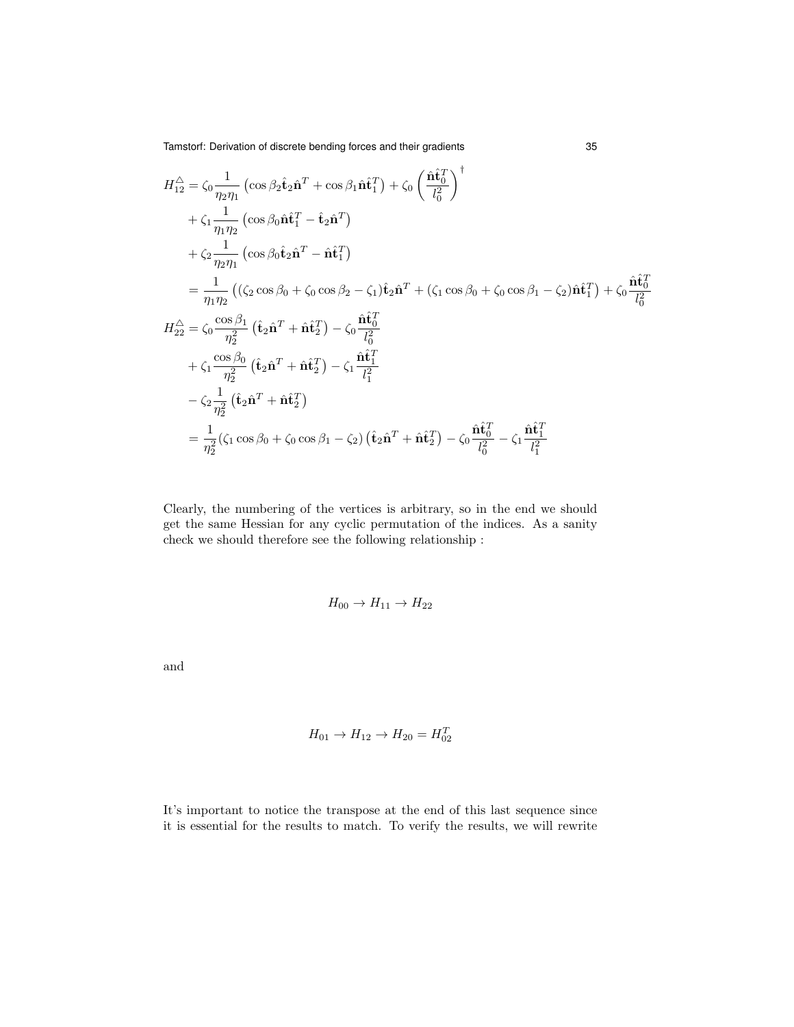Tamstorf: Derivation of discrete bending forces and their gradients 35

$$
H_{12}^{\triangle} = \zeta_0 \frac{1}{\eta_2 \eta_1} \left( \cos \beta_2 \hat{\mathbf{t}}_2 \hat{\mathbf{n}}^T + \cos \beta_1 \hat{\mathbf{n}}_1^T \right) + \zeta_0 \left( \frac{\hat{\mathbf{n}}_0^2}{l_0^2} \right)^{\dagger} + \zeta_1 \frac{1}{\eta_1 \eta_2} \left( \cos \beta_0 \hat{\mathbf{n}}_1^2 - \hat{\mathbf{t}}_2 \hat{\mathbf{n}}^T \right) + \zeta_2 \frac{1}{\eta_2 \eta_1} \left( \cos \beta_0 \hat{\mathbf{t}}_2 \hat{\mathbf{n}}^T - \hat{\mathbf{n}}_1^T \right) = \frac{1}{\eta_1 \eta_2} \left( \left( \zeta_2 \cos \beta_0 + \zeta_0 \cos \beta_2 - \zeta_1 \right) \hat{\mathbf{t}}_2 \hat{\mathbf{n}}^T + \left( \zeta_1 \cos \beta_0 + \zeta_0 \cos \beta_1 - \zeta_2 \right) \hat{\mathbf{n}}_1^T \right) + \zeta_0 \frac{\hat{\mathbf{n}}_0^T}{l_0^2} + \zeta_2^2 = \zeta_0 \frac{\cos \beta_1}{\eta_2^2} \left( \hat{\mathbf{t}}_2 \hat{\mathbf{n}}^T + \hat{\mathbf{n}}_2^T \right) - \zeta_0 \frac{\hat{\mathbf{n}}_0^T}{l_0^2} + \zeta_1 \frac{\cos \beta_0}{\eta_2^2} \left( \hat{\mathbf{t}}_2 \hat{\mathbf{n}}^T + \hat{\mathbf{n}}_2^T \right) - \zeta_1 \frac{\hat{\mathbf{n}}_1^T}{l_1^2} - \zeta_2 \frac{1}{\eta_2^2} \left( \hat{\mathbf{t}}_2 \hat{\mathbf{n}}^T + \hat{\mathbf{n}}_2^T \right) = \frac{1}{\eta_2^2} \left( \zeta_1 \cos \beta_0 + \zeta_0 \cos \beta_1 - \zeta_2 \right) \left( \hat{\mathbf{t}}_2 \hat{\mathbf{n}}^T + \hat{\mathbf{n}}_2^T \right) - \zeta_0 \frac{\hat{\mathbf{n}}_0^T}{l_0^2} - \zeta_1 \frac{\hat{\mathbf
$$

Clearly, the numbering of the vertices is arbitrary, so in the end we should get the same Hessian for any cyclic permutation of the indices. As a sanity check we should therefore see the following relationship :

$$
H_{00} \rightarrow H_{11} \rightarrow H_{22}
$$

and

$$
H_{01} \to H_{12} \to H_{20} = H_{02}^T
$$

It's important to notice the transpose at the end of this last sequence since it is essential for the results to match. To verify the results, we will rewrite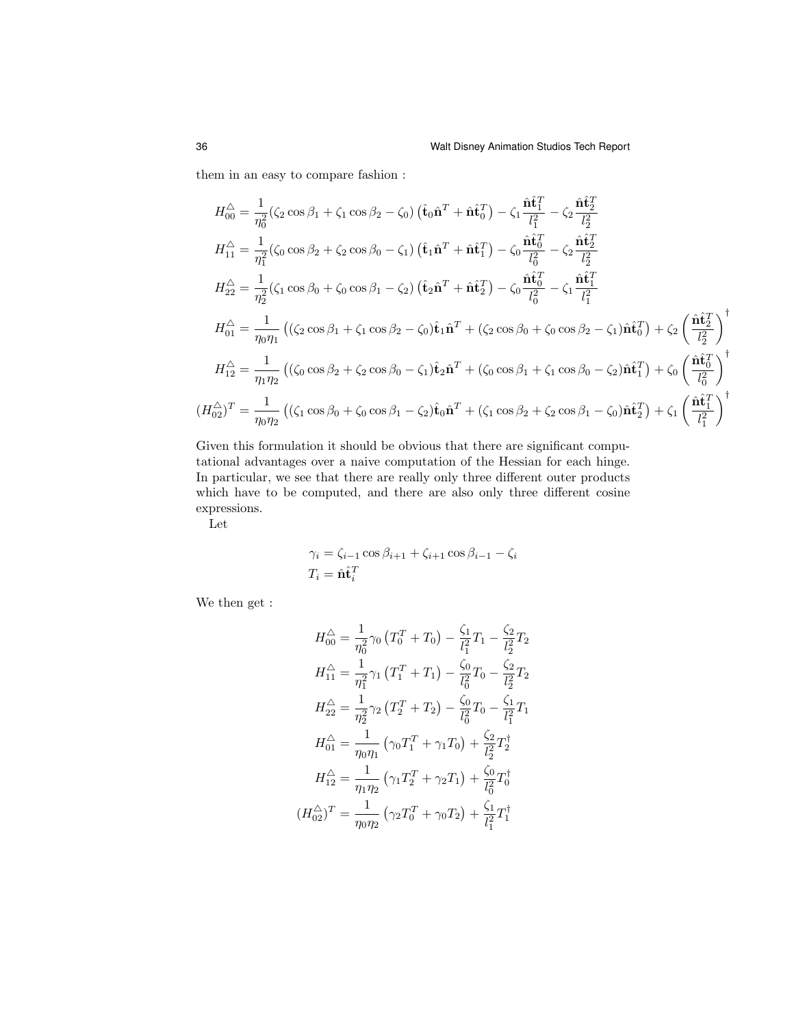them in an easy to compare fashion :

$$
H_{00}^{\triangle} = \frac{1}{\eta_0^2} (\zeta_2 \cos \beta_1 + \zeta_1 \cos \beta_2 - \zeta_0) (\hat{\mathbf{t}}_0 \hat{\mathbf{n}}^T + \hat{\mathbf{n}} \hat{\mathbf{t}}_0^T) - \zeta_1 \frac{\hat{\mathbf{n}} \hat{\mathbf{t}}_1^T}{l_1^2} - \zeta_2 \frac{\hat{\mathbf{n}} \hat{\mathbf{t}}_2^T}{l_2^2}
$$
  
\n
$$
H_{11}^{\triangle} = \frac{1}{\eta_1^2} (\zeta_0 \cos \beta_2 + \zeta_2 \cos \beta_0 - \zeta_1) (\hat{\mathbf{t}}_1 \hat{\mathbf{n}}^T + \hat{\mathbf{n}} \hat{\mathbf{t}}_1^T) - \zeta_0 \frac{\hat{\mathbf{n}} \hat{\mathbf{t}}_0^T}{l_0^2} - \zeta_2 \frac{\hat{\mathbf{n}} \hat{\mathbf{t}}_2^T}{l_2^2}
$$
  
\n
$$
H_{22}^{\triangle} = \frac{1}{\eta_2^2} (\zeta_1 \cos \beta_0 + \zeta_0 \cos \beta_1 - \zeta_2) (\hat{\mathbf{t}}_2 \hat{\mathbf{n}}^T + \hat{\mathbf{n}} \hat{\mathbf{t}}_2^T) - \zeta_0 \frac{\hat{\mathbf{n}} \hat{\mathbf{t}}_0^T}{l_0^2} - \zeta_1 \frac{\hat{\mathbf{n}} \hat{\mathbf{t}}_1^T}{l_1^2}
$$
  
\n
$$
H_{01}^{\triangle} = \frac{1}{\eta_0 \eta_1} ((\zeta_2 \cos \beta_1 + \zeta_1 \cos \beta_2 - \zeta_0) \hat{\mathbf{t}}_1 \hat{\mathbf{n}}^T + (\zeta_2 \cos \beta_0 + \zeta_0 \cos \beta_2 - \zeta_1) \hat{\mathbf{n}} \hat{\mathbf{t}}_0^T) + \zeta_2 \left( \frac{\hat{\mathbf{n}} \hat{\mathbf{t}}_2^T}{l_2^2} \right)^{\dagger}
$$
  
\n
$$
H_{12}^{\triangle} = \frac{1}{\eta_1 \eta_2} ((\zeta_0 \cos \beta_2 + \zeta_2 \cos \beta_0 - \zeta_1) \hat{\mathbf{t}}_2 \
$$

Given this formulation it should be obvious that there are significant computational advantages over a naive computation of the Hessian for each hinge. In particular, we see that there are really only three different outer products which have to be computed, and there are also only three different cosine expressions.

Let

$$
\gamma_i = \zeta_{i-1} \cos \beta_{i+1} + \zeta_{i+1} \cos \beta_{i-1} - \zeta_i
$$
  

$$
T_i = \hat{\mathbf{n}} \hat{\mathbf{t}}_i^T
$$

We then get :

$$
H_{00}^{\triangle} = \frac{1}{\eta_0^2} \gamma_0 \left( T_0^T + T_0 \right) - \frac{\zeta_1}{l_1^2} T_1 - \frac{\zeta_2}{l_2^2} T_2
$$
  
\n
$$
H_{11}^{\triangle} = \frac{1}{\eta_1^2} \gamma_1 \left( T_1^T + T_1 \right) - \frac{\zeta_0}{l_0^2} T_0 - \frac{\zeta_2}{l_2^2} T_2
$$
  
\n
$$
H_{22}^{\triangle} = \frac{1}{\eta_2^2} \gamma_2 \left( T_2^T + T_2 \right) - \frac{\zeta_0}{l_0^2} T_0 - \frac{\zeta_1}{l_1^2} T_1
$$
  
\n
$$
H_{01}^{\triangle} = \frac{1}{\eta_0 \eta_1} \left( \gamma_0 T_1^T + \gamma_1 T_0 \right) + \frac{\zeta_2}{l_2^2} T_2^{\dagger}
$$
  
\n
$$
H_{12}^{\triangle} = \frac{1}{\eta_1 \eta_2} \left( \gamma_1 T_2^T + \gamma_2 T_1 \right) + \frac{\zeta_0}{l_0^2} T_0^{\dagger}
$$
  
\n
$$
(H_{02}^{\triangle})^T = \frac{1}{\eta_0 \eta_2} \left( \gamma_2 T_0^T + \gamma_0 T_2 \right) + \frac{\zeta_1}{l_1^2} T_1^{\dagger}
$$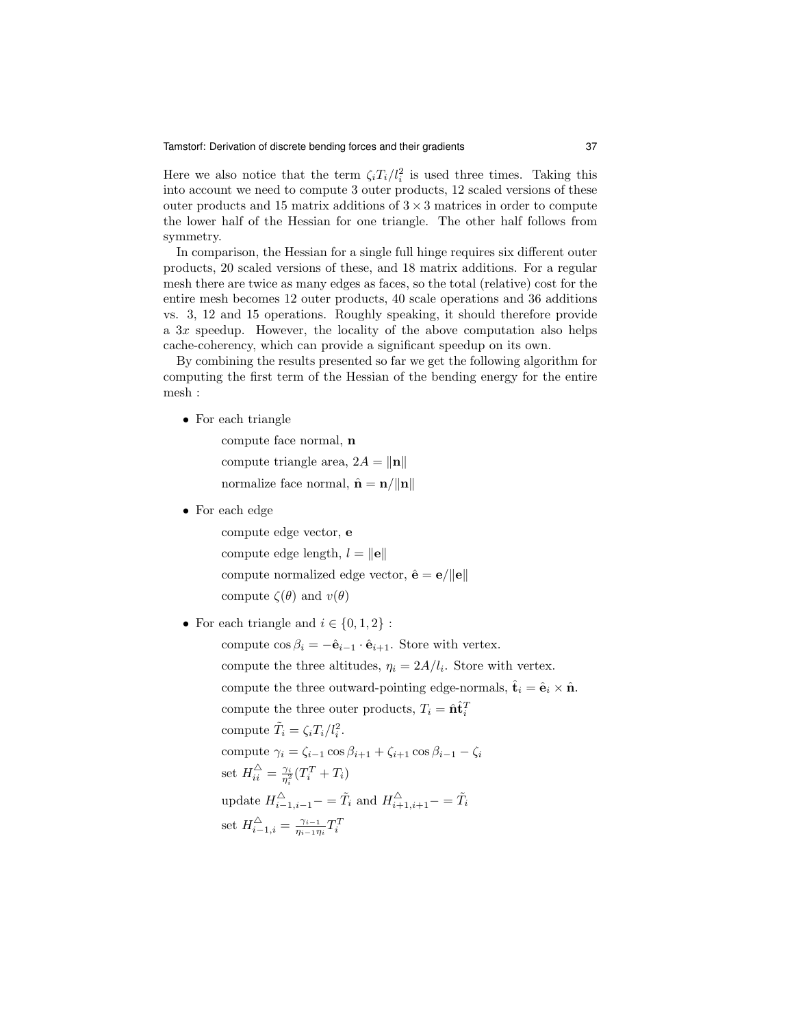Here we also notice that the term  $\zeta_i T_i / l_i^2$  is used three times. Taking this into account we need to compute 3 outer products, 12 scaled versions of these outer products and 15 matrix additions of  $3 \times 3$  matrices in order to compute the lower half of the Hessian for one triangle. The other half follows from symmetry.

In comparison, the Hessian for a single full hinge requires six different outer products, 20 scaled versions of these, and 18 matrix additions. For a regular mesh there are twice as many edges as faces, so the total (relative) cost for the entire mesh becomes 12 outer products, 40 scale operations and 36 additions vs. 3, 12 and 15 operations. Roughly speaking, it should therefore provide a  $3x$  speedup. However, the locality of the above computation also helps cache-coherency, which can provide a significant speedup on its own.

By combining the results presented so far we get the following algorithm for computing the first term of the Hessian of the bending energy for the entire mesh :

• For each triangle

compute face normal, n compute triangle area,  $2A = ||\mathbf{n}||$ normalize face normal,  $\hat{\mathbf{n}} = \mathbf{n}/\|\mathbf{n}\|$ 

• For each edge

compute edge vector, e compute edge length,  $l = ||e||$ compute normalized edge vector,  $\hat{\mathbf{e}} = \mathbf{e}/\|\mathbf{e}\|$ compute  $\zeta(\theta)$  and  $v(\theta)$ 

• For each triangle and  $i \in \{0, 1, 2\}$ :

compute  $\cos \beta_i = -\hat{\mathbf{e}}_{i-1} \cdot \hat{\mathbf{e}}_{i+1}$ . Store with vertex. compute the three altitudes,  $\eta_i = 2A/l_i$ . Store with vertex. compute the three outward-pointing edge-normals,  $\hat{\mathbf{t}}_i = \hat{\mathbf{e}}_i \times \hat{\mathbf{n}}$ . compute the three outer products,  $T_i = \hat{\mathbf{n}} \hat{\mathbf{t}}_i^T$ compute  $\tilde{T}_i = \zeta_i T_i / l_i^2$ . compute  $\gamma_i = \zeta_{i-1} \cos \beta_{i+1} + \zeta_{i+1} \cos \beta_{i-1} - \zeta_i$ set  $H_{ii}^{\triangle} = \frac{\gamma_i}{\eta_i^2} (T_i^T + T_i)$ update  $H_{i-1,i-1}^{\triangle}$  –  $\tilde{T}_i$  and  $H_{i+1,i+1}^{\triangle}$  –  $=\tilde{T}_i$ set  $H_{i-1,i}^{\triangle} = \frac{\gamma_{i-1}}{\eta_{i-1}r_i}$  $\frac{\gamma_{i-1}}{\eta_{i-1}\eta_i}T_i^T$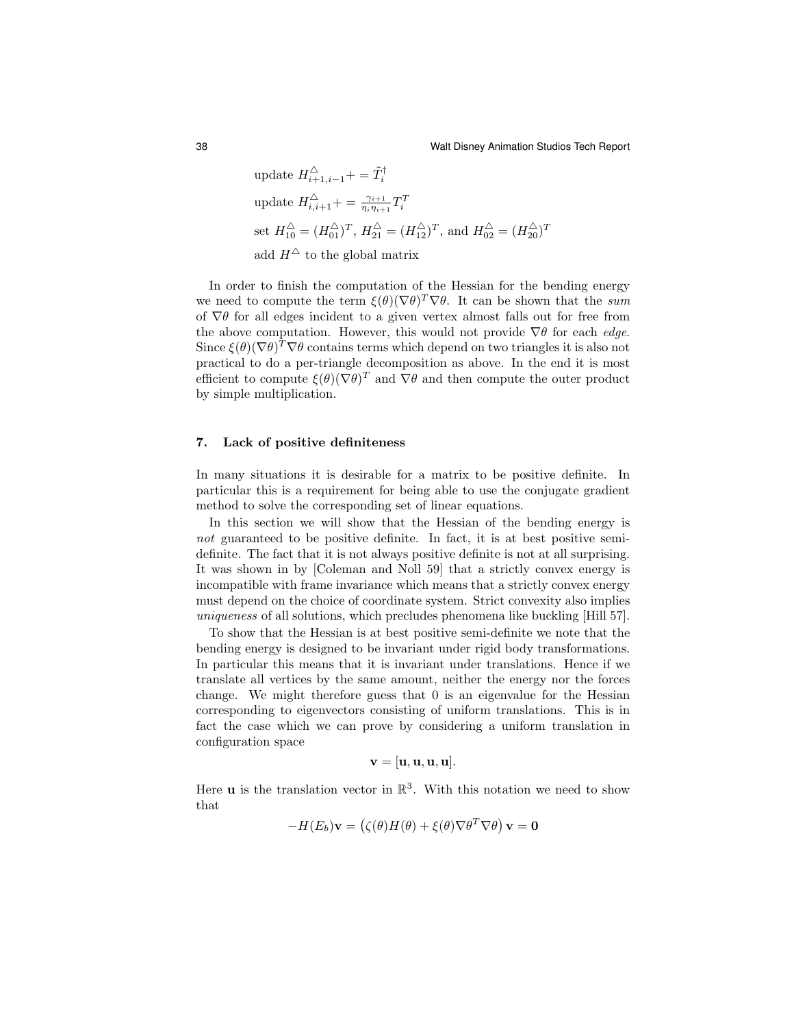update 
$$
H_{i+1,i-1}^{\triangle} + = \tilde{T}_i^{\dagger}
$$
  
\nupdate  $H_{i,i+1}^{\triangle} + = \frac{\gamma_{i+1}}{\eta_i \eta_{i+1}} T_i^T$   
\nset  $H_{10}^{\triangle} = (H_{01}^{\triangle})^T$ ,  $H_{21}^{\triangle} = (H_{12}^{\triangle})^T$ , and  $H_{02}^{\triangle} = (H_{20}^{\triangle})^T$   
\nadd  $H^{\triangle}$  to the global matrix

In order to finish the computation of the Hessian for the bending energy we need to compute the term  $\xi(\theta)(\nabla\theta)^T\nabla\theta$ . It can be shown that the sum of  $\nabla \theta$  for all edges incident to a given vertex almost falls out for free from the above computation. However, this would not provide  $\nabla \theta$  for each *edge*. Since  $\xi(\theta)(\nabla\theta)^T\nabla\theta$  contains terms which depend on two triangles it is also not practical to do a per-triangle decomposition as above. In the end it is most efficient to compute  $\xi(\theta)(\nabla\theta)^T$  and  $\nabla\theta$  and then compute the outer product by simple multiplication.

#### 7. Lack of positive definiteness

In many situations it is desirable for a matrix to be positive definite. In particular this is a requirement for being able to use the conjugate gradient method to solve the corresponding set of linear equations.

In this section we will show that the Hessian of the bending energy is not guaranteed to be positive definite. In fact, it is at best positive semidefinite. The fact that it is not always positive definite is not at all surprising. It was shown in by [Coleman and Noll 59] that a strictly convex energy is incompatible with frame invariance which means that a strictly convex energy must depend on the choice of coordinate system. Strict convexity also implies uniqueness of all solutions, which precludes phenomena like buckling [Hill 57].

To show that the Hessian is at best positive semi-definite we note that the bending energy is designed to be invariant under rigid body transformations. In particular this means that it is invariant under translations. Hence if we translate all vertices by the same amount, neither the energy nor the forces change. We might therefore guess that 0 is an eigenvalue for the Hessian corresponding to eigenvectors consisting of uniform translations. This is in fact the case which we can prove by considering a uniform translation in configuration space

$$
\mathbf{v} = [\mathbf{u}, \mathbf{u}, \mathbf{u}, \mathbf{u}].
$$

Here **u** is the translation vector in  $\mathbb{R}^3$ . With this notation we need to show that

$$
-H(E_b)\mathbf{v} = (\zeta(\theta)H(\theta) + \xi(\theta)\nabla\theta^T\nabla\theta)\mathbf{v} = \mathbf{0}
$$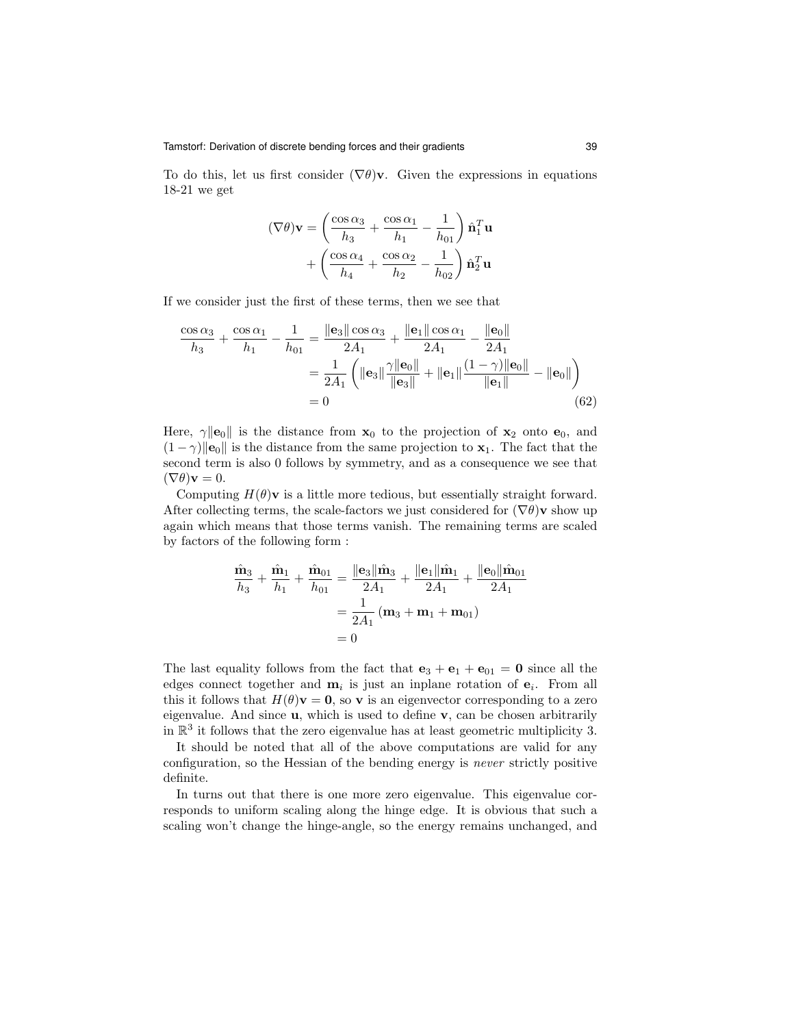To do this, let us first consider  $(\nabla \theta)$ v. Given the expressions in equations 18-21 we get

$$
(\nabla \theta)\mathbf{v} = \left(\frac{\cos \alpha_3}{h_3} + \frac{\cos \alpha_1}{h_1} - \frac{1}{h_{01}}\right)\hat{\mathbf{n}}_1^T \mathbf{u}
$$

$$
+ \left(\frac{\cos \alpha_4}{h_4} + \frac{\cos \alpha_2}{h_2} - \frac{1}{h_{02}}\right)\hat{\mathbf{n}}_2^T \mathbf{u}
$$

If we consider just the first of these terms, then we see that

$$
\frac{\cos \alpha_3}{h_3} + \frac{\cos \alpha_1}{h_1} - \frac{1}{h_{01}} = \frac{\|\mathbf{e}_3\| \cos \alpha_3}{2A_1} + \frac{\|\mathbf{e}_1\| \cos \alpha_1}{2A_1} - \frac{\|\mathbf{e}_0\|}{2A_1}
$$

$$
= \frac{1}{2A_1} \left( \|\mathbf{e}_3\| \frac{\gamma \|\mathbf{e}_0\|}{\|\mathbf{e}_3\|} + \|\mathbf{e}_1\| \frac{(1-\gamma)\|\mathbf{e}_0\|}{\|\mathbf{e}_1\|} - \|\mathbf{e}_0\|\right)
$$

$$
= 0 \tag{62}
$$

Here,  $\gamma ||\mathbf{e}_0||$  is the distance from  $\mathbf{x}_0$  to the projection of  $\mathbf{x}_2$  onto  $\mathbf{e}_0$ , and  $(1 - \gamma)$ ||e<sub>0</sub>|| is the distance from the same projection to **x**<sub>1</sub>. The fact that the second term is also 0 follows by symmetry, and as a consequence we see that  $(\nabla \theta) \mathbf{v} = 0.$ 

Computing  $H(\theta)$ **v** is a little more tedious, but essentially straight forward. After collecting terms, the scale-factors we just considered for  $(\nabla \theta)$  v show up again which means that those terms vanish. The remaining terms are scaled by factors of the following form :

$$
\frac{\hat{\mathbf{m}}_3}{h_3} + \frac{\hat{\mathbf{m}}_1}{h_1} + \frac{\hat{\mathbf{m}}_{01}}{h_{01}} = \frac{\|\mathbf{e}_3\|\hat{\mathbf{m}}_3}{2A_1} + \frac{\|\mathbf{e}_1\|\hat{\mathbf{m}}_1}{2A_1} + \frac{\|\mathbf{e}_0\|\hat{\mathbf{m}}_{01}}{2A_1}
$$

$$
= \frac{1}{2A_1} (\mathbf{m}_3 + \mathbf{m}_1 + \mathbf{m}_{01})
$$

$$
= 0
$$

The last equality follows from the fact that  $e_3 + e_1 + e_{01} = 0$  since all the edges connect together and  $\mathbf{m}_i$  is just an inplane rotation of  $\mathbf{e}_i$ . From all this it follows that  $H(\theta)$ **v** = **0**, so **v** is an eigenvector corresponding to a zero eigenvalue. And since  $\bf{u}$ , which is used to define  $\bf{v}$ , can be chosen arbitrarily in  $\mathbb{R}^3$  it follows that the zero eigenvalue has at least geometric multiplicity 3.

It should be noted that all of the above computations are valid for any configuration, so the Hessian of the bending energy is never strictly positive definite.

In turns out that there is one more zero eigenvalue. This eigenvalue corresponds to uniform scaling along the hinge edge. It is obvious that such a scaling won't change the hinge-angle, so the energy remains unchanged, and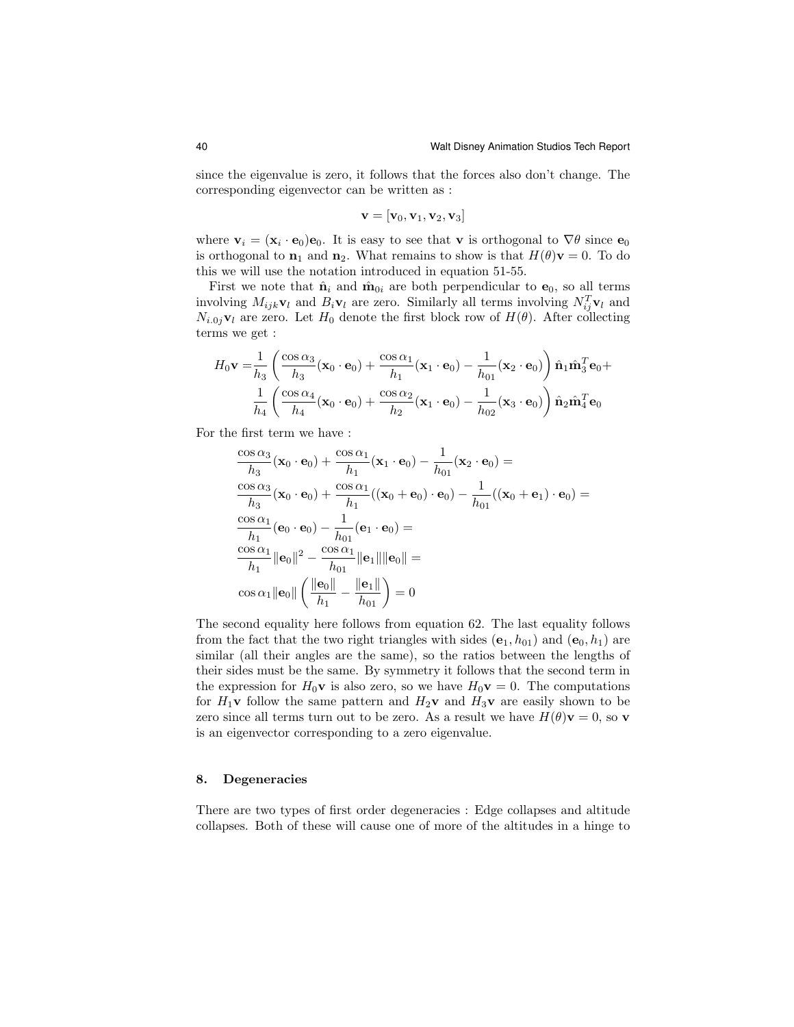since the eigenvalue is zero, it follows that the forces also don't change. The corresponding eigenvector can be written as :

$$
\mathbf{v} = [\mathbf{v}_0, \mathbf{v}_1, \mathbf{v}_2, \mathbf{v}_3]
$$

where  $\mathbf{v}_i = (\mathbf{x}_i \cdot \mathbf{e}_0) \mathbf{e}_0$ . It is easy to see that v is orthogonal to  $\nabla \theta$  since  $\mathbf{e}_0$ is orthogonal to  $\mathbf{n}_1$  and  $\mathbf{n}_2$ . What remains to show is that  $H(\theta)\mathbf{v} = 0$ . To do this we will use the notation introduced in equation 51-55.

First we note that  $\hat{\mathbf{n}}_i$  and  $\hat{\mathbf{m}}_{0i}$  are both perpendicular to  $\mathbf{e}_0$ , so all terms involving  $M_{ijk}$  $\mathbf{v}_l$  and  $B_i \mathbf{v}_l$  are zero. Similarly all terms involving  $N_{ij}^T \mathbf{v}_l$  and  $N_{i.0j}$ **v**<sub>l</sub> are zero. Let  $H_0$  denote the first block row of  $H(\theta)$ . After collecting terms we get :

$$
H_0 \mathbf{v} = \frac{1}{h_3} \left( \frac{\cos \alpha_3}{h_3} (\mathbf{x}_0 \cdot \mathbf{e}_0) + \frac{\cos \alpha_1}{h_1} (\mathbf{x}_1 \cdot \mathbf{e}_0) - \frac{1}{h_{01}} (\mathbf{x}_2 \cdot \mathbf{e}_0) \right) \hat{\mathbf{n}}_1 \hat{\mathbf{m}}_3^T \mathbf{e}_0 + \frac{1}{h_4} \left( \frac{\cos \alpha_4}{h_4} (\mathbf{x}_0 \cdot \mathbf{e}_0) + \frac{\cos \alpha_2}{h_2} (\mathbf{x}_1 \cdot \mathbf{e}_0) - \frac{1}{h_{02}} (\mathbf{x}_3 \cdot \mathbf{e}_0) \right) \hat{\mathbf{n}}_2 \hat{\mathbf{m}}_4^T \mathbf{e}_0
$$

For the first term we have :

$$
\frac{\cos \alpha_3}{h_3}(\mathbf{x}_0 \cdot \mathbf{e}_0) + \frac{\cos \alpha_1}{h_1}(\mathbf{x}_1 \cdot \mathbf{e}_0) - \frac{1}{h_{01}}(\mathbf{x}_2 \cdot \mathbf{e}_0) =
$$
\n
$$
\frac{\cos \alpha_3}{h_3}(\mathbf{x}_0 \cdot \mathbf{e}_0) + \frac{\cos \alpha_1}{h_1}((\mathbf{x}_0 + \mathbf{e}_0) \cdot \mathbf{e}_0) - \frac{1}{h_{01}}((\mathbf{x}_0 + \mathbf{e}_1) \cdot \mathbf{e}_0) =
$$
\n
$$
\frac{\cos \alpha_1}{h_1}(\mathbf{e}_0 \cdot \mathbf{e}_0) - \frac{1}{h_{01}}(\mathbf{e}_1 \cdot \mathbf{e}_0) =
$$
\n
$$
\frac{\cos \alpha_1}{h_1} ||\mathbf{e}_0||^2 - \frac{\cos \alpha_1}{h_{01}} ||\mathbf{e}_1|| ||\mathbf{e}_0|| =
$$
\n
$$
\cos \alpha_1 ||\mathbf{e}_0|| \left( \frac{||\mathbf{e}_0||}{h_1} - \frac{||\mathbf{e}_1||}{h_{01}} \right) = 0
$$

The second equality here follows from equation 62. The last equality follows from the fact that the two right triangles with sides  $(e_1, h_{01})$  and  $(e_0, h_1)$  are similar (all their angles are the same), so the ratios between the lengths of their sides must be the same. By symmetry it follows that the second term in the expression for  $H_0$ **v** is also zero, so we have  $H_0$ **v** = 0. The computations for  $H_1$ **v** follow the same pattern and  $H_2$ **v** and  $H_3$ **v** are easily shown to be zero since all terms turn out to be zero. As a result we have  $H(\theta)\mathbf{v} = 0$ , so **v** is an eigenvector corresponding to a zero eigenvalue.

#### 8. Degeneracies

There are two types of first order degeneracies : Edge collapses and altitude collapses. Both of these will cause one of more of the altitudes in a hinge to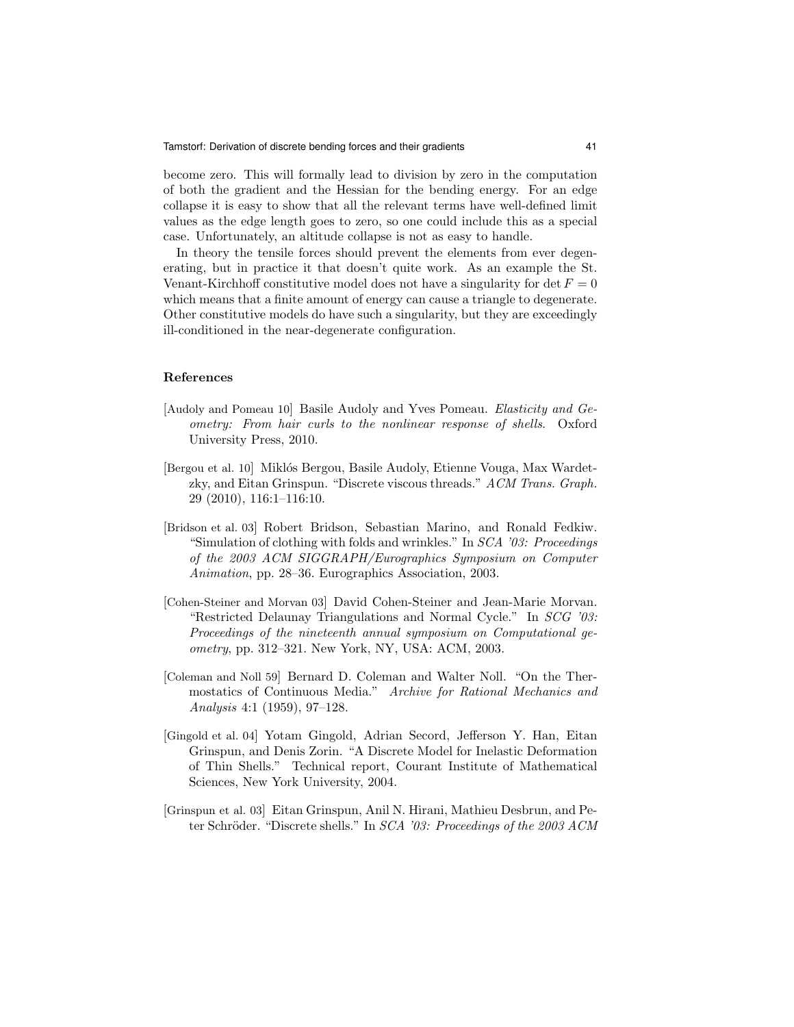become zero. This will formally lead to division by zero in the computation of both the gradient and the Hessian for the bending energy. For an edge collapse it is easy to show that all the relevant terms have well-defined limit values as the edge length goes to zero, so one could include this as a special case. Unfortunately, an altitude collapse is not as easy to handle.

In theory the tensile forces should prevent the elements from ever degenerating, but in practice it that doesn't quite work. As an example the St. Venant-Kirchhoff constitutive model does not have a singularity for det  $F = 0$ which means that a finite amount of energy can cause a triangle to degenerate. Other constitutive models do have such a singularity, but they are exceedingly ill-conditioned in the near-degenerate configuration.

#### References

- [Audoly and Pomeau 10] Basile Audoly and Yves Pomeau. Elasticity and Geometry: From hair curls to the nonlinear response of shells. Oxford University Press, 2010.
- [Bergou et al. 10] Miklós Bergou, Basile Audoly, Etienne Vouga, Max Wardetzky, and Eitan Grinspun. "Discrete viscous threads." ACM Trans. Graph. 29 (2010), 116:1–116:10.
- [Bridson et al. 03] Robert Bridson, Sebastian Marino, and Ronald Fedkiw. "Simulation of clothing with folds and wrinkles." In SCA '03: Proceedings of the 2003 ACM SIGGRAPH/Eurographics Symposium on Computer Animation, pp. 28–36. Eurographics Association, 2003.
- [Cohen-Steiner and Morvan 03] David Cohen-Steiner and Jean-Marie Morvan. "Restricted Delaunay Triangulations and Normal Cycle." In SCG '03: Proceedings of the nineteenth annual symposium on Computational geometry, pp. 312–321. New York, NY, USA: ACM, 2003.
- [Coleman and Noll 59] Bernard D. Coleman and Walter Noll. "On the Thermostatics of Continuous Media." Archive for Rational Mechanics and Analysis 4:1 (1959), 97–128.
- [Gingold et al. 04] Yotam Gingold, Adrian Secord, Jefferson Y. Han, Eitan Grinspun, and Denis Zorin. "A Discrete Model for Inelastic Deformation of Thin Shells." Technical report, Courant Institute of Mathematical Sciences, New York University, 2004.
- [Grinspun et al. 03] Eitan Grinspun, Anil N. Hirani, Mathieu Desbrun, and Peter Schröder. "Discrete shells." In SCA '03: Proceedings of the 2003 ACM